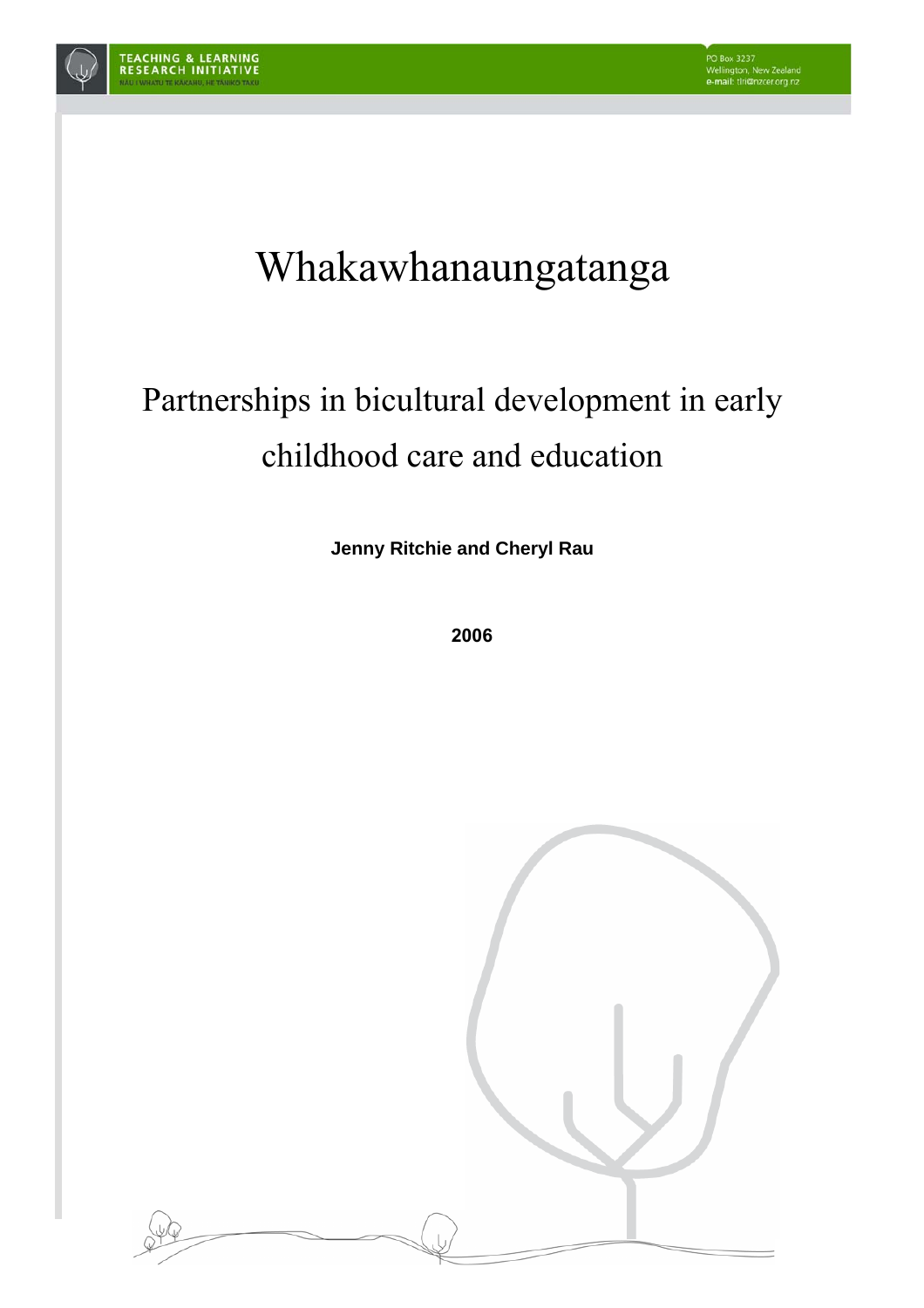

# Whakawhanaungatanga

# Partnerships in bicultural development in early childhood care and education

**Jenny Ritchie and Cheryl Rau** 

**2006**

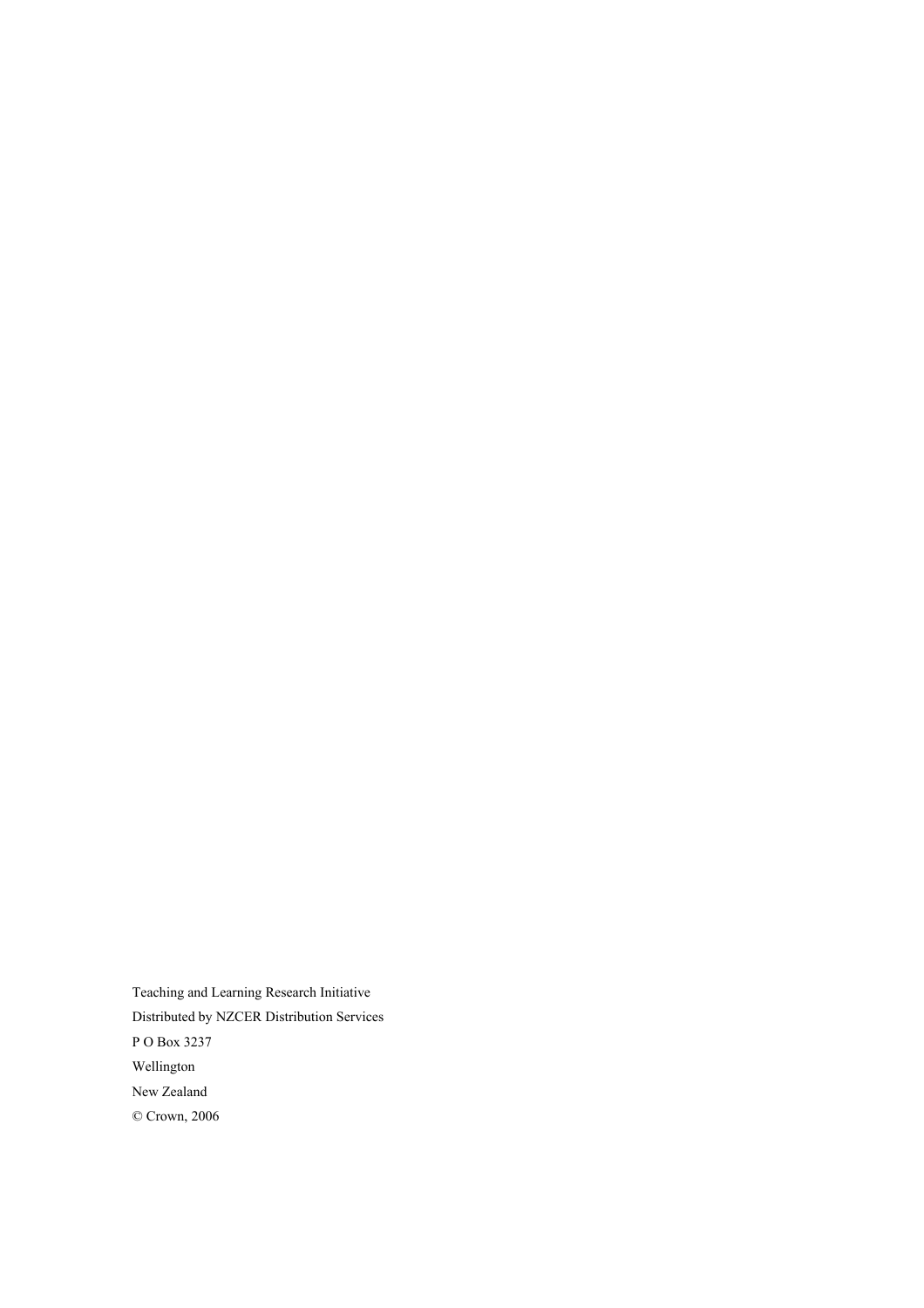Teaching and Learning Research Initiative Distributed by NZCER Distribution Services P O Box 3237 Wellington New Zealand © Crown, 2006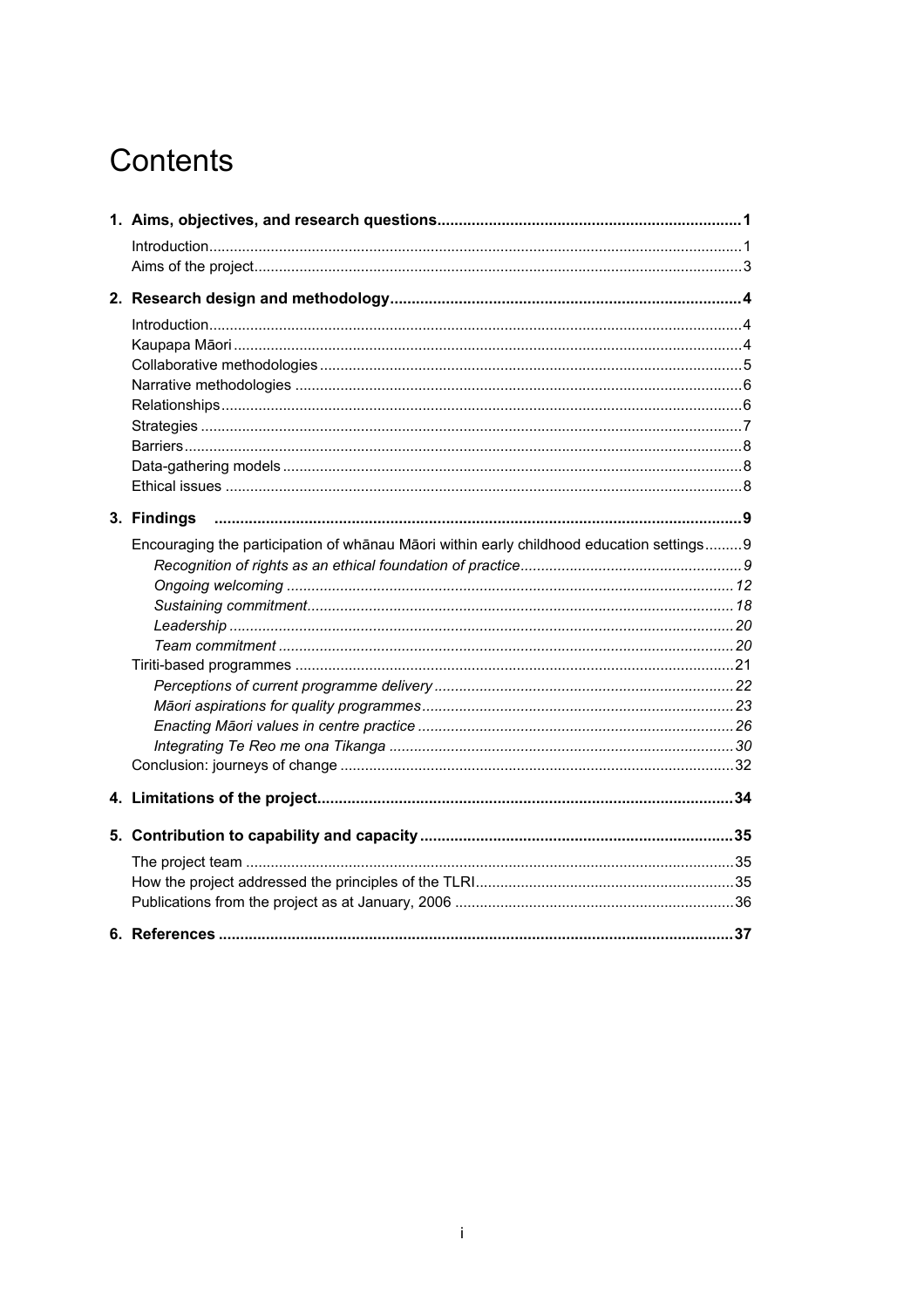# Contents

|  | 3. Findings                                                                               |  |
|--|-------------------------------------------------------------------------------------------|--|
|  | Encouraging the participation of whānau Māori within early childhood education settings 9 |  |
|  |                                                                                           |  |
|  |                                                                                           |  |
|  |                                                                                           |  |
|  |                                                                                           |  |
|  |                                                                                           |  |
|  |                                                                                           |  |
|  |                                                                                           |  |
|  |                                                                                           |  |
|  |                                                                                           |  |
|  |                                                                                           |  |
|  |                                                                                           |  |
|  |                                                                                           |  |
|  |                                                                                           |  |
|  |                                                                                           |  |
|  |                                                                                           |  |
|  |                                                                                           |  |
|  |                                                                                           |  |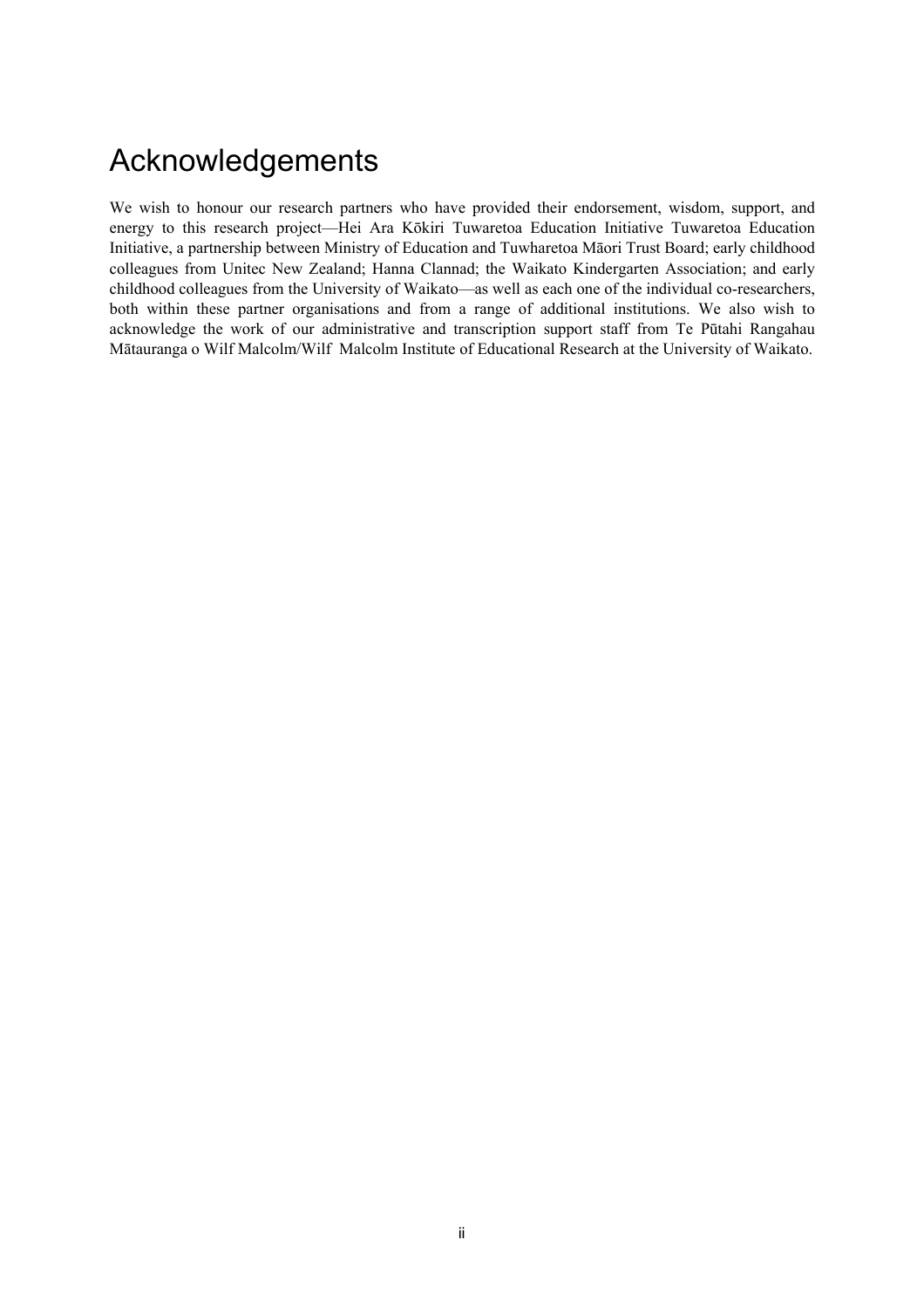# Acknowledgements

We wish to honour our research partners who have provided their endorsement, wisdom, support, and energy to this research project—Hei Ara Kōkiri Tuwaretoa Education Initiative Tuwaretoa Education Initiative, a partnership between Ministry of Education and Tuwharetoa Māori Trust Board; early childhood colleagues from Unitec New Zealand; Hanna Clannad; the Waikato Kindergarten Association; and early childhood colleagues from the University of Waikato—as well as each one of the individual co-researchers, both within these partner organisations and from a range of additional institutions. We also wish to acknowledge the work of our administrative and transcription support staff from Te Pūtahi Rangahau Mātauranga o Wilf Malcolm/Wilf Malcolm Institute of Educational Research at the University of Waikato.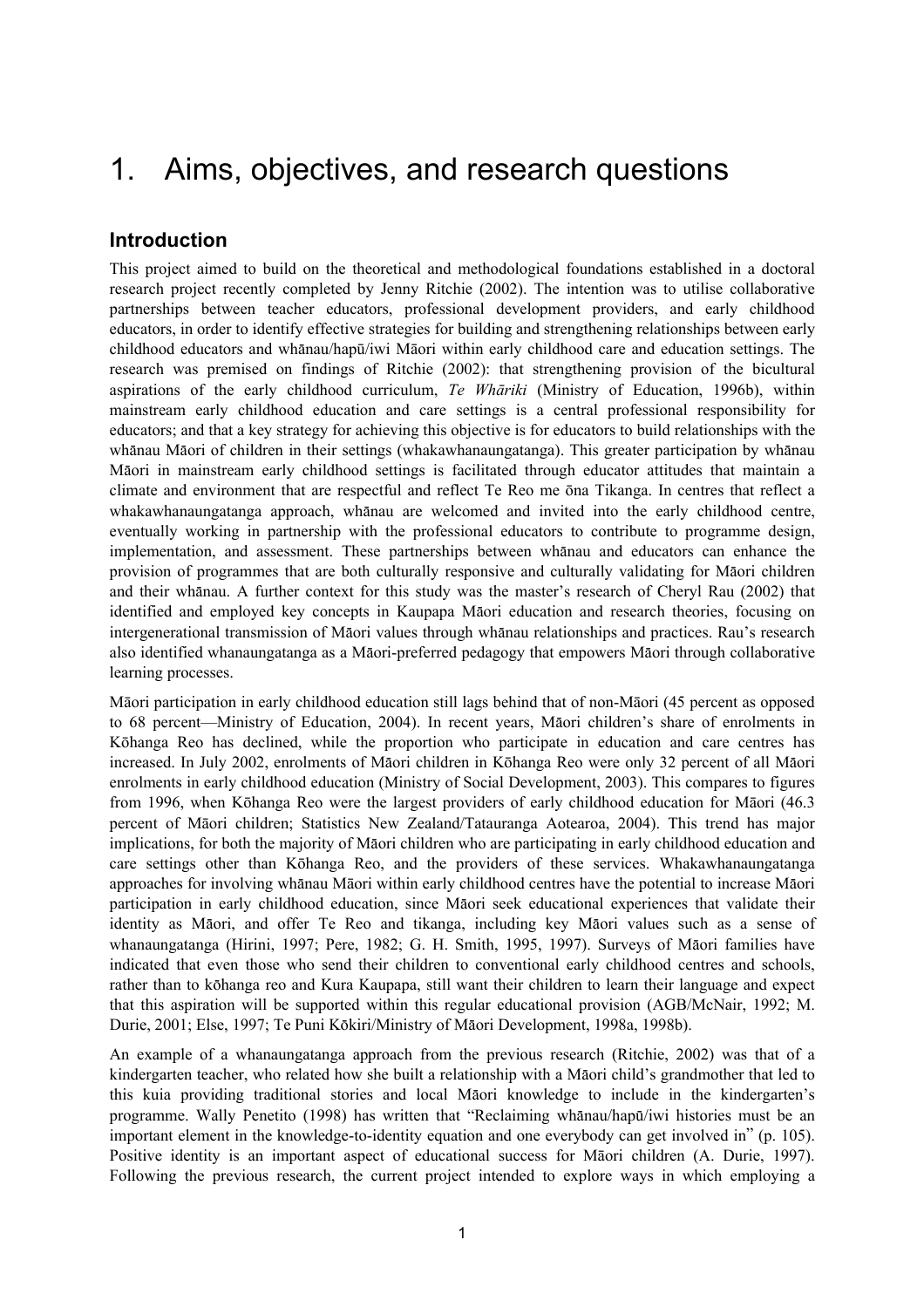# 1. Aims, objectives, and research questions

### **Introduction**

This project aimed to build on the theoretical and methodological foundations established in a doctoral research project recently completed by Jenny Ritchie (2002). The intention was to utilise collaborative partnerships between teacher educators, professional development providers, and early childhood educators, in order to identify effective strategies for building and strengthening relationships between early childhood educators and whänau/hapū/iwi Māori within early childhood care and education settings. The research was premised on findings of Ritchie (2002): that strengthening provision of the bicultural aspirations of the early childhood curriculum, *Te Whāriki* (Ministry of Education, 1996b), within mainstream early childhood education and care settings is a central professional responsibility for educators; and that a key strategy for achieving this objective is for educators to build relationships with the whänau Mäori of children in their settings (whakawhanaungatanga). This greater participation by whänau Mäori in mainstream early childhood settings is facilitated through educator attitudes that maintain a climate and environment that are respectful and reflect Te Reo me ōna Tikanga. In centres that reflect a whakawhanaungatanga approach, whänau are welcomed and invited into the early childhood centre, eventually working in partnership with the professional educators to contribute to programme design, implementation, and assessment. These partnerships between whänau and educators can enhance the provision of programmes that are both culturally responsive and culturally validating for Mäori children and their whänau. A further context for this study was the master's research of Cheryl Rau (2002) that identified and employed key concepts in Kaupapa Mäori education and research theories, focusing on intergenerational transmission of Mäori values through whänau relationships and practices. Rau's research also identified whanaungatanga as a Mäori-preferred pedagogy that empowers Mäori through collaborative learning processes.

Māori participation in early childhood education still lags behind that of non-Māori (45 percent as opposed to 68 percent—Ministry of Education, 2004). In recent years, Mäori children's share of enrolments in Kōhanga Reo has declined, while the proportion who participate in education and care centres has increased. In July 2002, enrolments of Mäori children in Kōhanga Reo were only 32 percent of all Mäori enrolments in early childhood education (Ministry of Social Development, 2003). This compares to figures from 1996, when Kōhanga Reo were the largest providers of early childhood education for Māori (46.3 percent of Māori children; Statistics New Zealand/Tatauranga Aotearoa, 2004). This trend has major implications, for both the majority of Mäori children who are participating in early childhood education and care settings other than Kōhanga Reo, and the providers of these services. Whakawhanaungatanga approaches for involving whänau Māori within early childhood centres have the potential to increase Mäori participation in early childhood education, since Mäori seek educational experiences that validate their identity as Mäori, and offer Te Reo and tikanga, including key Mäori values such as a sense of whanaungatanga (Hirini, 1997; Pere, 1982; G. H. Smith, 1995, 1997). Surveys of Mäori families have indicated that even those who send their children to conventional early childhood centres and schools, rather than to köhanga reo and Kura Kaupapa, still want their children to learn their language and expect that this aspiration will be supported within this regular educational provision (AGB/McNair, 1992; M. Durie, 2001; Else, 1997; Te Puni Kökiri/Ministry of Mäori Development, 1998a, 1998b).

An example of a whanaungatanga approach from the previous research (Ritchie, 2002) was that of a kindergarten teacher, who related how she built a relationship with a Mäori child's grandmother that led to this kuia providing traditional stories and local Mäori knowledge to include in the kindergarten's programme. Wally Penetito (1998) has written that "Reclaiming whänau/hapü/iwi histories must be an important element in the knowledge-to-identity equation and one everybody can get involved in" (p. 105). Positive identity is an important aspect of educational success for Māori children (A. Durie, 1997). Following the previous research, the current project intended to explore ways in which employing a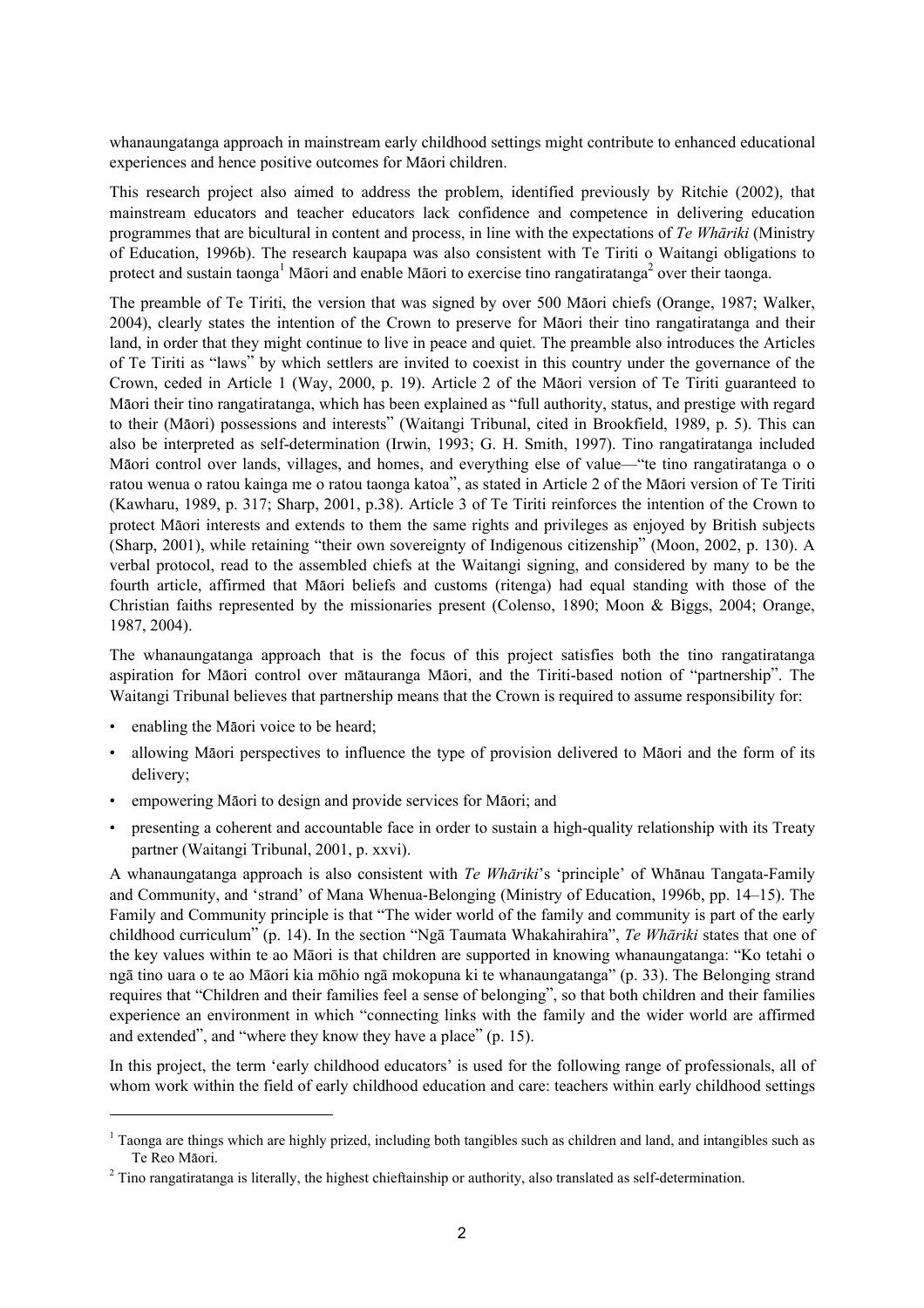whanaungatanga approach in mainstream early childhood settings might contribute to enhanced educational experiences and hence positive outcomes for Mäori children.

This research project also aimed to address the problem, identified previously by Ritchie (2002), that mainstream educators and teacher educators lack confidence and competence in delivering education programmes that are bicultural in content and process, in line with the expectations of *Te Whāriki* (Ministry of Education, 1996b). The research kaupapa was also consistent with Te Tiriti o Waitangi obligations to protect and sustain taonga<sup>1</sup> Māori and enable Māori to exercise tino rangatiratanga<sup>2</sup> over their taonga.

The preamble of Te Tiriti, the version that was signed by over 500 Mäori chiefs (Orange, 1987; Walker, 2004), clearly states the intention of the Crown to preserve for Mäori their tino rangatiratanga and their land, in order that they might continue to live in peace and quiet. The preamble also introduces the Articles of Te Tiriti as "laws" by which settlers are invited to coexist in this country under the governance of the Crown, ceded in Article 1 (Way, 2000, p. 19). Article 2 of the Mäori version of Te Tiriti guaranteed to Mäori their tino rangatiratanga, which has been explained as "full authority, status, and prestige with regard to their (Mäori) possessions and interests" (Waitangi Tribunal, cited in Brookfield, 1989, p. 5). This can also be interpreted as self-determination (Irwin, 1993; G. H. Smith, 1997). Tino rangatiratanga included Mäori control over lands, villages, and homes, and everything else of value—"te tino rangatiratanga o o ratou wenua o ratou kainga me o ratou taonga katoa", as stated in Article 2 of the Mäori version of Te Tiriti (Kawharu, 1989, p. 317; Sharp, 2001, p.38). Article 3 of Te Tiriti reinforces the intention of the Crown to protect Mäori interests and extends to them the same rights and privileges as enjoyed by British subjects (Sharp, 2001), while retaining "their own sovereignty of Indigenous citizenship" (Moon, 2002, p. 130). A verbal protocol, read to the assembled chiefs at the Waitangi signing, and considered by many to be the fourth article, affirmed that Mäori beliefs and customs (ritenga) had equal standing with those of the Christian faiths represented by the missionaries present (Colenso, 1890; Moon & Biggs, 2004; Orange, 1987, 2004).

The whanaungatanga approach that is the focus of this project satisfies both the tino rangatiratanga aspiration for Mäori control over mätauranga Mäori, and the Tiriti-based notion of "partnership". The Waitangi Tribunal believes that partnership means that the Crown is required to assume responsibility for:

enabling the Māori voice to be heard:

 $\overline{a}$ 

- allowing Mäori perspectives to influence the type of provision delivered to Mäori and the form of its delivery;
- empowering Mäori to design and provide services for Mäori; and
- presenting a coherent and accountable face in order to sustain a high-quality relationship with its Treaty partner (Waitangi Tribunal, 2001, p. xxvi).

A whanaungatanga approach is also consistent with *Te Whäriki*'s 'principle' of Whänau Tangata-Family and Community, and 'strand' of Mana Whenua-Belonging (Ministry of Education, 1996b, pp. 14–15). The Family and Community principle is that "The wider world of the family and community is part of the early childhood curriculum" (p. 14). In the section "Ngā Taumata Whakahirahira", *Te Whāriki* states that one of the key values within te ao Māori is that children are supported in knowing whanaungatanga: "Ko tetahi o ngā tino uara o te ao Māori kia mōhio ngā mokopuna ki te whanaungatanga" (p. 33). The Belonging strand requires that "Children and their families feel a sense of belonging", so that both children and their families experience an environment in which "connecting links with the family and the wider world are affirmed and extended", and "where they know they have a place" (p. 15).

In this project, the term 'early childhood educators' is used for the following range of professionals, all of whom work within the field of early childhood education and care: teachers within early childhood settings

<sup>&</sup>lt;sup>1</sup> Taonga are things which are highly prized, including both tangibles such as children and land, and intangibles such as Te Reo Mäori. 2

<sup>&</sup>lt;sup>2</sup> Tino rangatiratanga is literally, the highest chieftainship or authority, also translated as self-determination.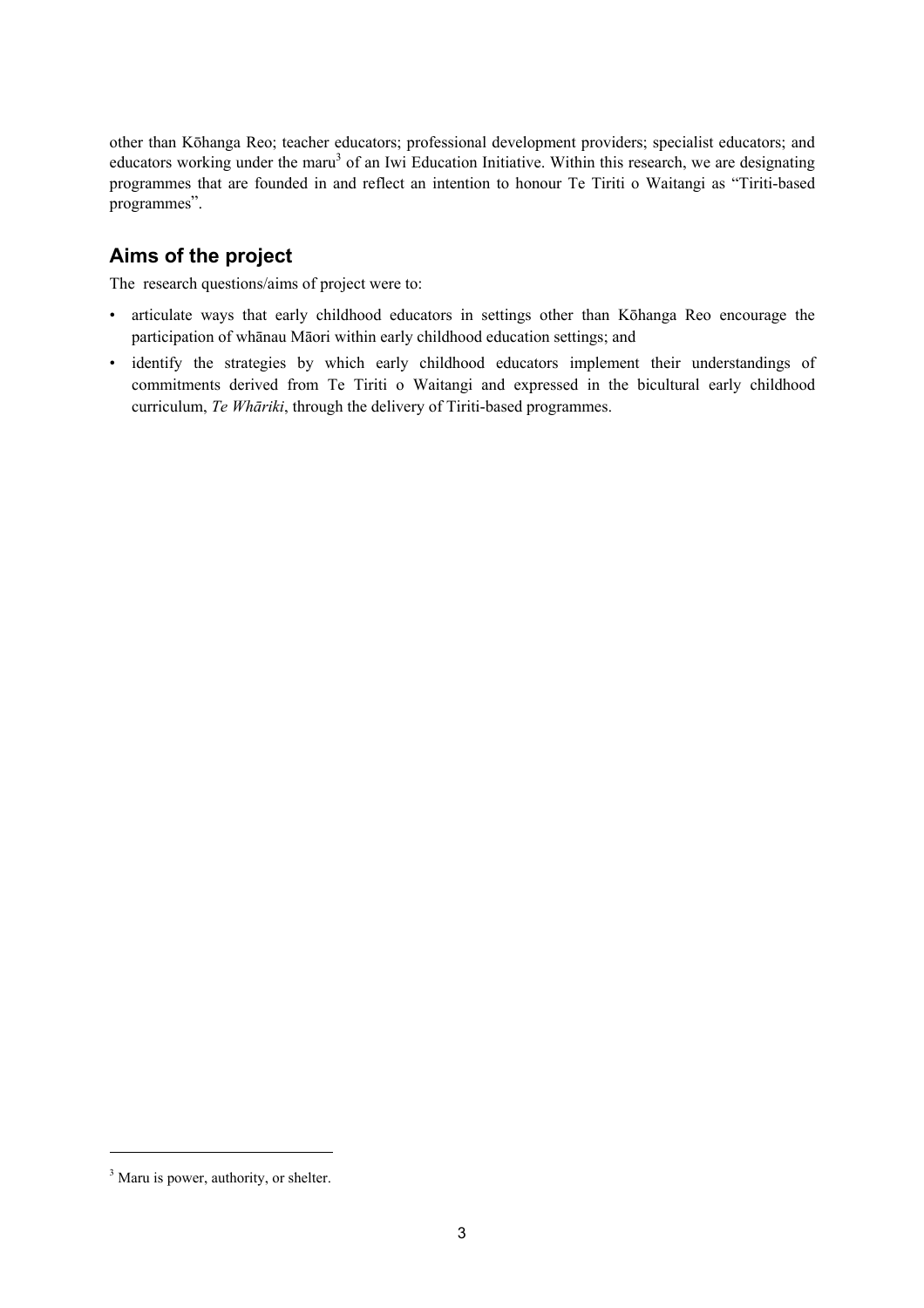other than Kōhanga Reo; teacher educators; professional development providers; specialist educators; and educators working under the maru<sup>3</sup> of an Iwi Education Initiative. Within this research, we are designating programmes that are founded in and reflect an intention to honour Te Tiriti o Waitangi as "Tiriti-based programmes".

# **Aims of the project**

The research questions/aims of project were to:

- articulate ways that early childhood educators in settings other than Kōhanga Reo encourage the participation of whānau Māori within early childhood education settings; and
- identify the strategies by which early childhood educators implement their understandings of commitments derived from Te Tiriti o Waitangi and expressed in the bicultural early childhood curriculum, *Te Whāriki*, through the delivery of Tiriti-based programmes.

<sup>&</sup>lt;sup>3</sup> Maru is power, authority, or shelter.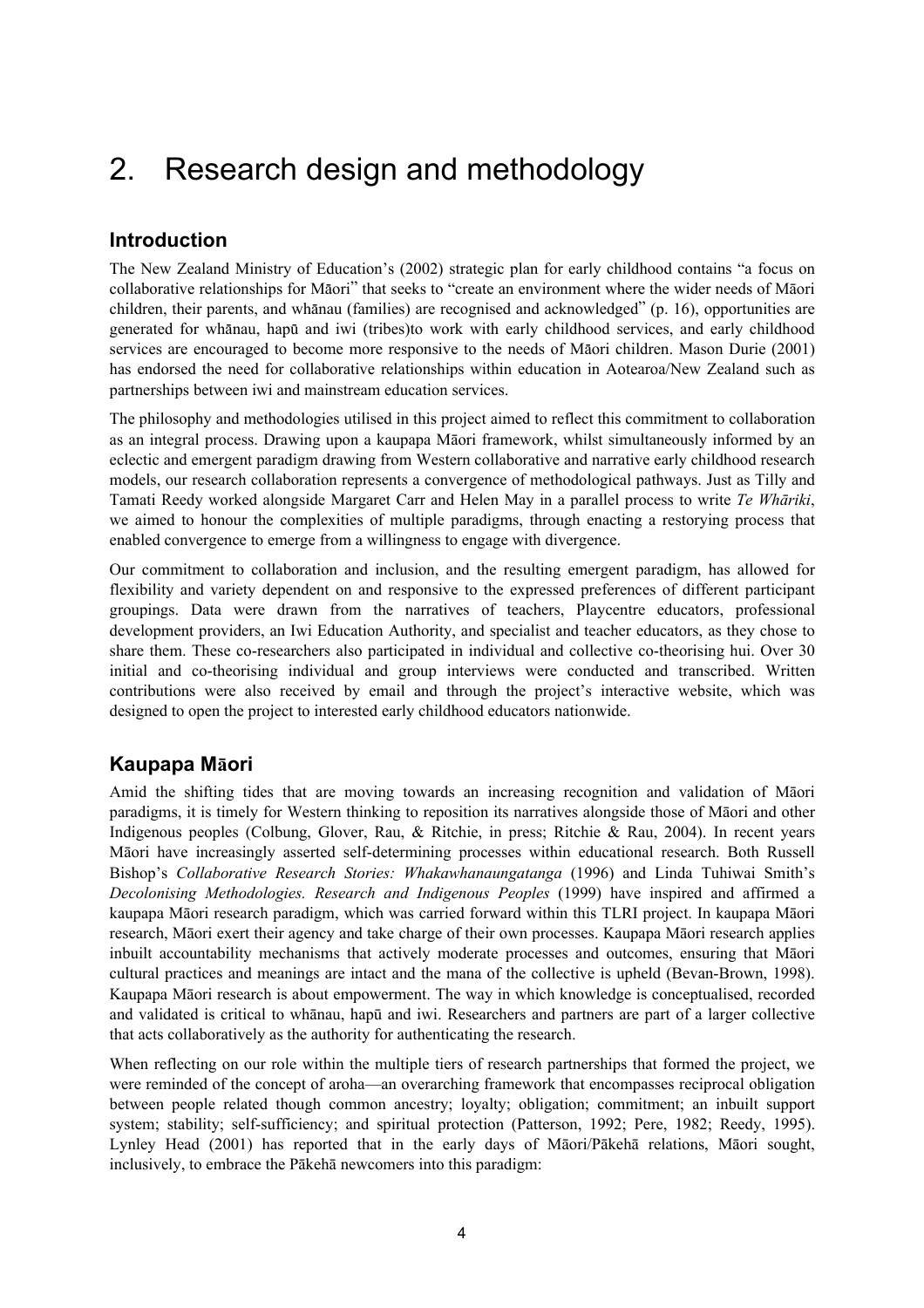# 2. Research design and methodology

# **Introduction**

The New Zealand Ministry of Education's (2002) strategic plan for early childhood contains "a focus on collaborative relationships for Mäori" that seeks to "create an environment where the wider needs of Māori children, their parents, and whänau (families) are recognised and acknowledged" (p. 16), opportunities are generated for whänau, hapü and iwi (tribes)to work with early childhood services, and early childhood services are encouraged to become more responsive to the needs of Mäori children. Mason Durie (2001) has endorsed the need for collaborative relationships within education in Aotearoa/New Zealand such as partnerships between iwi and mainstream education services.

The philosophy and methodologies utilised in this project aimed to reflect this commitment to collaboration as an integral process. Drawing upon a kaupapa Māori framework, whilst simultaneously informed by an eclectic and emergent paradigm drawing from Western collaborative and narrative early childhood research models, our research collaboration represents a convergence of methodological pathways. Just as Tilly and Tamati Reedy worked alongside Margaret Carr and Helen May in a parallel process to write *Te Whāriki*, we aimed to honour the complexities of multiple paradigms, through enacting a restorying process that enabled convergence to emerge from a willingness to engage with divergence.

Our commitment to collaboration and inclusion, and the resulting emergent paradigm, has allowed for flexibility and variety dependent on and responsive to the expressed preferences of different participant groupings. Data were drawn from the narratives of teachers, Playcentre educators, professional development providers, an Iwi Education Authority, and specialist and teacher educators, as they chose to share them. These co-researchers also participated in individual and collective co-theorising hui. Over 30 initial and co-theorising individual and group interviews were conducted and transcribed. Written contributions were also received by email and through the project's interactive website, which was designed to open the project to interested early childhood educators nationwide.

### **Kaupapa Māori**

Amid the shifting tides that are moving towards an increasing recognition and validation of Māori paradigms, it is timely for Western thinking to reposition its narratives alongside those of Māori and other Indigenous peoples (Colbung, Glover, Rau, & Ritchie, in press; Ritchie & Rau, 2004). In recent years Māori have increasingly asserted self-determining processes within educational research. Both Russell Bishop's *Collaborative Research Stories: Whakawhanaungatanga* (1996) and Linda Tuhiwai Smith's *Decolonising Methodologies. Research and Indigenous Peoples* (1999) have inspired and affirmed a kaupapa Māori research paradigm, which was carried forward within this TLRI project. In kaupapa Māori research, Māori exert their agency and take charge of their own processes. Kaupapa Māori research applies inbuilt accountability mechanisms that actively moderate processes and outcomes, ensuring that Māori cultural practices and meanings are intact and the mana of the collective is upheld (Bevan-Brown, 1998). Kaupapa Māori research is about empowerment. The way in which knowledge is conceptualised, recorded and validated is critical to whānau, hapū and iwi. Researchers and partners are part of a larger collective that acts collaboratively as the authority for authenticating the research.

When reflecting on our role within the multiple tiers of research partnerships that formed the project, we were reminded of the concept of aroha—an overarching framework that encompasses reciprocal obligation between people related though common ancestry; loyalty; obligation; commitment; an inbuilt support system; stability; self-sufficiency; and spiritual protection (Patterson, 1992; Pere, 1982; Reedy, 1995). Lynley Head (2001) has reported that in the early days of Māori/Pākehā relations, Māori sought, inclusively, to embrace the Pākehā newcomers into this paradigm: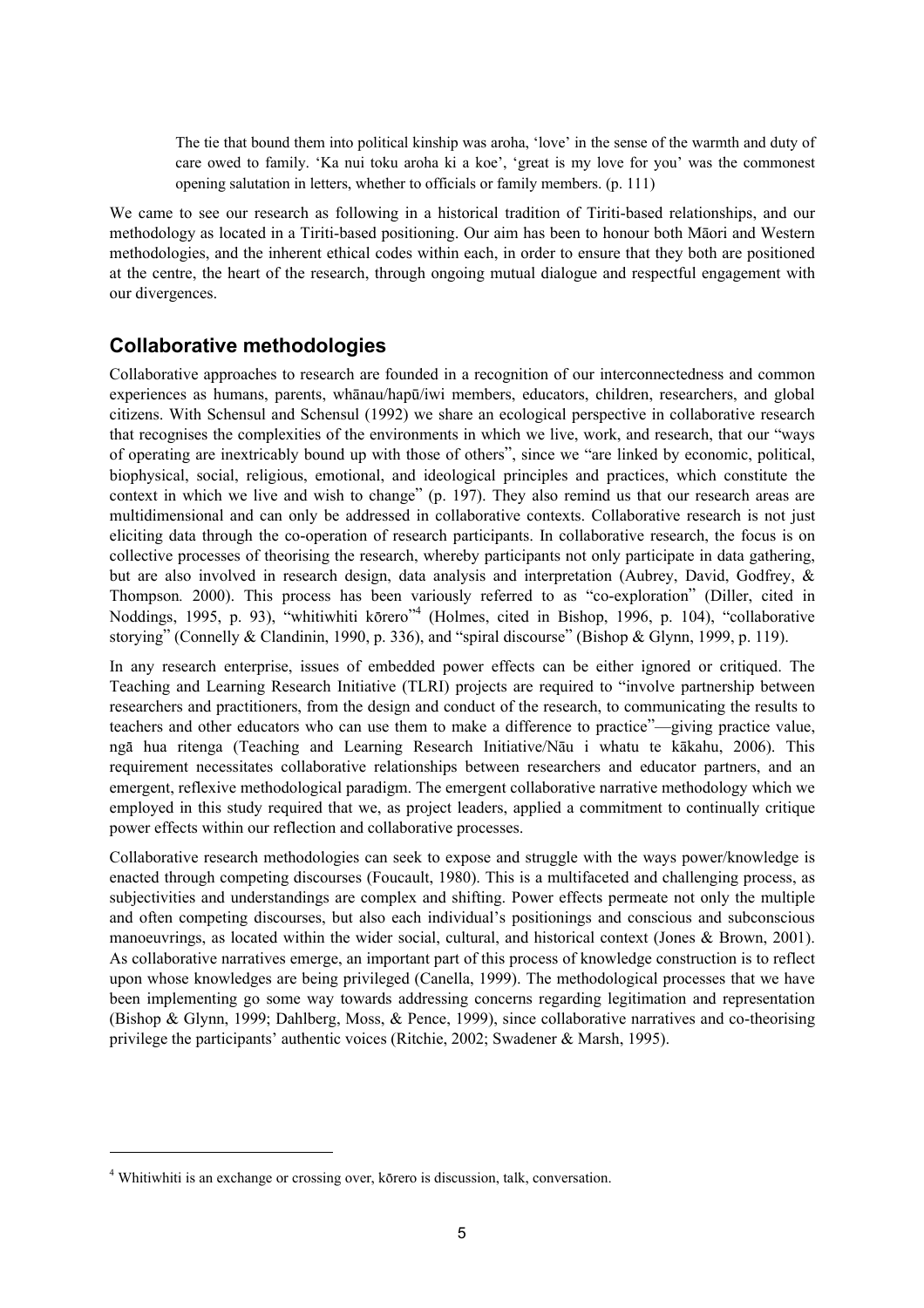The tie that bound them into political kinship was aroha, 'love' in the sense of the warmth and duty of care owed to family. 'Ka nui toku aroha ki a koe', 'great is my love for you' was the commonest opening salutation in letters, whether to officials or family members. (p. 111)

We came to see our research as following in a historical tradition of Tiriti-based relationships, and our methodology as located in a Tiriti-based positioning. Our aim has been to honour both Māori and Western methodologies, and the inherent ethical codes within each, in order to ensure that they both are positioned at the centre, the heart of the research, through ongoing mutual dialogue and respectful engagement with our divergences.

# **Collaborative methodologies**

Collaborative approaches to research are founded in a recognition of our interconnectedness and common experiences as humans, parents, whānau/hapū/iwi members, educators, children, researchers, and global citizens. With Schensul and Schensul (1992) we share an ecological perspective in collaborative research that recognises the complexities of the environments in which we live, work, and research, that our "ways of operating are inextricably bound up with those of others", since we "are linked by economic, political, biophysical, social, religious, emotional, and ideological principles and practices, which constitute the context in which we live and wish to change" (p. 197). They also remind us that our research areas are multidimensional and can only be addressed in collaborative contexts. Collaborative research is not just eliciting data through the co-operation of research participants. In collaborative research, the focus is on collective processes of theorising the research, whereby participants not only participate in data gathering, but are also involved in research design, data analysis and interpretation (Aubrey, David, Godfrey, & Thompson*.* 2000). This process has been variously referred to as "co-exploration" (Diller, cited in Noddings, 1995, p. 93), "whitiwhiti kōrero"<sup>4</sup> (Holmes, cited in Bishop, 1996, p. 104), "collaborative storying" (Connelly & Clandinin, 1990, p. 336), and "spiral discourse" (Bishop & Glynn, 1999, p. 119).

In any research enterprise, issues of embedded power effects can be either ignored or critiqued. The Teaching and Learning Research Initiative (TLRI) projects are required to "involve partnership between researchers and practitioners, from the design and conduct of the research, to communicating the results to teachers and other educators who can use them to make a difference to practice"—giving practice value, ngä hua ritenga (Teaching and Learning Research Initiative/Nāu i whatu te kākahu, 2006). This requirement necessitates collaborative relationships between researchers and educator partners, and an emergent, reflexive methodological paradigm. The emergent collaborative narrative methodology which we employed in this study required that we, as project leaders, applied a commitment to continually critique power effects within our reflection and collaborative processes.

Collaborative research methodologies can seek to expose and struggle with the ways power/knowledge is enacted through competing discourses (Foucault, 1980). This is a multifaceted and challenging process, as subjectivities and understandings are complex and shifting. Power effects permeate not only the multiple and often competing discourses, but also each individual's positionings and conscious and subconscious manoeuvrings, as located within the wider social, cultural, and historical context (Jones & Brown, 2001). As collaborative narratives emerge, an important part of this process of knowledge construction is to reflect upon whose knowledges are being privileged (Canella, 1999). The methodological processes that we have been implementing go some way towards addressing concerns regarding legitimation and representation (Bishop & Glynn, 1999; Dahlberg, Moss, & Pence, 1999), since collaborative narratives and co-theorising privilege the participants' authentic voices (Ritchie, 2002; Swadener & Marsh, 1995).

<sup>4</sup> Whitiwhiti is an exchange or crossing over, körero is discussion, talk, conversation.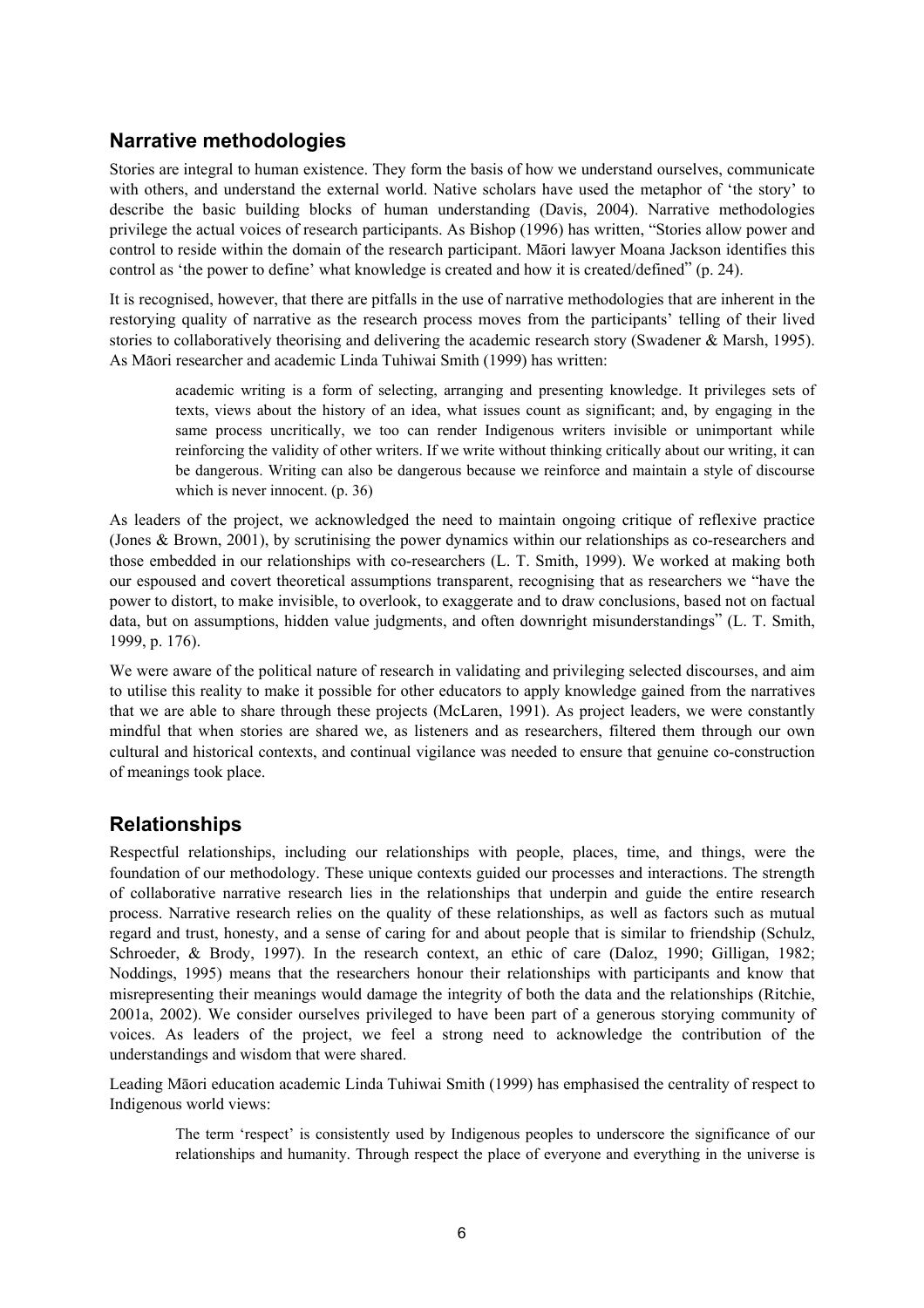# **Narrative methodologies**

Stories are integral to human existence. They form the basis of how we understand ourselves, communicate with others, and understand the external world. Native scholars have used the metaphor of 'the story' to describe the basic building blocks of human understanding (Davis, 2004). Narrative methodologies privilege the actual voices of research participants. As Bishop (1996) has written, "Stories allow power and control to reside within the domain of the research participant. Māori lawyer Moana Jackson identifies this control as 'the power to define' what knowledge is created and how it is created/defined" (p. 24).

It is recognised, however, that there are pitfalls in the use of narrative methodologies that are inherent in the restorying quality of narrative as the research process moves from the participants' telling of their lived stories to collaboratively theorising and delivering the academic research story (Swadener & Marsh, 1995). As Mäori researcher and academic Linda Tuhiwai Smith (1999) has written:

academic writing is a form of selecting, arranging and presenting knowledge. It privileges sets of texts, views about the history of an idea, what issues count as significant; and, by engaging in the same process uncritically, we too can render Indigenous writers invisible or unimportant while reinforcing the validity of other writers. If we write without thinking critically about our writing, it can be dangerous. Writing can also be dangerous because we reinforce and maintain a style of discourse which is never innocent. (p. 36)

As leaders of the project, we acknowledged the need to maintain ongoing critique of reflexive practice (Jones & Brown, 2001), by scrutinising the power dynamics within our relationships as co-researchers and those embedded in our relationships with co-researchers (L. T. Smith, 1999). We worked at making both our espoused and covert theoretical assumptions transparent, recognising that as researchers we "have the power to distort, to make invisible, to overlook, to exaggerate and to draw conclusions, based not on factual data, but on assumptions, hidden value judgments, and often downright misunderstandings" (L. T. Smith, 1999, p. 176).

We were aware of the political nature of research in validating and privileging selected discourses, and aim to utilise this reality to make it possible for other educators to apply knowledge gained from the narratives that we are able to share through these projects (McLaren, 1991). As project leaders, we were constantly mindful that when stories are shared we, as listeners and as researchers, filtered them through our own cultural and historical contexts, and continual vigilance was needed to ensure that genuine co-construction of meanings took place.

### **Relationships**

Respectful relationships, including our relationships with people, places, time, and things, were the foundation of our methodology. These unique contexts guided our processes and interactions. The strength of collaborative narrative research lies in the relationships that underpin and guide the entire research process. Narrative research relies on the quality of these relationships, as well as factors such as mutual regard and trust, honesty, and a sense of caring for and about people that is similar to friendship (Schulz, Schroeder, & Brody, 1997). In the research context, an ethic of care (Daloz, 1990; Gilligan, 1982; Noddings, 1995) means that the researchers honour their relationships with participants and know that misrepresenting their meanings would damage the integrity of both the data and the relationships (Ritchie, 2001a, 2002). We consider ourselves privileged to have been part of a generous storying community of voices. As leaders of the project, we feel a strong need to acknowledge the contribution of the understandings and wisdom that were shared.

Leading Māori education academic Linda Tuhiwai Smith (1999) has emphasised the centrality of respect to Indigenous world views:

The term 'respect' is consistently used by Indigenous peoples to underscore the significance of our relationships and humanity. Through respect the place of everyone and everything in the universe is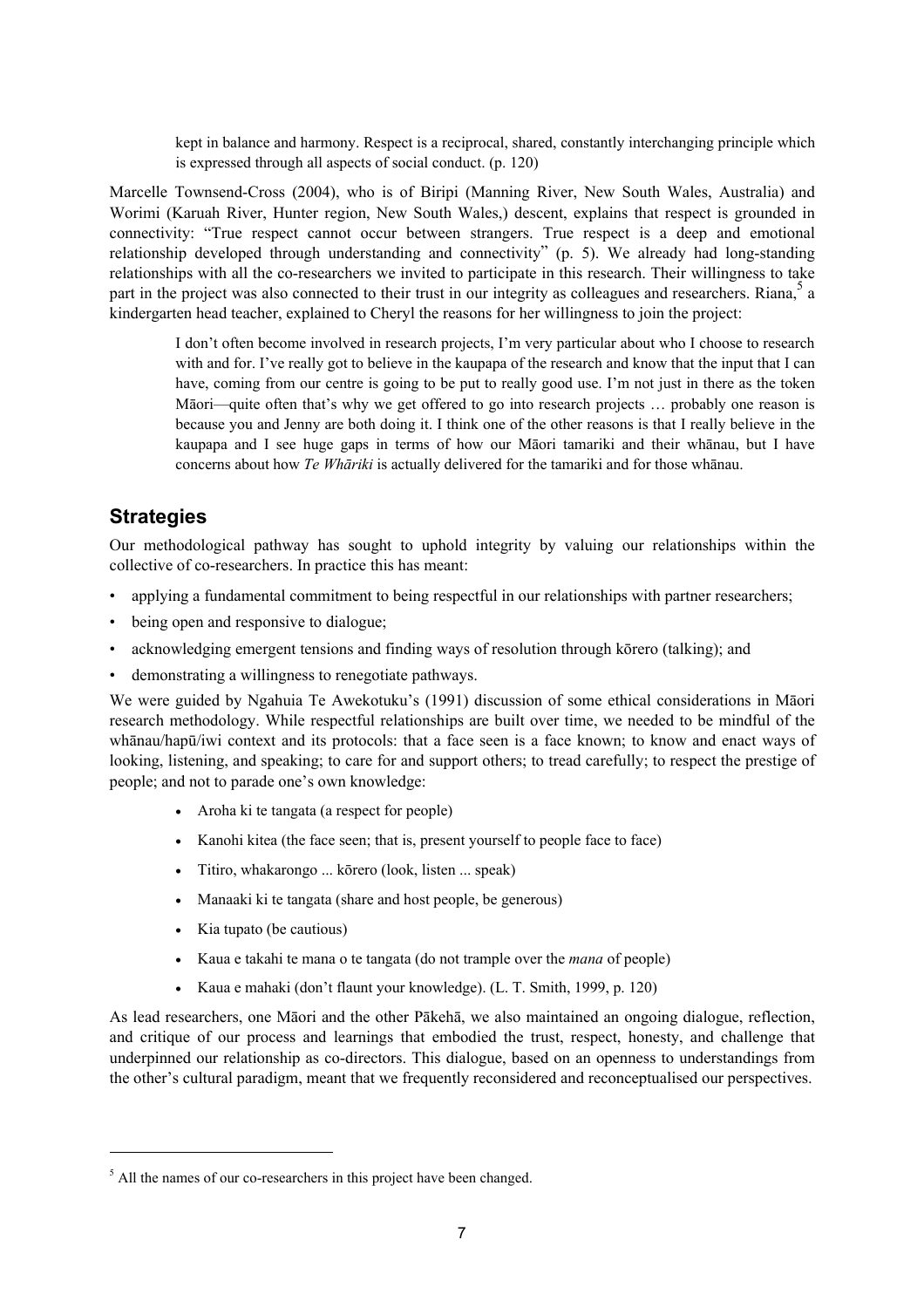kept in balance and harmony. Respect is a reciprocal, shared, constantly interchanging principle which is expressed through all aspects of social conduct. (p. 120)

Marcelle Townsend-Cross (2004), who is of Biripi (Manning River, New South Wales, Australia) and Worimi (Karuah River, Hunter region, New South Wales,) descent, explains that respect is grounded in connectivity: "True respect cannot occur between strangers. True respect is a deep and emotional relationship developed through understanding and connectivity" (p. 5). We already had long-standing relationships with all the co-researchers we invited to participate in this research. Their willingness to take part in the project was also connected to their trust in our integrity as colleagues and researchers. Riana,  $5$  a kindergarten head teacher, explained to Cheryl the reasons for her willingness to join the project:

I don't often become involved in research projects, I'm very particular about who I choose to research with and for. I've really got to believe in the kaupapa of the research and know that the input that I can have, coming from our centre is going to be put to really good use. I'm not just in there as the token Māori—quite often that's why we get offered to go into research projects … probably one reason is because you and Jenny are both doing it. I think one of the other reasons is that I really believe in the kaupapa and I see huge gaps in terms of how our Māori tamariki and their whānau, but I have concerns about how *Te Whāriki* is actually delivered for the tamariki and for those whānau.

# **Strategies**

 $\overline{a}$ 

Our methodological pathway has sought to uphold integrity by valuing our relationships within the collective of co-researchers. In practice this has meant:

- applying a fundamental commitment to being respectful in our relationships with partner researchers;
- being open and responsive to dialogue;
- acknowledging emergent tensions and finding ways of resolution through kōrero (talking); and
- demonstrating a willingness to renegotiate pathways.

We were guided by Ngahuia Te Awekotuku's (1991) discussion of some ethical considerations in Māori research methodology. While respectful relationships are built over time, we needed to be mindful of the whānau/hapū/iwi context and its protocols: that a face seen is a face known; to know and enact ways of looking, listening, and speaking; to care for and support others; to tread carefully; to respect the prestige of people; and not to parade one's own knowledge:

- Aroha ki te tangata (a respect for people)
- Kanohi kitea (the face seen; that is, present yourself to people face to face)
- Titiro, whakarongo ... kōrero (look, listen ... speak)
- Manaaki ki te tangata (share and host people, be generous)
- Kia tupato (be cautious)
- Kaua e takahi te mana o te tangata (do not trample over the *mana* of people)
- Kaua e mahaki (don't flaunt your knowledge). (L. T. Smith, 1999, p. 120)

As lead researchers, one Māori and the other Pākehā, we also maintained an ongoing dialogue, reflection, and critique of our process and learnings that embodied the trust, respect, honesty, and challenge that underpinned our relationship as co-directors. This dialogue, based on an openness to understandings from the other's cultural paradigm, meant that we frequently reconsidered and reconceptualised our perspectives.

 $<sup>5</sup>$  All the names of our co-researchers in this project have been changed.</sup>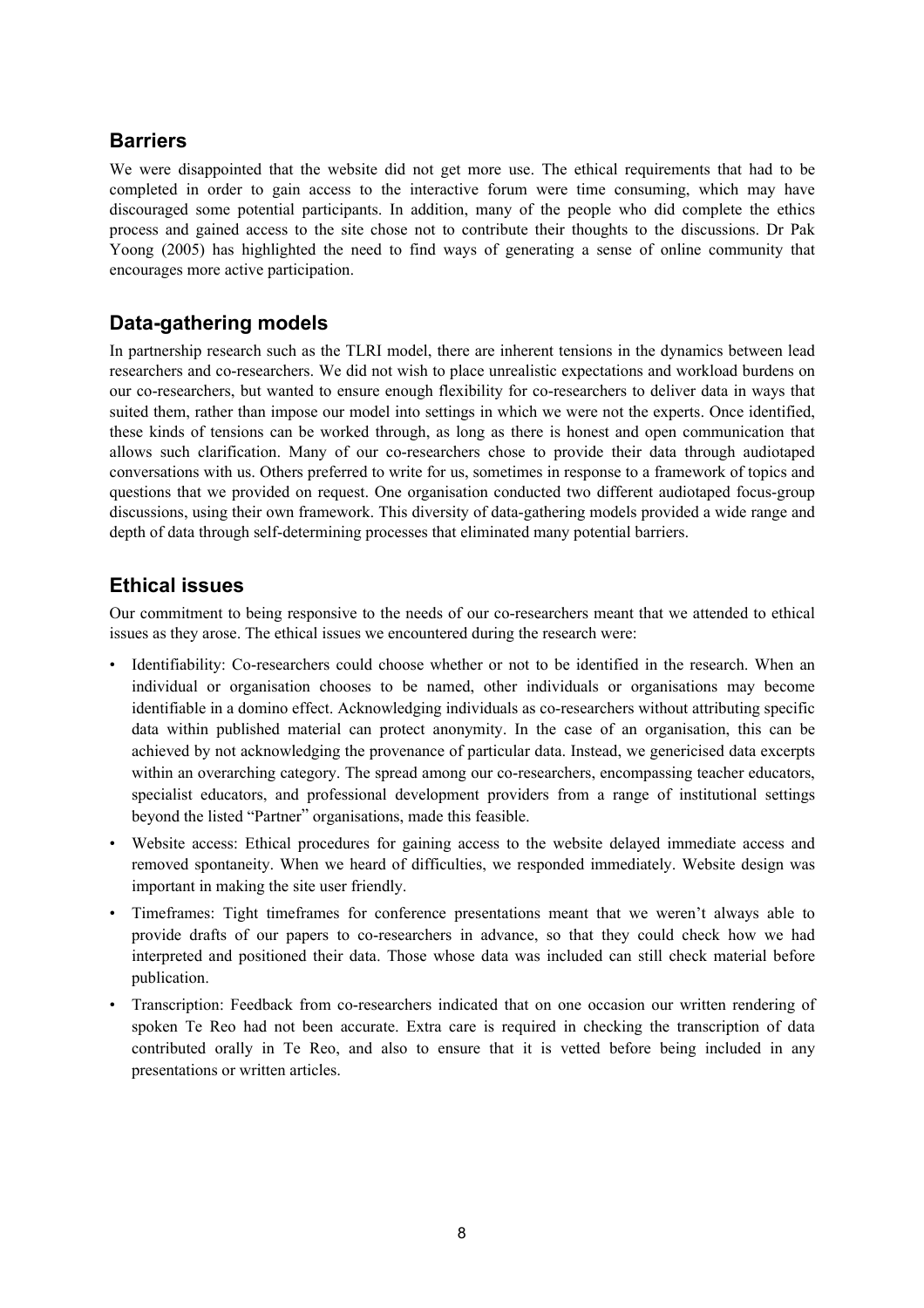# **Barriers**

We were disappointed that the website did not get more use. The ethical requirements that had to be completed in order to gain access to the interactive forum were time consuming, which may have discouraged some potential participants. In addition, many of the people who did complete the ethics process and gained access to the site chose not to contribute their thoughts to the discussions. Dr Pak Yoong (2005) has highlighted the need to find ways of generating a sense of online community that encourages more active participation.

# **Data-gathering models**

In partnership research such as the TLRI model, there are inherent tensions in the dynamics between lead researchers and co-researchers. We did not wish to place unrealistic expectations and workload burdens on our co-researchers, but wanted to ensure enough flexibility for co-researchers to deliver data in ways that suited them, rather than impose our model into settings in which we were not the experts. Once identified, these kinds of tensions can be worked through, as long as there is honest and open communication that allows such clarification. Many of our co-researchers chose to provide their data through audiotaped conversations with us. Others preferred to write for us, sometimes in response to a framework of topics and questions that we provided on request. One organisation conducted two different audiotaped focus-group discussions, using their own framework. This diversity of data-gathering models provided a wide range and depth of data through self-determining processes that eliminated many potential barriers.

# **Ethical issues**

Our commitment to being responsive to the needs of our co-researchers meant that we attended to ethical issues as they arose. The ethical issues we encountered during the research were:

- Identifiability: Co-researchers could choose whether or not to be identified in the research. When an individual or organisation chooses to be named, other individuals or organisations may become identifiable in a domino effect. Acknowledging individuals as co-researchers without attributing specific data within published material can protect anonymity. In the case of an organisation, this can be achieved by not acknowledging the provenance of particular data. Instead, we genericised data excerpts within an overarching category. The spread among our co-researchers, encompassing teacher educators, specialist educators, and professional development providers from a range of institutional settings beyond the listed "Partner" organisations, made this feasible.
- Website access: Ethical procedures for gaining access to the website delayed immediate access and removed spontaneity. When we heard of difficulties, we responded immediately. Website design was important in making the site user friendly.
- Timeframes: Tight timeframes for conference presentations meant that we weren't always able to provide drafts of our papers to co-researchers in advance, so that they could check how we had interpreted and positioned their data. Those whose data was included can still check material before publication.
- Transcription: Feedback from co-researchers indicated that on one occasion our written rendering of spoken Te Reo had not been accurate. Extra care is required in checking the transcription of data contributed orally in Te Reo, and also to ensure that it is vetted before being included in any presentations or written articles.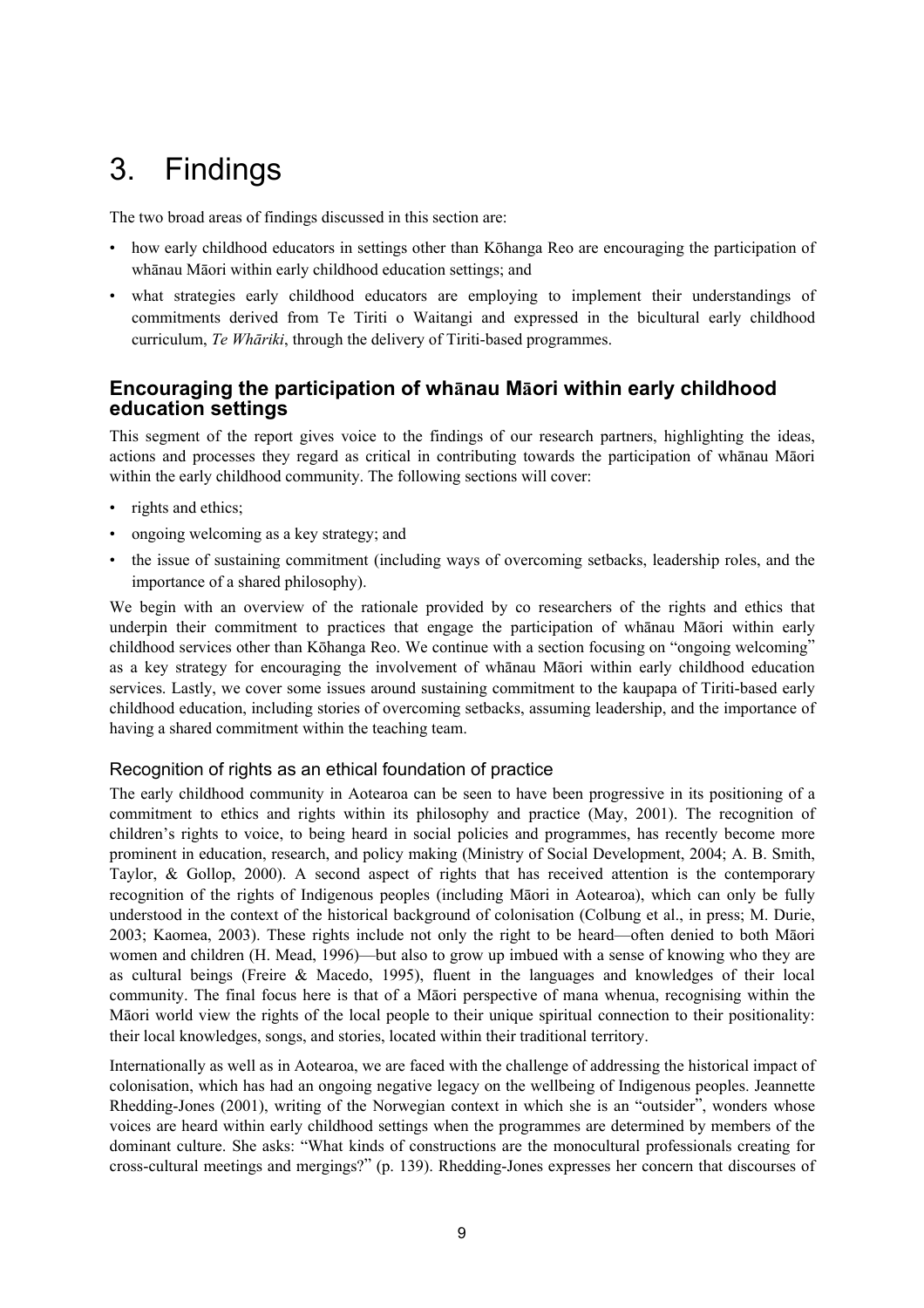# 3. Findings

The two broad areas of findings discussed in this section are:

- how early childhood educators in settings other than Kōhanga Reo are encouraging the participation of whānau Māori within early childhood education settings; and
- what strategies early childhood educators are employing to implement their understandings of commitments derived from Te Tiriti o Waitangi and expressed in the bicultural early childhood curriculum, *Te Whāriki*, through the delivery of Tiriti-based programmes.

### **Encouraging the participation of whānau Māori within early childhood education settings**

This segment of the report gives voice to the findings of our research partners, highlighting the ideas, actions and processes they regard as critical in contributing towards the participation of whānau Māori within the early childhood community. The following sections will cover:

- rights and ethics:
- ongoing welcoming as a key strategy; and
- the issue of sustaining commitment (including ways of overcoming setbacks, leadership roles, and the importance of a shared philosophy).

We begin with an overview of the rationale provided by co researchers of the rights and ethics that underpin their commitment to practices that engage the participation of whānau Māori within early childhood services other than Kōhanga Reo. We continue with a section focusing on "ongoing welcoming" as a key strategy for encouraging the involvement of whānau Māori within early childhood education services. Lastly, we cover some issues around sustaining commitment to the kaupapa of Tiriti-based early childhood education, including stories of overcoming setbacks, assuming leadership, and the importance of having a shared commitment within the teaching team.

#### Recognition of rights as an ethical foundation of practice

The early childhood community in Aotearoa can be seen to have been progressive in its positioning of a commitment to ethics and rights within its philosophy and practice (May, 2001). The recognition of children's rights to voice, to being heard in social policies and programmes, has recently become more prominent in education, research, and policy making (Ministry of Social Development, 2004; A. B. Smith, Taylor, & Gollop, 2000). A second aspect of rights that has received attention is the contemporary recognition of the rights of Indigenous peoples (including Māori in Aotearoa), which can only be fully understood in the context of the historical background of colonisation (Colbung et al., in press; M. Durie, 2003; Kaomea, 2003). These rights include not only the right to be heard—often denied to both Māori women and children (H. Mead, 1996)—but also to grow up imbued with a sense of knowing who they are as cultural beings (Freire & Macedo, 1995), fluent in the languages and knowledges of their local community. The final focus here is that of a Māori perspective of mana whenua, recognising within the Māori world view the rights of the local people to their unique spiritual connection to their positionality: their local knowledges, songs, and stories, located within their traditional territory.

Internationally as well as in Aotearoa, we are faced with the challenge of addressing the historical impact of colonisation, which has had an ongoing negative legacy on the wellbeing of Indigenous peoples. Jeannette Rhedding-Jones (2001), writing of the Norwegian context in which she is an "outsider", wonders whose voices are heard within early childhood settings when the programmes are determined by members of the dominant culture. She asks: "What kinds of constructions are the monocultural professionals creating for cross-cultural meetings and mergings?" (p. 139). Rhedding-Jones expresses her concern that discourses of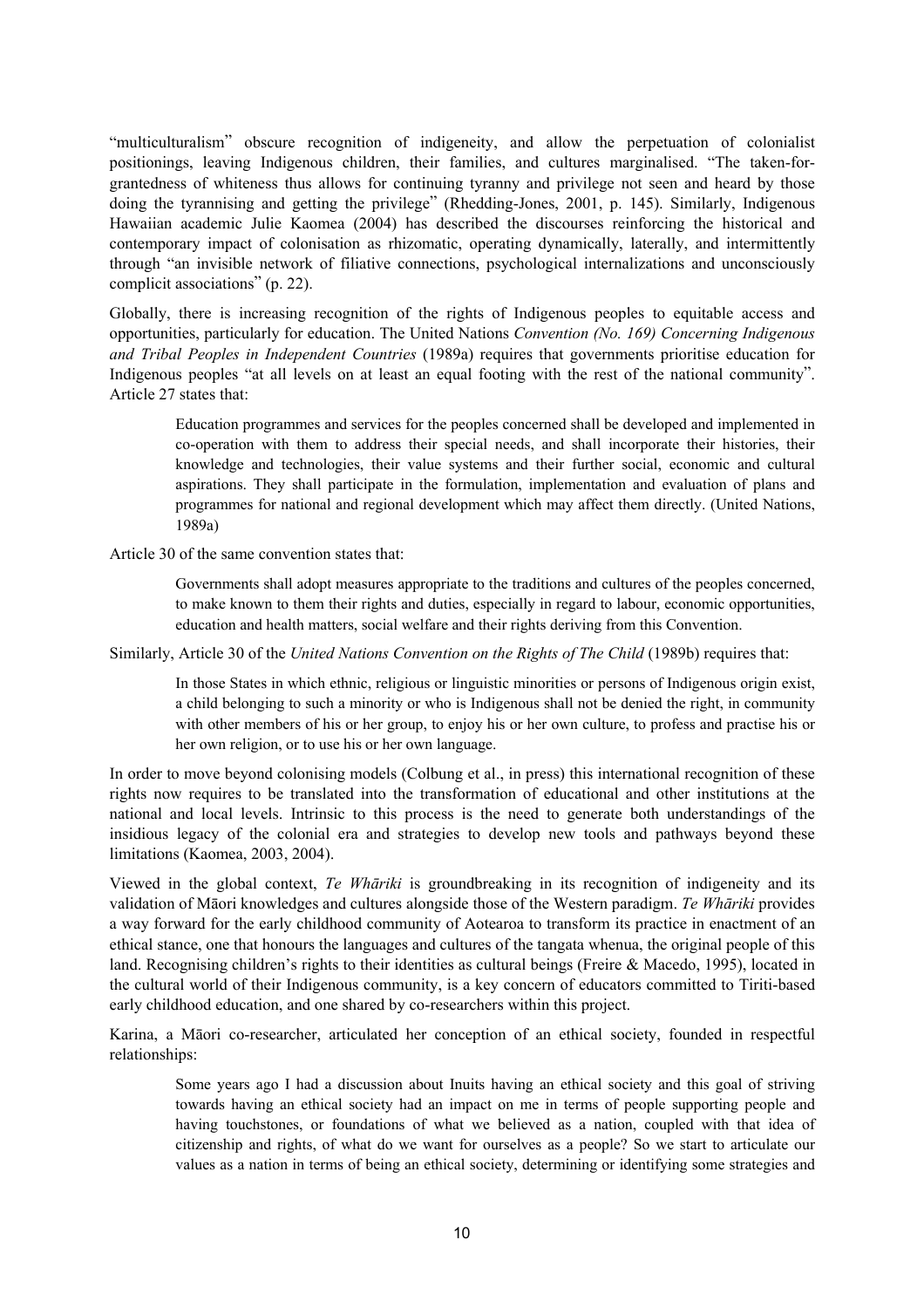"multiculturalism" obscure recognition of indigeneity, and allow the perpetuation of colonialist positionings, leaving Indigenous children, their families, and cultures marginalised. "The taken-forgrantedness of whiteness thus allows for continuing tyranny and privilege not seen and heard by those doing the tyrannising and getting the privilege" (Rhedding-Jones, 2001, p. 145). Similarly, Indigenous Hawaiian academic Julie Kaomea (2004) has described the discourses reinforcing the historical and contemporary impact of colonisation as rhizomatic, operating dynamically, laterally, and intermittently through "an invisible network of filiative connections, psychological internalizations and unconsciously complicit associations" (p. 22).

Globally, there is increasing recognition of the rights of Indigenous peoples to equitable access and opportunities, particularly for education. The United Nations *Convention (No. 169) Concerning Indigenous and Tribal Peoples in Independent Countries* (1989a) requires that governments prioritise education for Indigenous peoples "at all levels on at least an equal footing with the rest of the national community". Article 27 states that:

Education programmes and services for the peoples concerned shall be developed and implemented in co-operation with them to address their special needs, and shall incorporate their histories, their knowledge and technologies, their value systems and their further social, economic and cultural aspirations. They shall participate in the formulation, implementation and evaluation of plans and programmes for national and regional development which may affect them directly. (United Nations, 1989a)

Article 30 of the same convention states that:

Governments shall adopt measures appropriate to the traditions and cultures of the peoples concerned, to make known to them their rights and duties, especially in regard to labour, economic opportunities, education and health matters, social welfare and their rights deriving from this Convention.

Similarly, Article 30 of the *United Nations Convention on the Rights of The Child* (1989b) requires that:

In those States in which ethnic, religious or linguistic minorities or persons of Indigenous origin exist, a child belonging to such a minority or who is Indigenous shall not be denied the right, in community with other members of his or her group, to enjoy his or her own culture, to profess and practise his or her own religion, or to use his or her own language.

In order to move beyond colonising models (Colbung et al., in press) this international recognition of these rights now requires to be translated into the transformation of educational and other institutions at the national and local levels. Intrinsic to this process is the need to generate both understandings of the insidious legacy of the colonial era and strategies to develop new tools and pathways beyond these limitations (Kaomea, 2003, 2004).

Viewed in the global context, *Te Whāriki* is groundbreaking in its recognition of indigeneity and its validation of Māori knowledges and cultures alongside those of the Western paradigm. *Te Whāriki* provides a way forward for the early childhood community of Aotearoa to transform its practice in enactment of an ethical stance, one that honours the languages and cultures of the tangata whenua, the original people of this land. Recognising children's rights to their identities as cultural beings (Freire & Macedo, 1995), located in the cultural world of their Indigenous community, is a key concern of educators committed to Tiriti-based early childhood education, and one shared by co-researchers within this project.

Karina, a Māori co-researcher, articulated her conception of an ethical society, founded in respectful relationships:

Some years ago I had a discussion about Inuits having an ethical society and this goal of striving towards having an ethical society had an impact on me in terms of people supporting people and having touchstones, or foundations of what we believed as a nation, coupled with that idea of citizenship and rights, of what do we want for ourselves as a people? So we start to articulate our values as a nation in terms of being an ethical society, determining or identifying some strategies and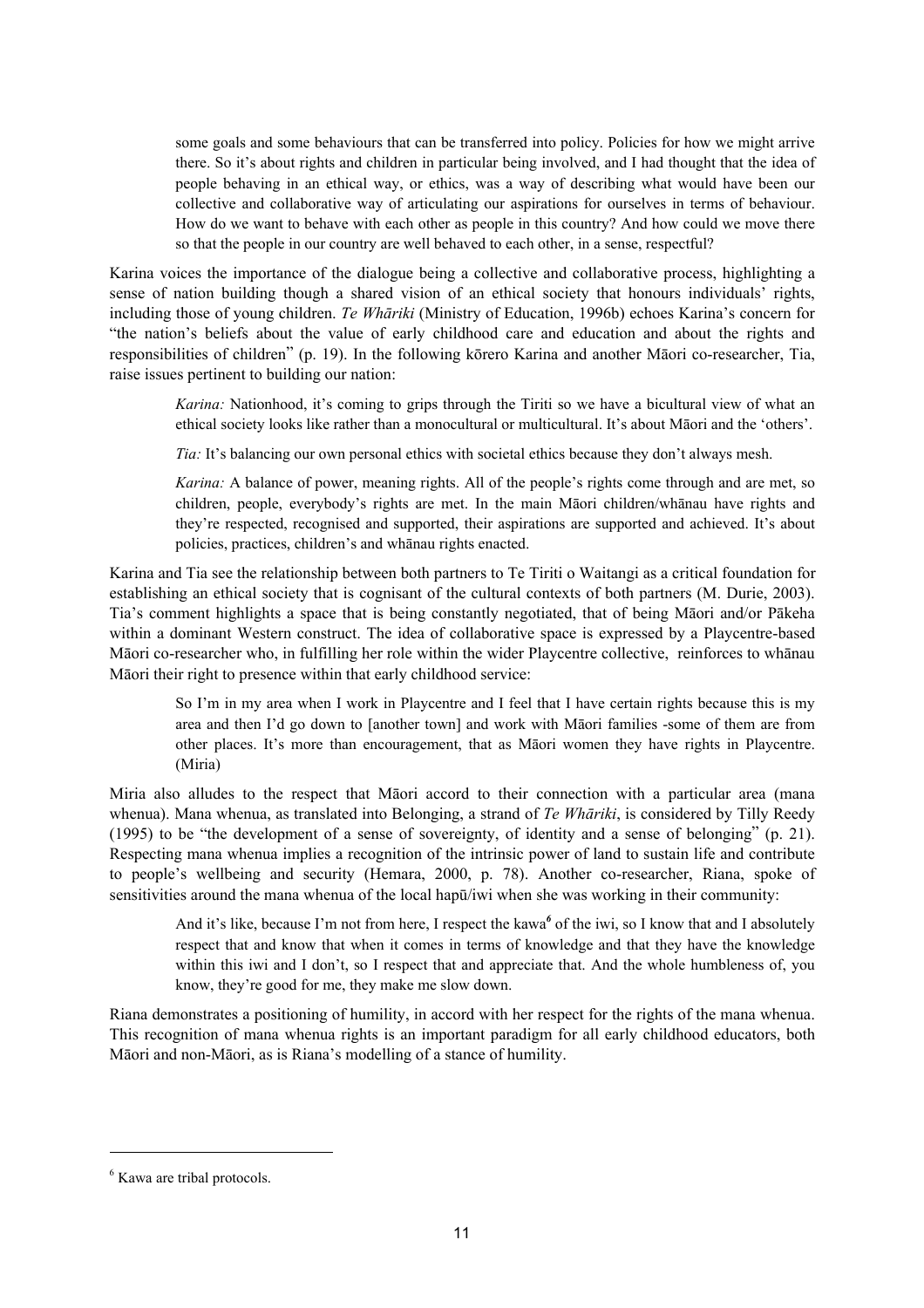some goals and some behaviours that can be transferred into policy. Policies for how we might arrive there. So it's about rights and children in particular being involved, and I had thought that the idea of people behaving in an ethical way, or ethics, was a way of describing what would have been our collective and collaborative way of articulating our aspirations for ourselves in terms of behaviour. How do we want to behave with each other as people in this country? And how could we move there so that the people in our country are well behaved to each other, in a sense, respectful?

Karina voices the importance of the dialogue being a collective and collaborative process, highlighting a sense of nation building though a shared vision of an ethical society that honours individuals' rights, including those of young children. *Te Whāriki* (Ministry of Education, 1996b) echoes Karina's concern for "the nation's beliefs about the value of early childhood care and education and about the rights and responsibilities of children" (p. 19). In the following kōrero Karina and another Māori co-researcher, Tia, raise issues pertinent to building our nation:

*Karina:* Nationhood, it's coming to grips through the Tiriti so we have a bicultural view of what an ethical society looks like rather than a monocultural or multicultural. It's about Māori and the 'others'.

*Tia:* It's balancing our own personal ethics with societal ethics because they don't always mesh.

*Karina:* A balance of power, meaning rights. All of the people's rights come through and are met, so children, people, everybody's rights are met. In the main Māori children/whānau have rights and they're respected, recognised and supported, their aspirations are supported and achieved. It's about policies, practices, children's and whānau rights enacted.

Karina and Tia see the relationship between both partners to Te Tiriti o Waitangi as a critical foundation for establishing an ethical society that is cognisant of the cultural contexts of both partners (M. Durie, 2003). Tia's comment highlights a space that is being constantly negotiated, that of being Māori and/or Pākeha within a dominant Western construct. The idea of collaborative space is expressed by a Playcentre-based Māori co-researcher who, in fulfilling her role within the wider Playcentre collective, reinforces to whānau Māori their right to presence within that early childhood service:

So I'm in my area when I work in Playcentre and I feel that I have certain rights because this is my area and then I'd go down to [another town] and work with Māori families -some of them are from other places. It's more than encouragement, that as Māori women they have rights in Playcentre. (Miria)

Miria also alludes to the respect that Māori accord to their connection with a particular area (mana whenua). Mana whenua, as translated into Belonging, a strand of *Te Whāriki*, is considered by Tilly Reedy (1995) to be "the development of a sense of sovereignty, of identity and a sense of belonging" (p. 21). Respecting mana whenua implies a recognition of the intrinsic power of land to sustain life and contribute to people's wellbeing and security (Hemara, 2000, p. 78). Another co-researcher, Riana, spoke of sensitivities around the mana whenua of the local hapū/iwi when she was working in their community:

And it's like, because I'm not from here, I respect the kawa<sup>6</sup> of the iwi, so I know that and I absolutely respect that and know that when it comes in terms of knowledge and that they have the knowledge within this iwi and I don't, so I respect that and appreciate that. And the whole humbleness of, you know, they're good for me, they make me slow down.

Riana demonstrates a positioning of humility, in accord with her respect for the rights of the mana whenua. This recognition of mana whenua rights is an important paradigm for all early childhood educators, both Māori and non-Māori, as is Riana's modelling of a stance of humility.

<sup>6</sup> Kawa are tribal protocols.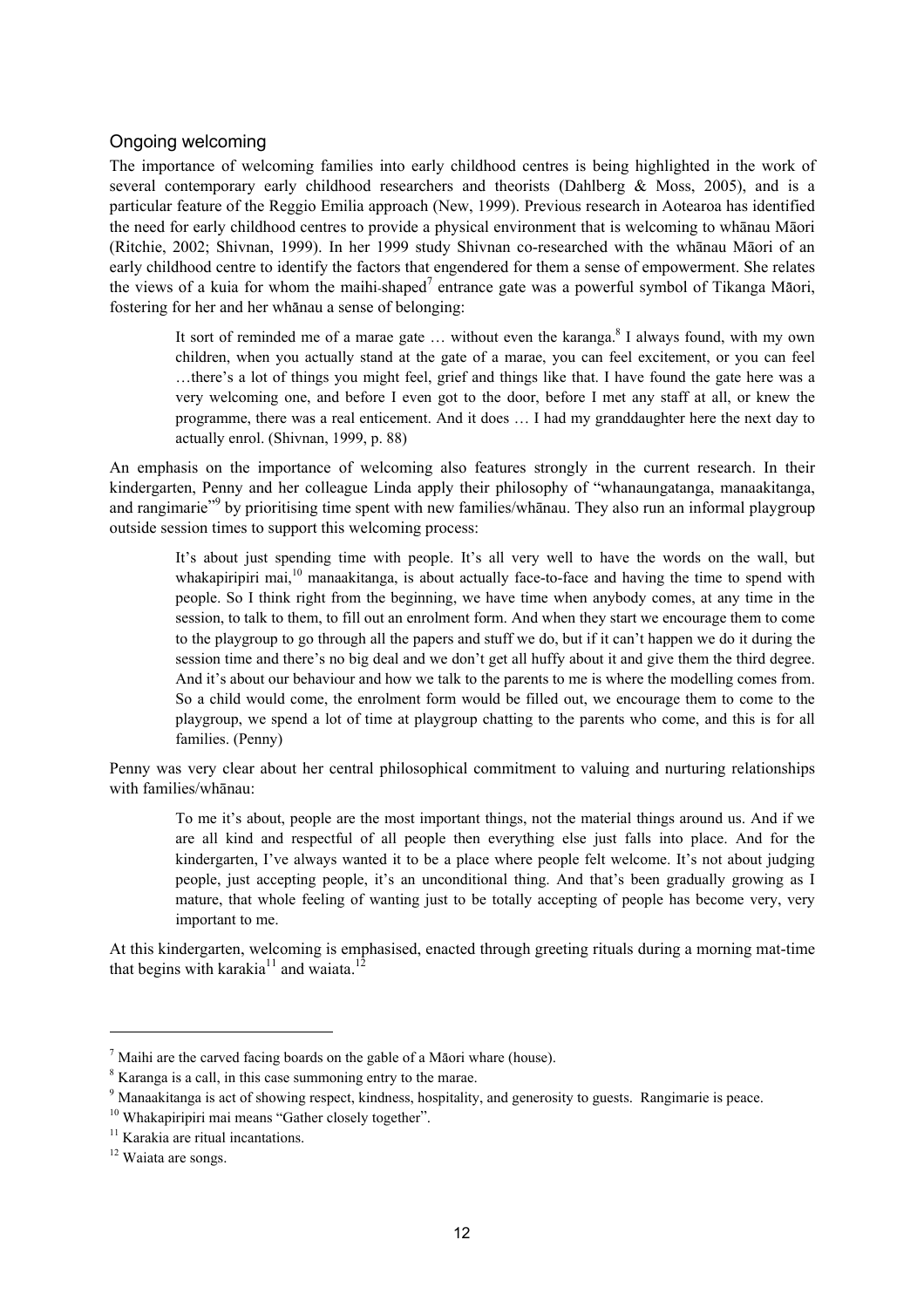#### Ongoing welcoming

The importance of welcoming families into early childhood centres is being highlighted in the work of several contemporary early childhood researchers and theorists (Dahlberg & Moss, 2005), and is a particular feature of the Reggio Emilia approach (New, 1999). Previous research in Aotearoa has identified the need for early childhood centres to provide a physical environment that is welcoming to whānau Māori (Ritchie, 2002; Shivnan, 1999). In her 1999 study Shivnan co-researched with the whānau Māori of an early childhood centre to identify the factors that engendered for them a sense of empowerment. She relates the views of a kuia for whom the maihi-shaped<sup>7</sup> entrance gate was a powerful symbol of Tikanga Māori, fostering for her and her whänau a sense of belonging:

It sort of reminded me of a marae gate  $\dots$  without even the karanga.<sup>8</sup> I always found, with my own children, when you actually stand at the gate of a marae, you can feel excitement, or you can feel …there's a lot of things you might feel, grief and things like that. I have found the gate here was a very welcoming one, and before I even got to the door, before I met any staff at all, or knew the programme, there was a real enticement. And it does … I had my granddaughter here the next day to actually enrol. (Shivnan, 1999, p. 88)

An emphasis on the importance of welcoming also features strongly in the current research. In their kindergarten, Penny and her colleague Linda apply their philosophy of "whanaungatanga, manaakitanga, and rangimarie<sup>"9</sup> by prioritising time spent with new families/whanau. They also run an informal playgroup outside session times to support this welcoming process:

It's about just spending time with people. It's all very well to have the words on the wall, but whakapiripiri mai,<sup>10</sup> manaakitanga, is about actually face-to-face and having the time to spend with people. So I think right from the beginning, we have time when anybody comes, at any time in the session, to talk to them, to fill out an enrolment form. And when they start we encourage them to come to the playgroup to go through all the papers and stuff we do, but if it can't happen we do it during the session time and there's no big deal and we don't get all huffy about it and give them the third degree. And it's about our behaviour and how we talk to the parents to me is where the modelling comes from. So a child would come, the enrolment form would be filled out, we encourage them to come to the playgroup, we spend a lot of time at playgroup chatting to the parents who come, and this is for all families. (Penny)

Penny was very clear about her central philosophical commitment to valuing and nurturing relationships with families/whānau:

To me it's about, people are the most important things, not the material things around us. And if we are all kind and respectful of all people then everything else just falls into place. And for the kindergarten, I've always wanted it to be a place where people felt welcome. It's not about judging people, just accepting people, it's an unconditional thing. And that's been gradually growing as I mature, that whole feeling of wanting just to be totally accepting of people has become very, very important to me.

At this kindergarten, welcoming is emphasised, enacted through greeting rituals during a morning mat-time that begins with karakia<sup>11</sup> and waiata.<sup>12</sup>

 $^7$  Maihi are the carved facing boards on the gable of a Mäori whare (house).

<sup>&</sup>lt;sup>8</sup> Karanga is a call, in this case summoning entry to the marae.

<sup>&</sup>lt;sup>9</sup> Manaakitanga is act of showing respect, kindness, hospitality, and generosity to guests. Rangimarie is peace. <sup>10</sup> Whakapiripiri mai means "Gather closely together".<br><sup>11</sup> Karakia are ritual incantations. <sup>12</sup> Waiata a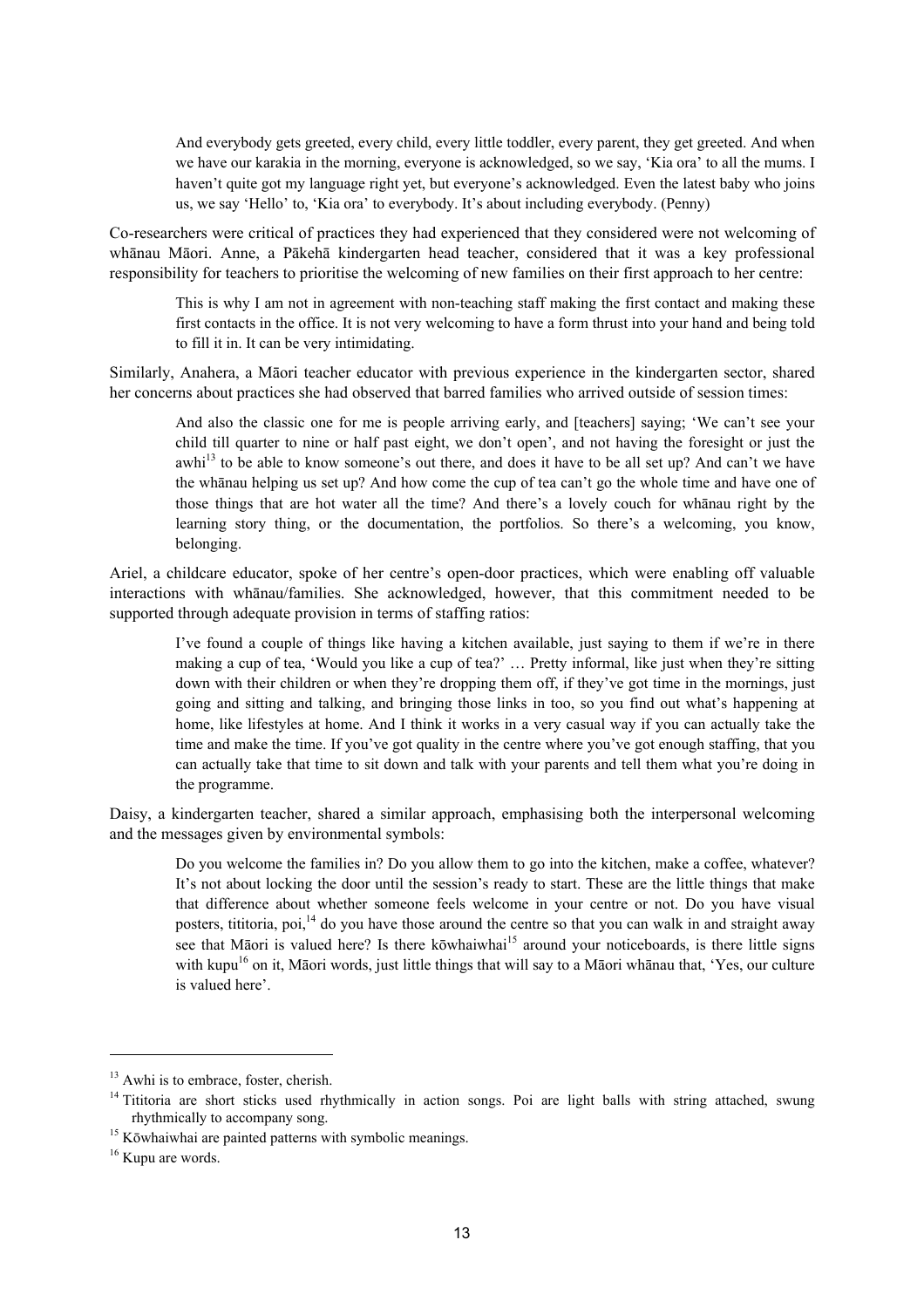And everybody gets greeted, every child, every little toddler, every parent, they get greeted. And when we have our karakia in the morning, everyone is acknowledged, so we say, 'Kia ora' to all the mums. I haven't quite got my language right yet, but everyone's acknowledged. Even the latest baby who joins us, we say 'Hello' to, 'Kia ora' to everybody. It's about including everybody. (Penny)

Co-researchers were critical of practices they had experienced that they considered were not welcoming of whānau Māori. Anne, a Pākehā kindergarten head teacher, considered that it was a key professional responsibility for teachers to prioritise the welcoming of new families on their first approach to her centre:

This is why I am not in agreement with non-teaching staff making the first contact and making these first contacts in the office. It is not very welcoming to have a form thrust into your hand and being told to fill it in. It can be very intimidating.

Similarly, Anahera, a Māori teacher educator with previous experience in the kindergarten sector, shared her concerns about practices she had observed that barred families who arrived outside of session times:

And also the classic one for me is people arriving early, and [teachers] saying; 'We can't see your child till quarter to nine or half past eight, we don't open', and not having the foresight or just the awhi<sup>13</sup> to be able to know someone's out there, and does it have to be all set up? And can't we have the whānau helping us set up? And how come the cup of tea can't go the whole time and have one of those things that are hot water all the time? And there's a lovely couch for whānau right by the learning story thing, or the documentation, the portfolios. So there's a welcoming, you know, belonging.

Ariel, a childcare educator, spoke of her centre's open-door practices, which were enabling off valuable interactions with whānau/families. She acknowledged, however, that this commitment needed to be supported through adequate provision in terms of staffing ratios:

I've found a couple of things like having a kitchen available, just saying to them if we're in there making a cup of tea, 'Would you like a cup of tea?' … Pretty informal, like just when they're sitting down with their children or when they're dropping them off, if they've got time in the mornings, just going and sitting and talking, and bringing those links in too, so you find out what's happening at home, like lifestyles at home. And I think it works in a very casual way if you can actually take the time and make the time. If you've got quality in the centre where you've got enough staffing, that you can actually take that time to sit down and talk with your parents and tell them what you're doing in the programme.

Daisy, a kindergarten teacher, shared a similar approach, emphasising both the interpersonal welcoming and the messages given by environmental symbols:

Do you welcome the families in? Do you allow them to go into the kitchen, make a coffee, whatever? It's not about locking the door until the session's ready to start. These are the little things that make that difference about whether someone feels welcome in your centre or not. Do you have visual posters, tititoria, poi,<sup>14</sup> do you have those around the centre so that you can walk in and straight away see that Māori is valued here? Is there kōwhaiwhai<sup>15</sup> around your noticeboards, is there little signs with kupu<sup>16</sup> on it, Māori words, just little things that will say to a Māori whānau that, 'Yes, our culture is valued here'.

<sup>&</sup>lt;sup>13</sup> Awhi is to embrace, foster, cherish.<br><sup>14</sup> Tititoria are short sticks used rhythmically in action songs. Poi are light balls with string attached, swung rhythmically to accompany song. 15 Kōwhaiwhai are painted patterns with symbolic meanings. 16 Kupu are words.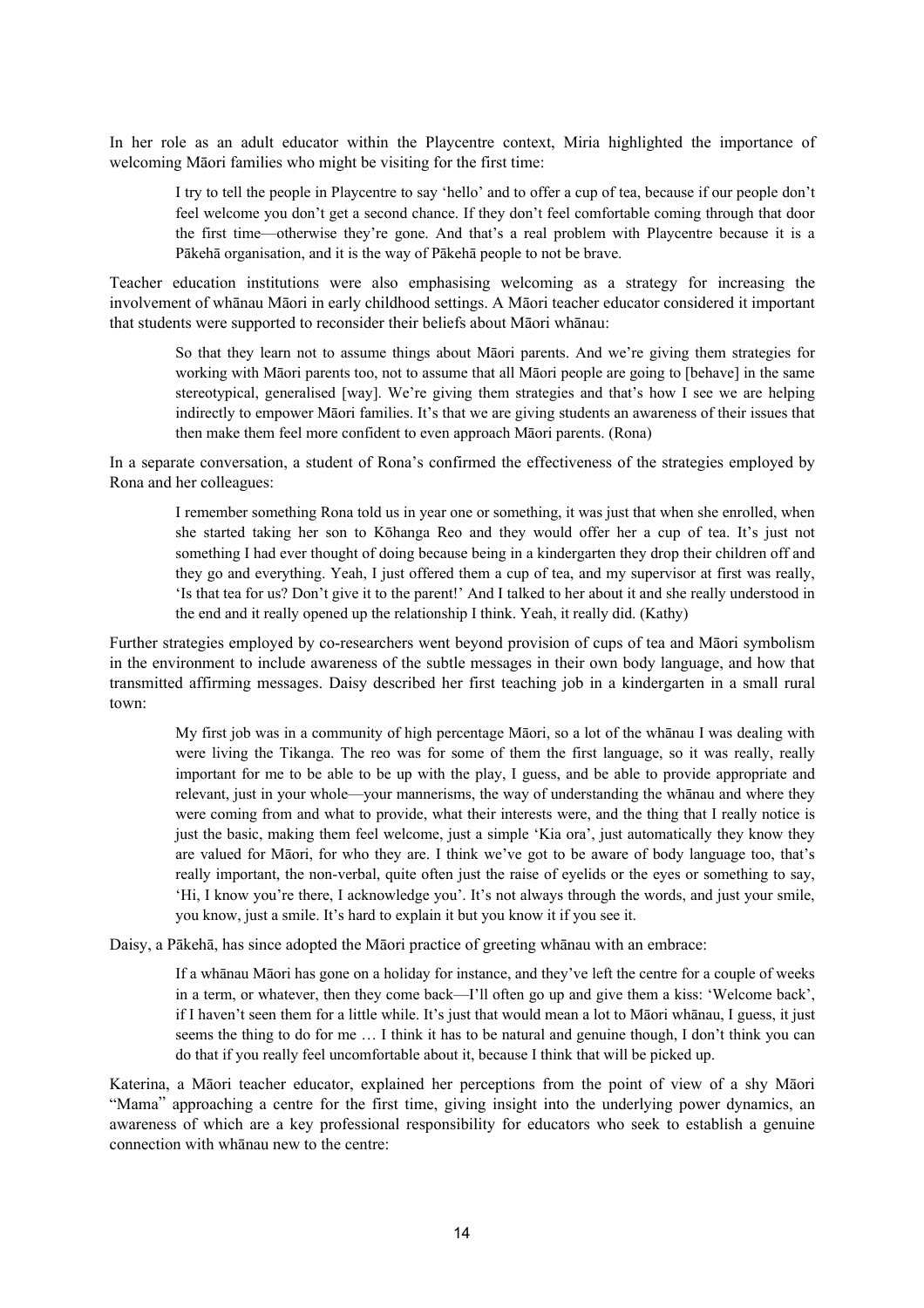In her role as an adult educator within the Playcentre context, Miria highlighted the importance of welcoming Māori families who might be visiting for the first time:

I try to tell the people in Playcentre to say 'hello' and to offer a cup of tea, because if our people don't feel welcome you don't get a second chance. If they don't feel comfortable coming through that door the first time—otherwise they're gone. And that's a real problem with Playcentre because it is a Pākehā organisation, and it is the way of Pākehā people to not be brave.

Teacher education institutions were also emphasising welcoming as a strategy for increasing the involvement of whānau Māori in early childhood settings. A Māori teacher educator considered it important that students were supported to reconsider their beliefs about Māori whānau:

So that they learn not to assume things about Māori parents. And we're giving them strategies for working with Māori parents too, not to assume that all Māori people are going to [behave] in the same stereotypical, generalised [way]. We're giving them strategies and that's how I see we are helping indirectly to empower Māori families. It's that we are giving students an awareness of their issues that then make them feel more confident to even approach Māori parents. (Rona)

In a separate conversation, a student of Rona's confirmed the effectiveness of the strategies employed by Rona and her colleagues:

I remember something Rona told us in year one or something, it was just that when she enrolled, when she started taking her son to Kōhanga Reo and they would offer her a cup of tea. It's just not something I had ever thought of doing because being in a kindergarten they drop their children off and they go and everything. Yeah, I just offered them a cup of tea, and my supervisor at first was really, 'Is that tea for us? Don't give it to the parent!' And I talked to her about it and she really understood in the end and it really opened up the relationship I think. Yeah, it really did. (Kathy)

Further strategies employed by co-researchers went beyond provision of cups of tea and Māori symbolism in the environment to include awareness of the subtle messages in their own body language, and how that transmitted affirming messages. Daisy described her first teaching job in a kindergarten in a small rural town:

My first job was in a community of high percentage Māori, so a lot of the whānau I was dealing with were living the Tikanga. The reo was for some of them the first language, so it was really, really important for me to be able to be up with the play, I guess, and be able to provide appropriate and relevant, just in your whole—your mannerisms, the way of understanding the whānau and where they were coming from and what to provide, what their interests were, and the thing that I really notice is just the basic, making them feel welcome, just a simple 'Kia ora', just automatically they know they are valued for Māori, for who they are. I think we've got to be aware of body language too, that's really important, the non-verbal, quite often just the raise of eyelids or the eyes or something to say, 'Hi, I know you're there, I acknowledge you'. It's not always through the words, and just your smile, you know, just a smile. It's hard to explain it but you know it if you see it.

Daisy, a Pākehā, has since adopted the Māori practice of greeting whānau with an embrace:

If a whānau Māori has gone on a holiday for instance, and they've left the centre for a couple of weeks in a term, or whatever, then they come back—I'll often go up and give them a kiss: 'Welcome back', if I haven't seen them for a little while. It's just that would mean a lot to Māori whānau, I guess, it just seems the thing to do for me … I think it has to be natural and genuine though, I don't think you can do that if you really feel uncomfortable about it, because I think that will be picked up.

Katerina, a Māori teacher educator, explained her perceptions from the point of view of a shy Māori "Mama" approaching a centre for the first time, giving insight into the underlying power dynamics, an awareness of which are a key professional responsibility for educators who seek to establish a genuine connection with whānau new to the centre: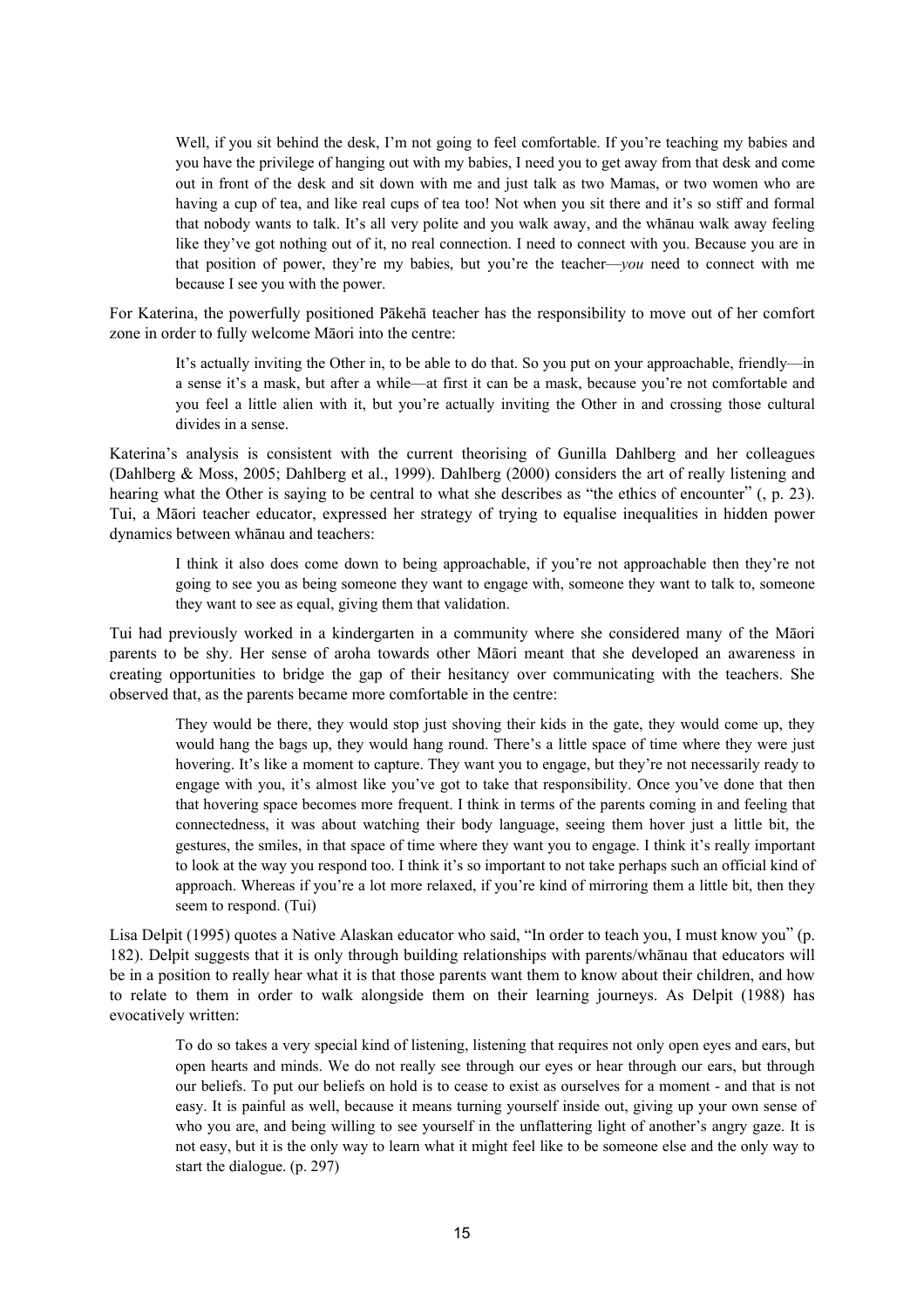Well, if you sit behind the desk, I'm not going to feel comfortable. If you're teaching my babies and you have the privilege of hanging out with my babies, I need you to get away from that desk and come out in front of the desk and sit down with me and just talk as two Mamas, or two women who are having a cup of tea, and like real cups of tea too! Not when you sit there and it's so stiff and formal that nobody wants to talk. It's all very polite and you walk away, and the whānau walk away feeling like they've got nothing out of it, no real connection. I need to connect with you. Because you are in that position of power, they're my babies, but you're the teacher—*you* need to connect with me because I see you with the power.

For Katerina, the powerfully positioned Pākehā teacher has the responsibility to move out of her comfort zone in order to fully welcome Māori into the centre:

It's actually inviting the Other in, to be able to do that. So you put on your approachable, friendly—in a sense it's a mask, but after a while—at first it can be a mask, because you're not comfortable and you feel a little alien with it, but you're actually inviting the Other in and crossing those cultural divides in a sense.

Katerina's analysis is consistent with the current theorising of Gunilla Dahlberg and her colleagues (Dahlberg & Moss, 2005; Dahlberg et al., 1999). Dahlberg (2000) considers the art of really listening and hearing what the Other is saying to be central to what she describes as "the ethics of encounter" (, p. 23). Tui, a Māori teacher educator, expressed her strategy of trying to equalise inequalities in hidden power dynamics between whānau and teachers:

I think it also does come down to being approachable, if you're not approachable then they're not going to see you as being someone they want to engage with, someone they want to talk to, someone they want to see as equal, giving them that validation.

Tui had previously worked in a kindergarten in a community where she considered many of the Māori parents to be shy. Her sense of aroha towards other Māori meant that she developed an awareness in creating opportunities to bridge the gap of their hesitancy over communicating with the teachers. She observed that, as the parents became more comfortable in the centre:

They would be there, they would stop just shoving their kids in the gate, they would come up, they would hang the bags up, they would hang round. There's a little space of time where they were just hovering. It's like a moment to capture. They want you to engage, but they're not necessarily ready to engage with you, it's almost like you've got to take that responsibility. Once you've done that then that hovering space becomes more frequent. I think in terms of the parents coming in and feeling that connectedness, it was about watching their body language, seeing them hover just a little bit, the gestures, the smiles, in that space of time where they want you to engage. I think it's really important to look at the way you respond too. I think it's so important to not take perhaps such an official kind of approach. Whereas if you're a lot more relaxed, if you're kind of mirroring them a little bit, then they seem to respond. (Tui)

Lisa Delpit (1995) quotes a Native Alaskan educator who said, "In order to teach you, I must know you" (p. 182). Delpit suggests that it is only through building relationships with parents/whānau that educators will be in a position to really hear what it is that those parents want them to know about their children, and how to relate to them in order to walk alongside them on their learning journeys. As Delpit (1988) has evocatively written:

To do so takes a very special kind of listening, listening that requires not only open eyes and ears, but open hearts and minds. We do not really see through our eyes or hear through our ears, but through our beliefs. To put our beliefs on hold is to cease to exist as ourselves for a moment - and that is not easy. It is painful as well, because it means turning yourself inside out, giving up your own sense of who you are, and being willing to see yourself in the unflattering light of another's angry gaze. It is not easy, but it is the only way to learn what it might feel like to be someone else and the only way to start the dialogue. (p. 297)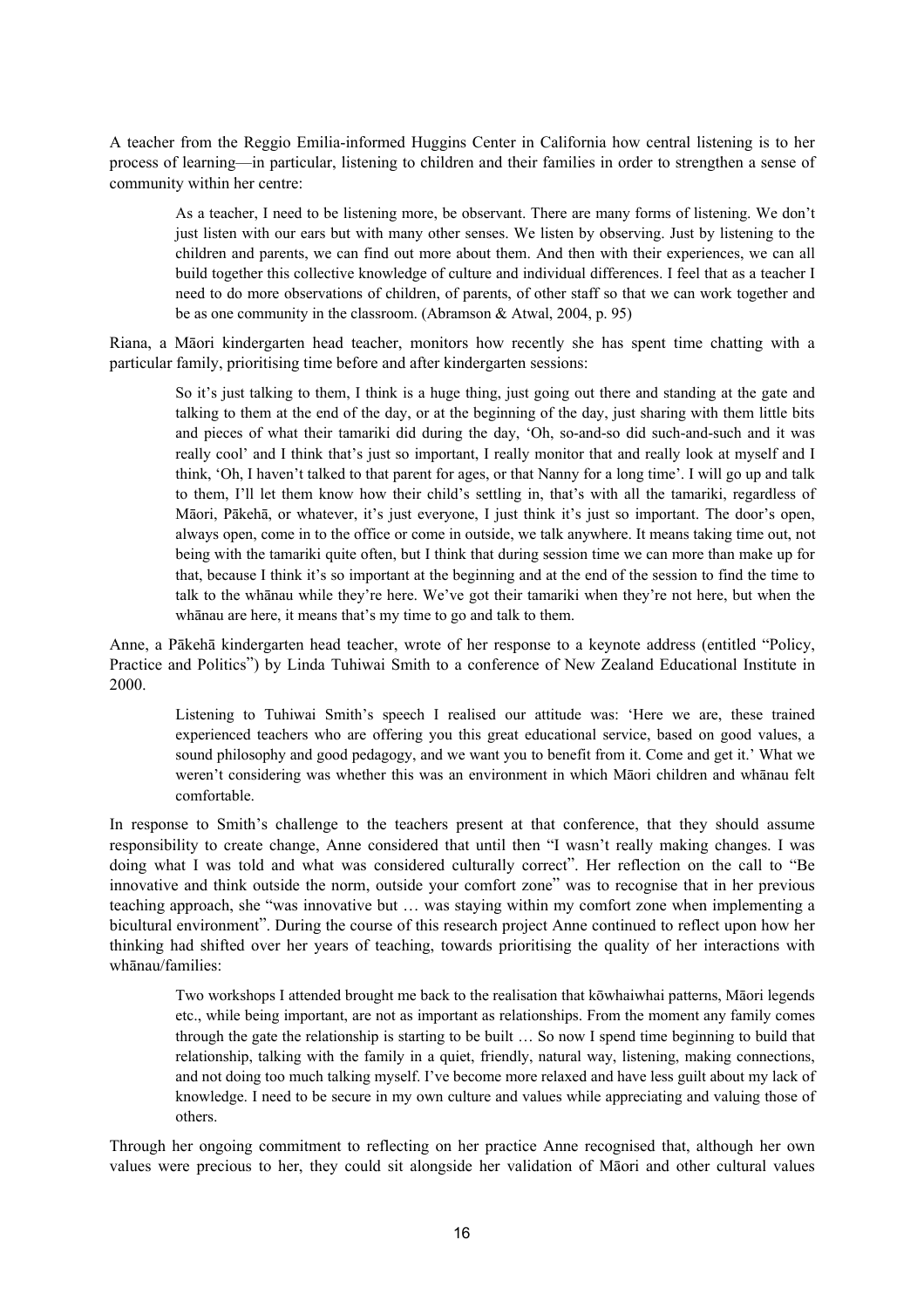A teacher from the Reggio Emilia-informed Huggins Center in California how central listening is to her process of learning—in particular, listening to children and their families in order to strengthen a sense of community within her centre:

As a teacher, I need to be listening more, be observant. There are many forms of listening. We don't just listen with our ears but with many other senses. We listen by observing. Just by listening to the children and parents, we can find out more about them. And then with their experiences, we can all build together this collective knowledge of culture and individual differences. I feel that as a teacher I need to do more observations of children, of parents, of other staff so that we can work together and be as one community in the classroom. (Abramson & Atwal, 2004, p. 95)

Riana, a Māori kindergarten head teacher, monitors how recently she has spent time chatting with a particular family, prioritising time before and after kindergarten sessions:

So it's just talking to them, I think is a huge thing, just going out there and standing at the gate and talking to them at the end of the day, or at the beginning of the day, just sharing with them little bits and pieces of what their tamariki did during the day, 'Oh, so-and-so did such-and-such and it was really cool' and I think that's just so important, I really monitor that and really look at myself and I think, 'Oh, I haven't talked to that parent for ages, or that Nanny for a long time'. I will go up and talk to them, I'll let them know how their child's settling in, that's with all the tamariki, regardless of Māori, Pākehā, or whatever, it's just everyone, I just think it's just so important. The door's open, always open, come in to the office or come in outside, we talk anywhere. It means taking time out, not being with the tamariki quite often, but I think that during session time we can more than make up for that, because I think it's so important at the beginning and at the end of the session to find the time to talk to the whānau while they're here. We've got their tamariki when they're not here, but when the whānau are here, it means that's my time to go and talk to them.

Anne, a Pākehā kindergarten head teacher, wrote of her response to a keynote address (entitled "Policy, Practice and Politics") by Linda Tuhiwai Smith to a conference of New Zealand Educational Institute in 2000.

Listening to Tuhiwai Smith's speech I realised our attitude was: 'Here we are, these trained experienced teachers who are offering you this great educational service, based on good values, a sound philosophy and good pedagogy, and we want you to benefit from it. Come and get it.' What we weren't considering was whether this was an environment in which Māori children and whānau felt comfortable.

In response to Smith's challenge to the teachers present at that conference, that they should assume responsibility to create change, Anne considered that until then "I wasn't really making changes. I was doing what I was told and what was considered culturally correct". Her reflection on the call to "Be innovative and think outside the norm, outside your comfort zone" was to recognise that in her previous teaching approach, she "was innovative but … was staying within my comfort zone when implementing a bicultural environment". During the course of this research project Anne continued to reflect upon how her thinking had shifted over her years of teaching, towards prioritising the quality of her interactions with whānau/families:

Two workshops I attended brought me back to the realisation that kōwhaiwhai patterns, Māori legends etc., while being important, are not as important as relationships. From the moment any family comes through the gate the relationship is starting to be built … So now I spend time beginning to build that relationship, talking with the family in a quiet, friendly, natural way, listening, making connections, and not doing too much talking myself. I've become more relaxed and have less guilt about my lack of knowledge. I need to be secure in my own culture and values while appreciating and valuing those of others.

Through her ongoing commitment to reflecting on her practice Anne recognised that, although her own values were precious to her, they could sit alongside her validation of Māori and other cultural values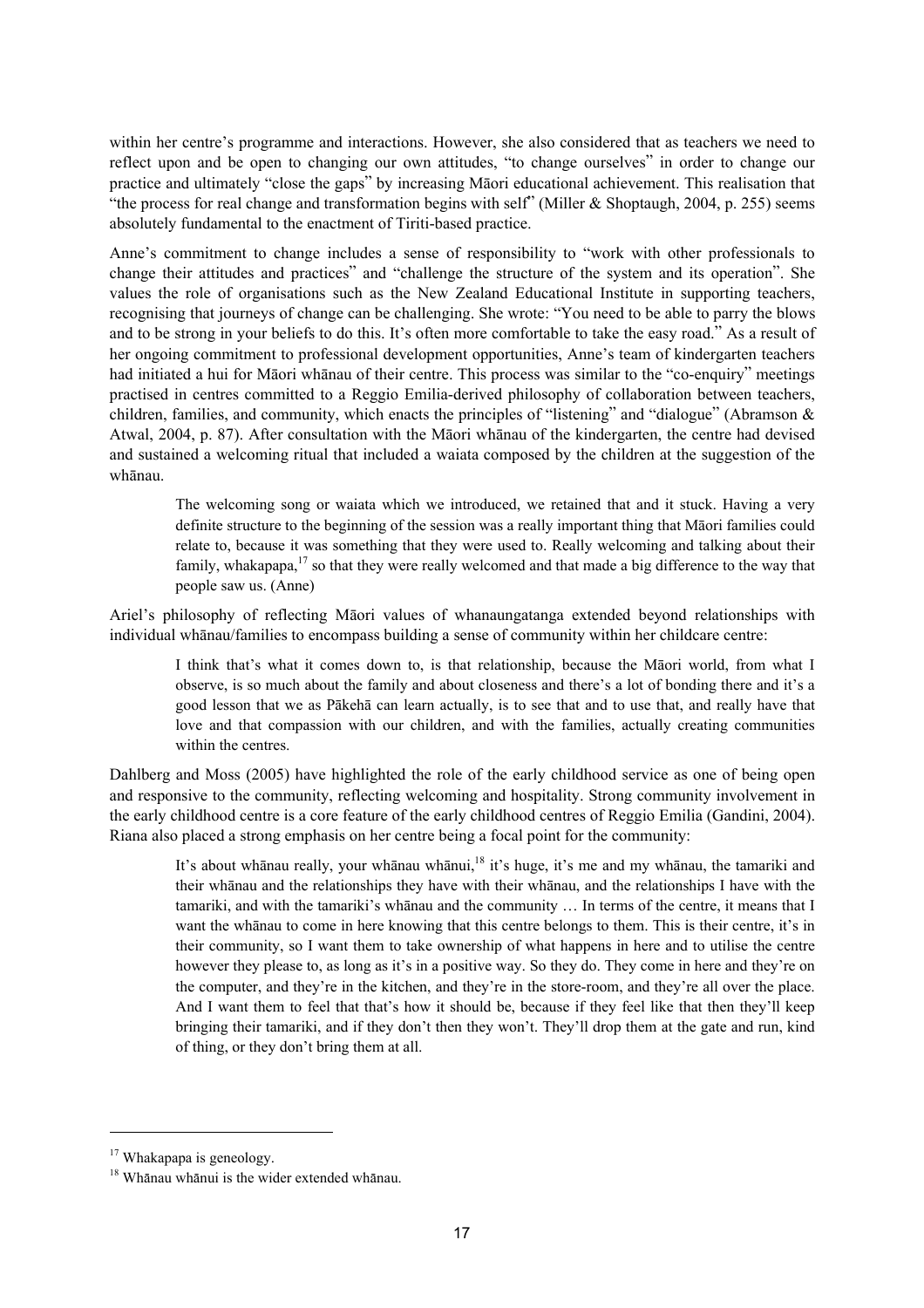within her centre's programme and interactions. However, she also considered that as teachers we need to reflect upon and be open to changing our own attitudes, "to change ourselves" in order to change our practice and ultimately "close the gaps" by increasing Māori educational achievement. This realisation that "the process for real change and transformation begins with self" (Miller & Shoptaugh, 2004, p. 255) seems absolutely fundamental to the enactment of Tiriti-based practice.

Anne's commitment to change includes a sense of responsibility to "work with other professionals to change their attitudes and practices" and "challenge the structure of the system and its operation". She values the role of organisations such as the New Zealand Educational Institute in supporting teachers, recognising that journeys of change can be challenging. She wrote: "You need to be able to parry the blows and to be strong in your beliefs to do this. It's often more comfortable to take the easy road." As a result of her ongoing commitment to professional development opportunities, Anne's team of kindergarten teachers had initiated a hui for Māori whānau of their centre. This process was similar to the "co-enquiry" meetings practised in centres committed to a Reggio Emilia-derived philosophy of collaboration between teachers, children, families, and community, which enacts the principles of "listening" and "dialogue" (Abramson & Atwal, 2004, p. 87). After consultation with the Māori whānau of the kindergarten, the centre had devised and sustained a welcoming ritual that included a waiata composed by the children at the suggestion of the whānau.

The welcoming song or waiata which we introduced, we retained that and it stuck. Having a very definite structure to the beginning of the session was a really important thing that Māori families could relate to, because it was something that they were used to. Really welcoming and talking about their family, whakapapa, $17$  so that they were really welcomed and that made a big difference to the way that people saw us. (Anne)

Ariel's philosophy of reflecting Māori values of whanaungatanga extended beyond relationships with individual whānau/families to encompass building a sense of community within her childcare centre:

I think that's what it comes down to, is that relationship, because the Māori world, from what I observe, is so much about the family and about closeness and there's a lot of bonding there and it's a good lesson that we as Pākehā can learn actually, is to see that and to use that, and really have that love and that compassion with our children, and with the families, actually creating communities within the centres.

Dahlberg and Moss (2005) have highlighted the role of the early childhood service as one of being open and responsive to the community, reflecting welcoming and hospitality. Strong community involvement in the early childhood centre is a core feature of the early childhood centres of Reggio Emilia (Gandini, 2004). Riana also placed a strong emphasis on her centre being a focal point for the community:

It's about whānau really, your whānau whānui, <sup>18</sup> it's huge, it's me and my whānau, the tamariki and their whānau and the relationships they have with their whānau, and the relationships I have with the tamariki, and with the tamariki's whānau and the community … In terms of the centre, it means that I want the whānau to come in here knowing that this centre belongs to them. This is their centre, it's in their community, so I want them to take ownership of what happens in here and to utilise the centre however they please to, as long as it's in a positive way. So they do. They come in here and they're on the computer, and they're in the kitchen, and they're in the store-room, and they're all over the place. And I want them to feel that that's how it should be, because if they feel like that then they'll keep bringing their tamariki, and if they don't then they won't. They'll drop them at the gate and run, kind of thing, or they don't bring them at all.

<sup>&</sup>lt;sup>17</sup> Whakapapa is geneology.<br><sup>18</sup> Whānau whānui is the wider extended whānau.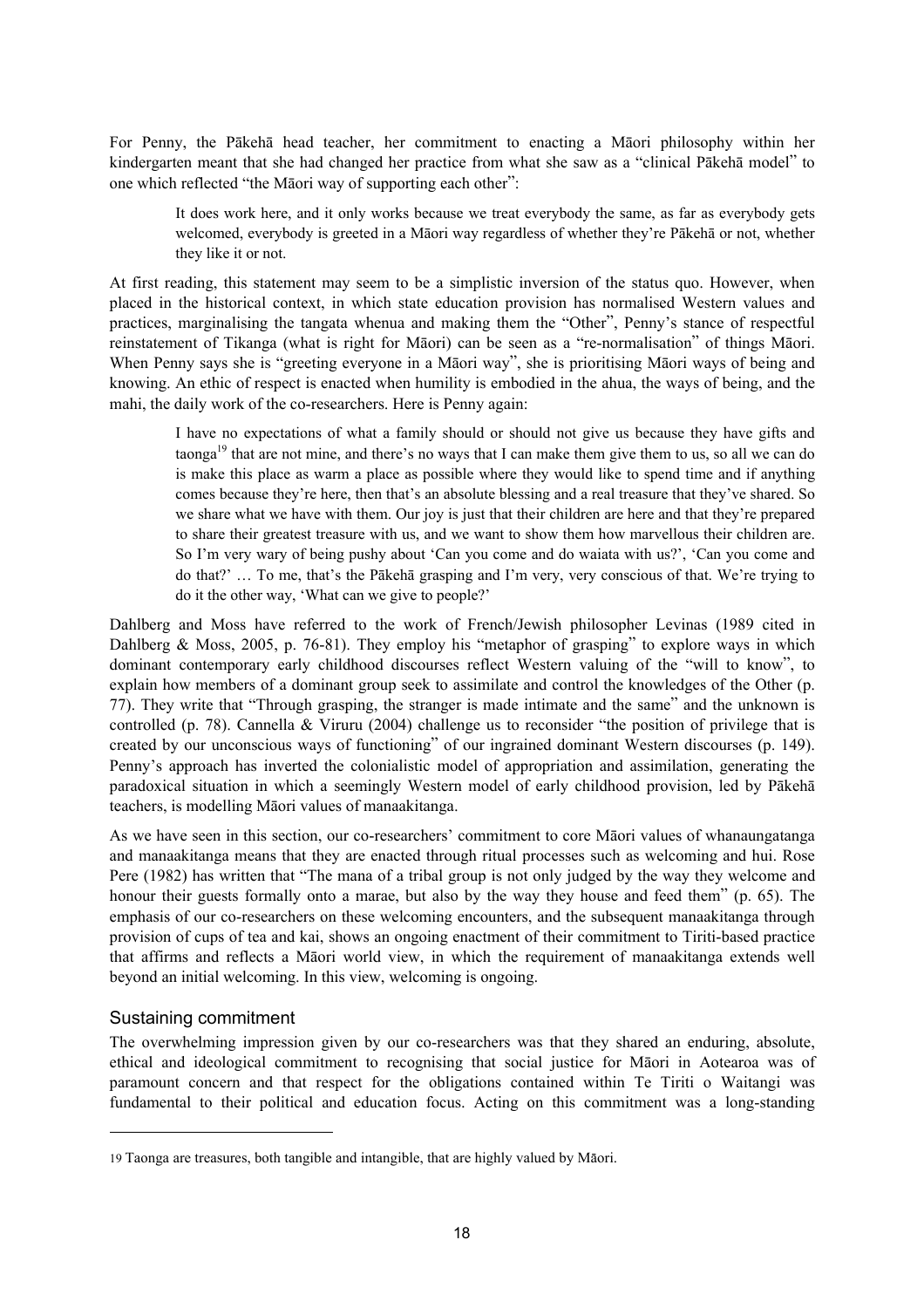For Penny, the Pākehā head teacher, her commitment to enacting a Māori philosophy within her kindergarten meant that she had changed her practice from what she saw as a "clinical Pākehā model" to one which reflected "the Māori way of supporting each other":

It does work here, and it only works because we treat everybody the same, as far as everybody gets welcomed, everybody is greeted in a Māori way regardless of whether they're Pākehā or not, whether they like it or not.

At first reading, this statement may seem to be a simplistic inversion of the status quo. However, when placed in the historical context, in which state education provision has normalised Western values and practices, marginalising the tangata whenua and making them the "Other", Penny's stance of respectful reinstatement of Tikanga (what is right for Māori) can be seen as a "re-normalisation" of things Māori. When Penny says she is "greeting everyone in a Māori way", she is prioritising Māori ways of being and knowing. An ethic of respect is enacted when humility is embodied in the ahua, the ways of being, and the mahi, the daily work of the co-researchers. Here is Penny again:

I have no expectations of what a family should or should not give us because they have gifts and taonga<sup>19</sup> that are not mine, and there's no ways that I can make them give them to us, so all we can do is make this place as warm a place as possible where they would like to spend time and if anything comes because they're here, then that's an absolute blessing and a real treasure that they've shared. So we share what we have with them. Our joy is just that their children are here and that they're prepared to share their greatest treasure with us, and we want to show them how marvellous their children are. So I'm very wary of being pushy about 'Can you come and do waiata with us?', 'Can you come and do that?' … To me, that's the Pākehā grasping and I'm very, very conscious of that. We're trying to do it the other way, 'What can we give to people?'

Dahlberg and Moss have referred to the work of French/Jewish philosopher Levinas (1989 cited in Dahlberg & Moss, 2005, p. 76-81). They employ his "metaphor of grasping" to explore ways in which dominant contemporary early childhood discourses reflect Western valuing of the "will to know", to explain how members of a dominant group seek to assimilate and control the knowledges of the Other (p. 77). They write that "Through grasping, the stranger is made intimate and the same" and the unknown is controlled (p. 78). Cannella & Viruru (2004) challenge us to reconsider "the position of privilege that is created by our unconscious ways of functioning" of our ingrained dominant Western discourses (p. 149). Penny's approach has inverted the colonialistic model of appropriation and assimilation, generating the paradoxical situation in which a seemingly Western model of early childhood provision, led by Pākehā teachers, is modelling Māori values of manaakitanga.

As we have seen in this section, our co-researchers' commitment to core Māori values of whanaungatanga and manaakitanga means that they are enacted through ritual processes such as welcoming and hui. Rose Pere (1982) has written that "The mana of a tribal group is not only judged by the way they welcome and honour their guests formally onto a marae, but also by the way they house and feed them" (p. 65). The emphasis of our co-researchers on these welcoming encounters, and the subsequent manaakitanga through provision of cups of tea and kai, shows an ongoing enactment of their commitment to Tiriti-based practice that affirms and reflects a Māori world view, in which the requirement of manaakitanga extends well beyond an initial welcoming. In this view, welcoming is ongoing.

#### Sustaining commitment

 $\overline{a}$ 

The overwhelming impression given by our co-researchers was that they shared an enduring, absolute, ethical and ideological commitment to recognising that social justice for Māori in Aotearoa was of paramount concern and that respect for the obligations contained within Te Tiriti o Waitangi was fundamental to their political and education focus. Acting on this commitment was a long-standing

<sup>19</sup> Taonga are treasures, both tangible and intangible, that are highly valued by Mäori.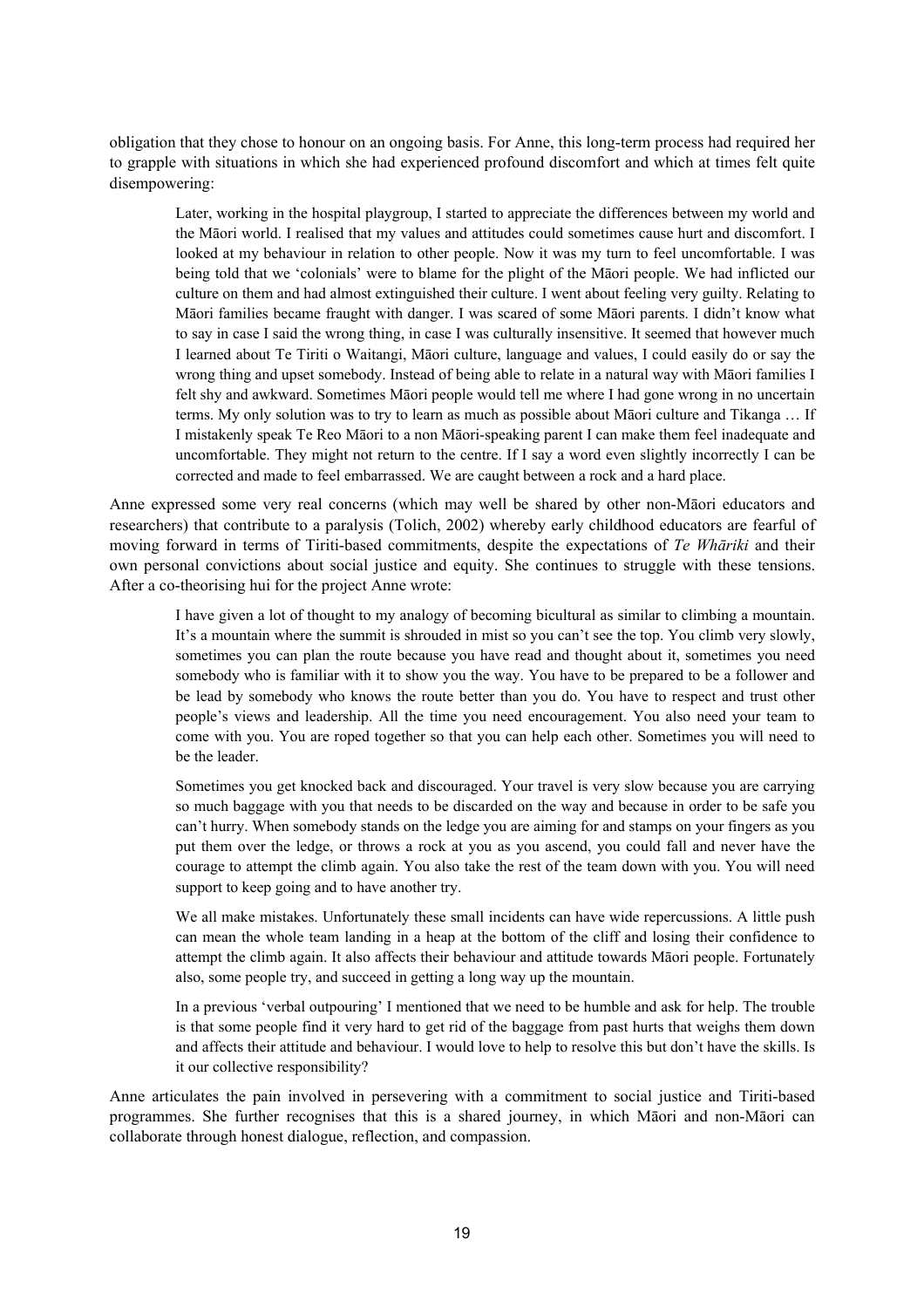obligation that they chose to honour on an ongoing basis. For Anne, this long-term process had required her to grapple with situations in which she had experienced profound discomfort and which at times felt quite disempowering:

Later, working in the hospital playgroup, I started to appreciate the differences between my world and the Māori world. I realised that my values and attitudes could sometimes cause hurt and discomfort. I looked at my behaviour in relation to other people. Now it was my turn to feel uncomfortable. I was being told that we 'colonials' were to blame for the plight of the Māori people. We had inflicted our culture on them and had almost extinguished their culture. I went about feeling very guilty. Relating to Māori families became fraught with danger. I was scared of some Māori parents. I didn't know what to say in case I said the wrong thing, in case I was culturally insensitive. It seemed that however much I learned about Te Tiriti o Waitangi, Māori culture, language and values, I could easily do or say the wrong thing and upset somebody. Instead of being able to relate in a natural way with Māori families I felt shy and awkward. Sometimes Māori people would tell me where I had gone wrong in no uncertain terms. My only solution was to try to learn as much as possible about Māori culture and Tikanga … If I mistakenly speak Te Reo Māori to a non Māori-speaking parent I can make them feel inadequate and uncomfortable. They might not return to the centre. If I say a word even slightly incorrectly I can be corrected and made to feel embarrassed. We are caught between a rock and a hard place.

Anne expressed some very real concerns (which may well be shared by other non-Māori educators and researchers) that contribute to a paralysis (Tolich, 2002) whereby early childhood educators are fearful of moving forward in terms of Tiriti-based commitments, despite the expectations of *Te Whāriki* and their own personal convictions about social justice and equity. She continues to struggle with these tensions. After a co-theorising hui for the project Anne wrote:

I have given a lot of thought to my analogy of becoming bicultural as similar to climbing a mountain. It's a mountain where the summit is shrouded in mist so you can't see the top. You climb very slowly, sometimes you can plan the route because you have read and thought about it, sometimes you need somebody who is familiar with it to show you the way. You have to be prepared to be a follower and be lead by somebody who knows the route better than you do. You have to respect and trust other people's views and leadership. All the time you need encouragement. You also need your team to come with you. You are roped together so that you can help each other. Sometimes you will need to be the leader.

Sometimes you get knocked back and discouraged. Your travel is very slow because you are carrying so much baggage with you that needs to be discarded on the way and because in order to be safe you can't hurry. When somebody stands on the ledge you are aiming for and stamps on your fingers as you put them over the ledge, or throws a rock at you as you ascend, you could fall and never have the courage to attempt the climb again. You also take the rest of the team down with you. You will need support to keep going and to have another try.

We all make mistakes. Unfortunately these small incidents can have wide repercussions. A little push can mean the whole team landing in a heap at the bottom of the cliff and losing their confidence to attempt the climb again. It also affects their behaviour and attitude towards Māori people. Fortunately also, some people try, and succeed in getting a long way up the mountain.

In a previous 'verbal outpouring' I mentioned that we need to be humble and ask for help. The trouble is that some people find it very hard to get rid of the baggage from past hurts that weighs them down and affects their attitude and behaviour. I would love to help to resolve this but don't have the skills. Is it our collective responsibility?

Anne articulates the pain involved in persevering with a commitment to social justice and Tiriti-based programmes. She further recognises that this is a shared journey, in which Māori and non-Māori can collaborate through honest dialogue, reflection, and compassion.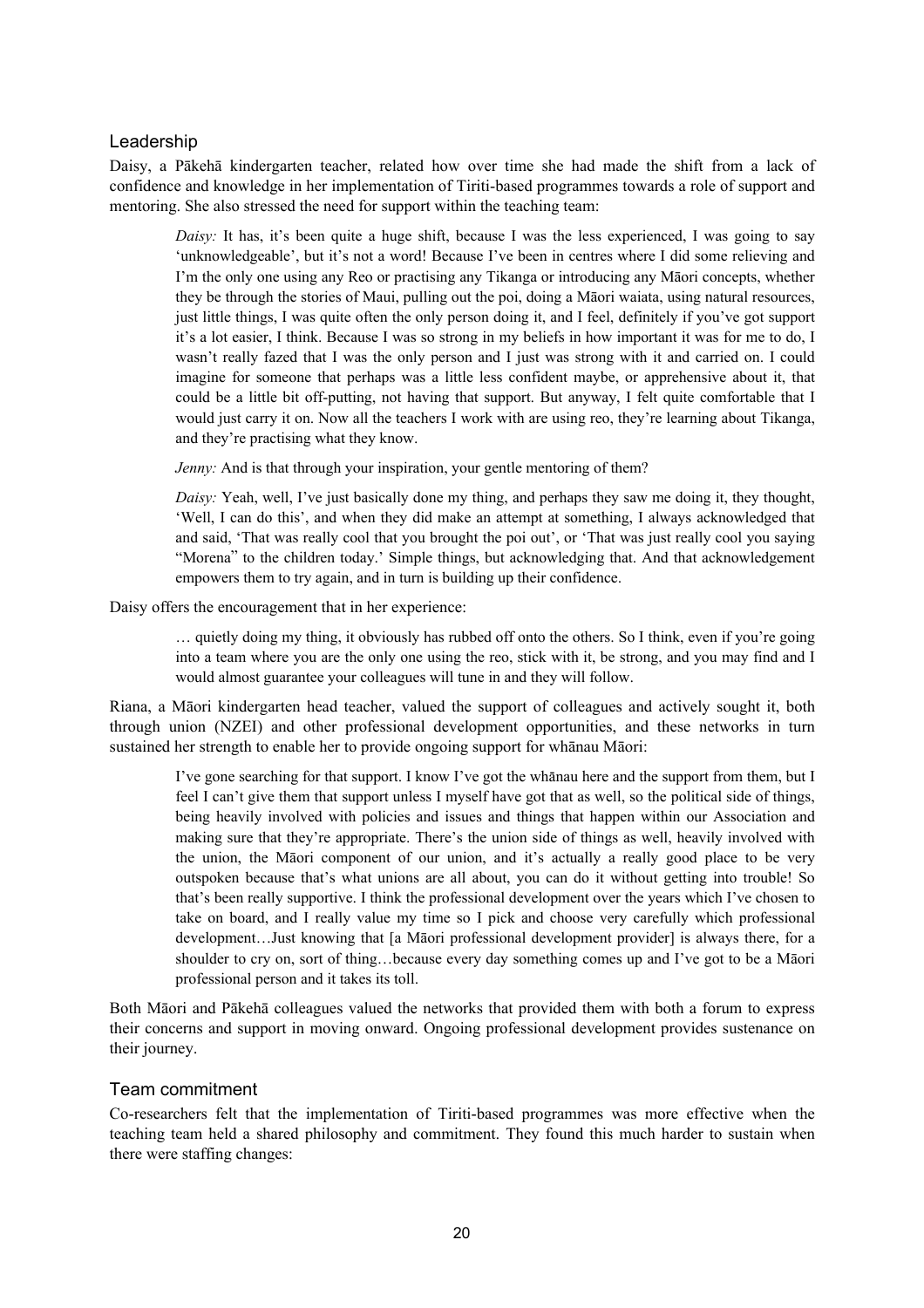#### Leadership

Daisy, a Pākehā kindergarten teacher, related how over time she had made the shift from a lack of confidence and knowledge in her implementation of Tiriti-based programmes towards a role of support and mentoring. She also stressed the need for support within the teaching team:

*Daisy:* It has, it's been quite a huge shift, because I was the less experienced, I was going to say 'unknowledgeable', but it's not a word! Because I've been in centres where I did some relieving and I'm the only one using any Reo or practising any Tikanga or introducing any Māori concepts, whether they be through the stories of Maui, pulling out the poi, doing a Māori waiata, using natural resources, just little things, I was quite often the only person doing it, and I feel, definitely if you've got support it's a lot easier, I think. Because I was so strong in my beliefs in how important it was for me to do, I wasn't really fazed that I was the only person and I just was strong with it and carried on. I could imagine for someone that perhaps was a little less confident maybe, or apprehensive about it, that could be a little bit off-putting, not having that support. But anyway, I felt quite comfortable that I would just carry it on. Now all the teachers I work with are using reo, they're learning about Tikanga, and they're practising what they know.

*Jenny:* And is that through your inspiration, your gentle mentoring of them?

*Daisy:* Yeah, well, I've just basically done my thing, and perhaps they saw me doing it, they thought, 'Well, I can do this', and when they did make an attempt at something, I always acknowledged that and said, 'That was really cool that you brought the poi out', or 'That was just really cool you saying "Morena" to the children today.' Simple things, but acknowledging that. And that acknowledgement empowers them to try again, and in turn is building up their confidence.

Daisy offers the encouragement that in her experience:

… quietly doing my thing, it obviously has rubbed off onto the others. So I think, even if you're going into a team where you are the only one using the reo, stick with it, be strong, and you may find and I would almost guarantee your colleagues will tune in and they will follow.

Riana, a Māori kindergarten head teacher, valued the support of colleagues and actively sought it, both through union (NZEI) and other professional development opportunities, and these networks in turn sustained her strength to enable her to provide ongoing support for whānau Māori:

I've gone searching for that support. I know I've got the whänau here and the support from them, but I feel I can't give them that support unless I myself have got that as well, so the political side of things, being heavily involved with policies and issues and things that happen within our Association and making sure that they're appropriate. There's the union side of things as well, heavily involved with the union, the Māori component of our union, and it's actually a really good place to be very outspoken because that's what unions are all about, you can do it without getting into trouble! So that's been really supportive. I think the professional development over the years which I've chosen to take on board, and I really value my time so I pick and choose very carefully which professional development…Just knowing that [a Māori professional development provider] is always there, for a shoulder to cry on, sort of thing…because every day something comes up and I've got to be a Māori professional person and it takes its toll.

Both Māori and Pākehā colleagues valued the networks that provided them with both a forum to express their concerns and support in moving onward. Ongoing professional development provides sustenance on their journey.

#### Team commitment

Co-researchers felt that the implementation of Tiriti-based programmes was more effective when the teaching team held a shared philosophy and commitment. They found this much harder to sustain when there were staffing changes: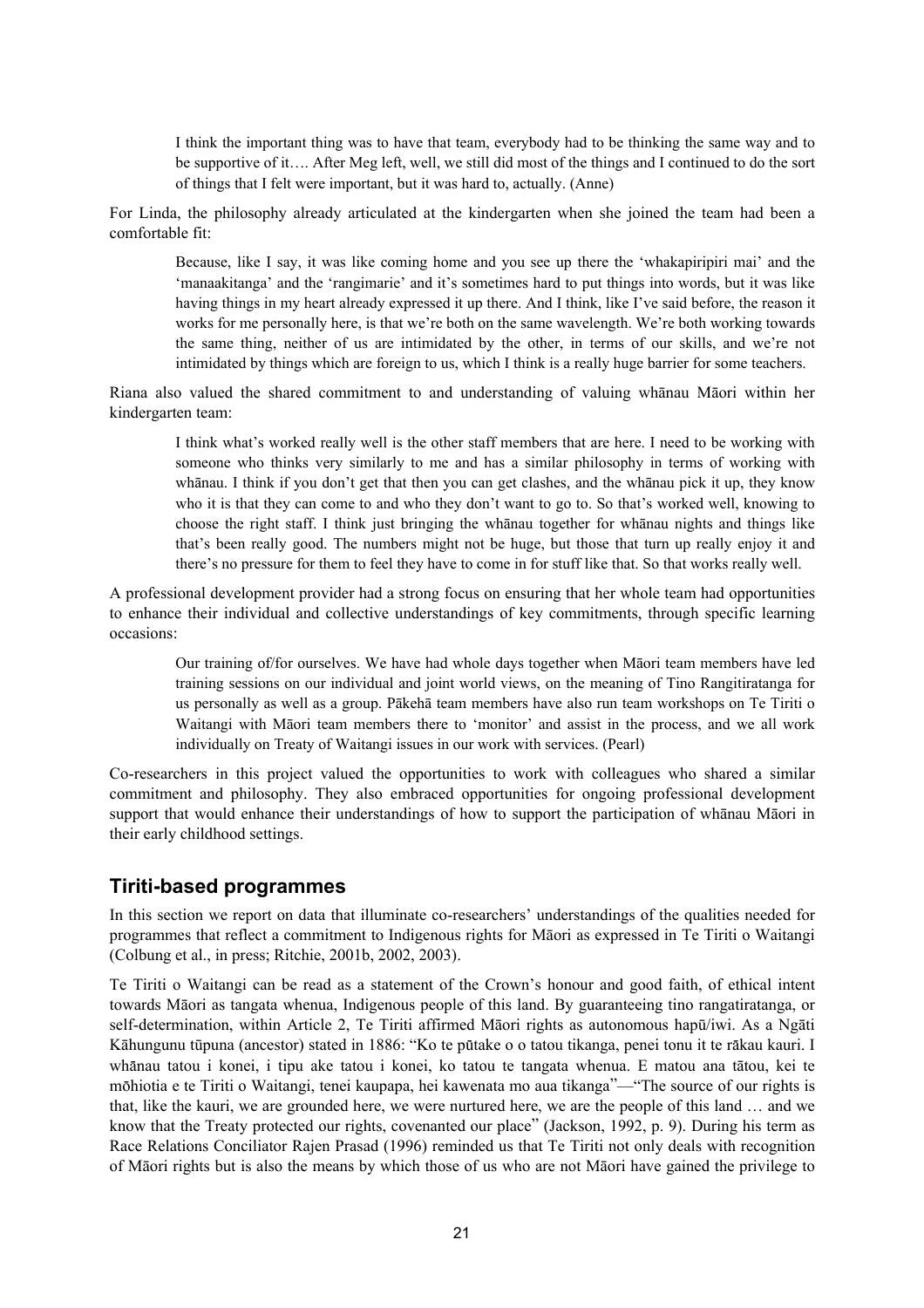I think the important thing was to have that team, everybody had to be thinking the same way and to be supportive of it…. After Meg left, well, we still did most of the things and I continued to do the sort of things that I felt were important, but it was hard to, actually. (Anne)

For Linda, the philosophy already articulated at the kindergarten when she joined the team had been a comfortable fit:

Because, like I say, it was like coming home and you see up there the 'whakapiripiri mai' and the 'manaakitanga' and the 'rangimarie' and it's sometimes hard to put things into words, but it was like having things in my heart already expressed it up there. And I think, like I've said before, the reason it works for me personally here, is that we're both on the same wavelength. We're both working towards the same thing, neither of us are intimidated by the other, in terms of our skills, and we're not intimidated by things which are foreign to us, which I think is a really huge barrier for some teachers.

Riana also valued the shared commitment to and understanding of valuing whānau Māori within her kindergarten team:

I think what's worked really well is the other staff members that are here. I need to be working with someone who thinks very similarly to me and has a similar philosophy in terms of working with whānau. I think if you don't get that then you can get clashes, and the whānau pick it up, they know who it is that they can come to and who they don't want to go to. So that's worked well, knowing to choose the right staff. I think just bringing the whānau together for whānau nights and things like that's been really good. The numbers might not be huge, but those that turn up really enjoy it and there's no pressure for them to feel they have to come in for stuff like that. So that works really well.

A professional development provider had a strong focus on ensuring that her whole team had opportunities to enhance their individual and collective understandings of key commitments, through specific learning occasions:

Our training of/for ourselves. We have had whole days together when Māori team members have led training sessions on our individual and joint world views, on the meaning of Tino Rangitiratanga for us personally as well as a group. Pākehā team members have also run team workshops on Te Tiriti o Waitangi with Māori team members there to 'monitor' and assist in the process, and we all work individually on Treaty of Waitangi issues in our work with services. (Pearl)

Co-researchers in this project valued the opportunities to work with colleagues who shared a similar commitment and philosophy. They also embraced opportunities for ongoing professional development support that would enhance their understandings of how to support the participation of whānau Māori in their early childhood settings.

### **Tiriti-based programmes**

In this section we report on data that illuminate co-researchers' understandings of the qualities needed for programmes that reflect a commitment to Indigenous rights for Māori as expressed in Te Tiriti o Waitangi (Colbung et al., in press; Ritchie, 2001b, 2002, 2003).

Te Tiriti o Waitangi can be read as a statement of the Crown's honour and good faith, of ethical intent towards Māori as tangata whenua, Indigenous people of this land. By guaranteeing tino rangatiratanga, or self-determination, within Article 2, Te Tiriti affirmed Māori rights as autonomous hapū/iwi. As a Ngāti Kāhungunu tūpuna (ancestor) stated in 1886: "Ko te pütake o o tatou tikanga, penei tonu it te räkau kauri. I whänau tatou i konei, i tipu ake tatou i konei, ko tatou te tangata whenua. E matou ana tātou, kei te möhiotia e te Tiriti o Waitangi, tenei kaupapa, hei kawenata mo aua tikanga"—"The source of our rights is that, like the kauri, we are grounded here, we were nurtured here, we are the people of this land … and we know that the Treaty protected our rights, covenanted our place" (Jackson, 1992, p. 9). During his term as Race Relations Conciliator Rajen Prasad (1996) reminded us that Te Tiriti not only deals with recognition of Māori rights but is also the means by which those of us who are not Māori have gained the privilege to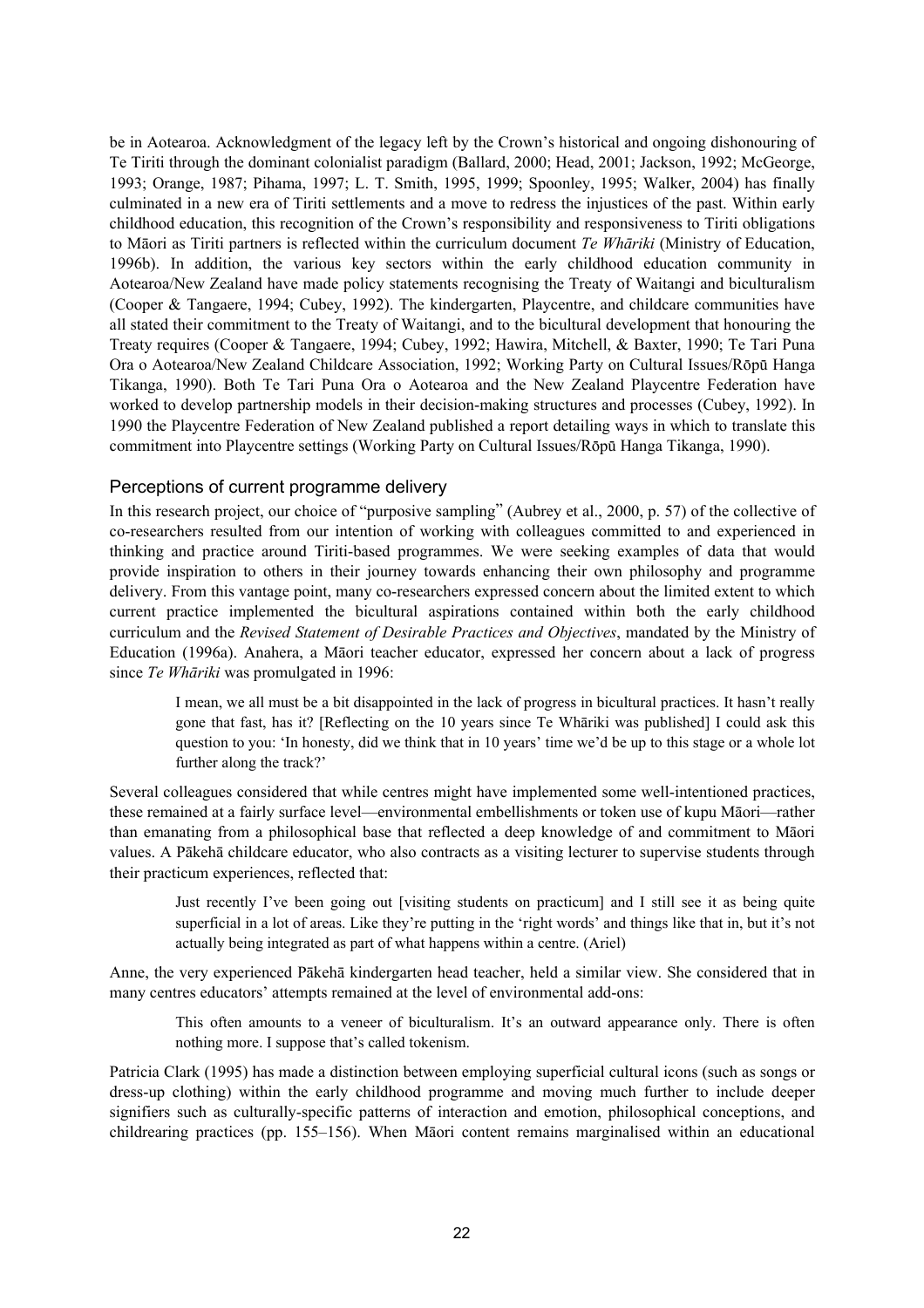be in Aotearoa. Acknowledgment of the legacy left by the Crown's historical and ongoing dishonouring of Te Tiriti through the dominant colonialist paradigm (Ballard, 2000; Head, 2001; Jackson, 1992; McGeorge, 1993; Orange, 1987; Pihama, 1997; L. T. Smith, 1995, 1999; Spoonley, 1995; Walker, 2004) has finally culminated in a new era of Tiriti settlements and a move to redress the injustices of the past. Within early childhood education, this recognition of the Crown's responsibility and responsiveness to Tiriti obligations to Māori as Tiriti partners is reflected within the curriculum document *Te Whāriki* (Ministry of Education, 1996b). In addition, the various key sectors within the early childhood education community in Aotearoa/New Zealand have made policy statements recognising the Treaty of Waitangi and biculturalism (Cooper & Tangaere, 1994; Cubey, 1992). The kindergarten, Playcentre, and childcare communities have all stated their commitment to the Treaty of Waitangi, and to the bicultural development that honouring the Treaty requires (Cooper & Tangaere, 1994; Cubey, 1992; Hawira, Mitchell, & Baxter, 1990; Te Tari Puna Ora o Aotearoa/New Zealand Childcare Association, 1992; Working Party on Cultural Issues/Röpü Hanga Tikanga, 1990). Both Te Tari Puna Ora o Aotearoa and the New Zealand Playcentre Federation have worked to develop partnership models in their decision-making structures and processes (Cubey, 1992). In 1990 the Playcentre Federation of New Zealand published a report detailing ways in which to translate this commitment into Playcentre settings (Working Party on Cultural Issues/Röpü Hanga Tikanga, 1990).

#### Perceptions of current programme delivery

In this research project, our choice of "purposive sampling" (Aubrey et al., 2000, p. 57) of the collective of co-researchers resulted from our intention of working with colleagues committed to and experienced in thinking and practice around Tiriti-based programmes. We were seeking examples of data that would provide inspiration to others in their journey towards enhancing their own philosophy and programme delivery. From this vantage point, many co-researchers expressed concern about the limited extent to which current practice implemented the bicultural aspirations contained within both the early childhood curriculum and the *Revised Statement of Desirable Practices and Objectives*, mandated by the Ministry of Education (1996a). Anahera, a Māori teacher educator, expressed her concern about a lack of progress since *Te Whāriki* was promulgated in 1996:

I mean, we all must be a bit disappointed in the lack of progress in bicultural practices. It hasn't really gone that fast, has it? [Reflecting on the 10 years since Te Whāriki was published] I could ask this question to you: 'In honesty, did we think that in 10 years' time we'd be up to this stage or a whole lot further along the track?'

Several colleagues considered that while centres might have implemented some well-intentioned practices, these remained at a fairly surface level—environmental embellishments or token use of kupu Māori—rather than emanating from a philosophical base that reflected a deep knowledge of and commitment to Māori values. A Pākehā childcare educator, who also contracts as a visiting lecturer to supervise students through their practicum experiences, reflected that:

Just recently I've been going out [visiting students on practicum] and I still see it as being quite superficial in a lot of areas. Like they're putting in the 'right words' and things like that in, but it's not actually being integrated as part of what happens within a centre. (Ariel)

Anne, the very experienced Pākehā kindergarten head teacher, held a similar view. She considered that in many centres educators' attempts remained at the level of environmental add-ons:

This often amounts to a veneer of biculturalism. It's an outward appearance only. There is often nothing more. I suppose that's called tokenism.

Patricia Clark (1995) has made a distinction between employing superficial cultural icons (such as songs or dress-up clothing) within the early childhood programme and moving much further to include deeper signifiers such as culturally-specific patterns of interaction and emotion, philosophical conceptions, and childrearing practices (pp. 155–156). When Māori content remains marginalised within an educational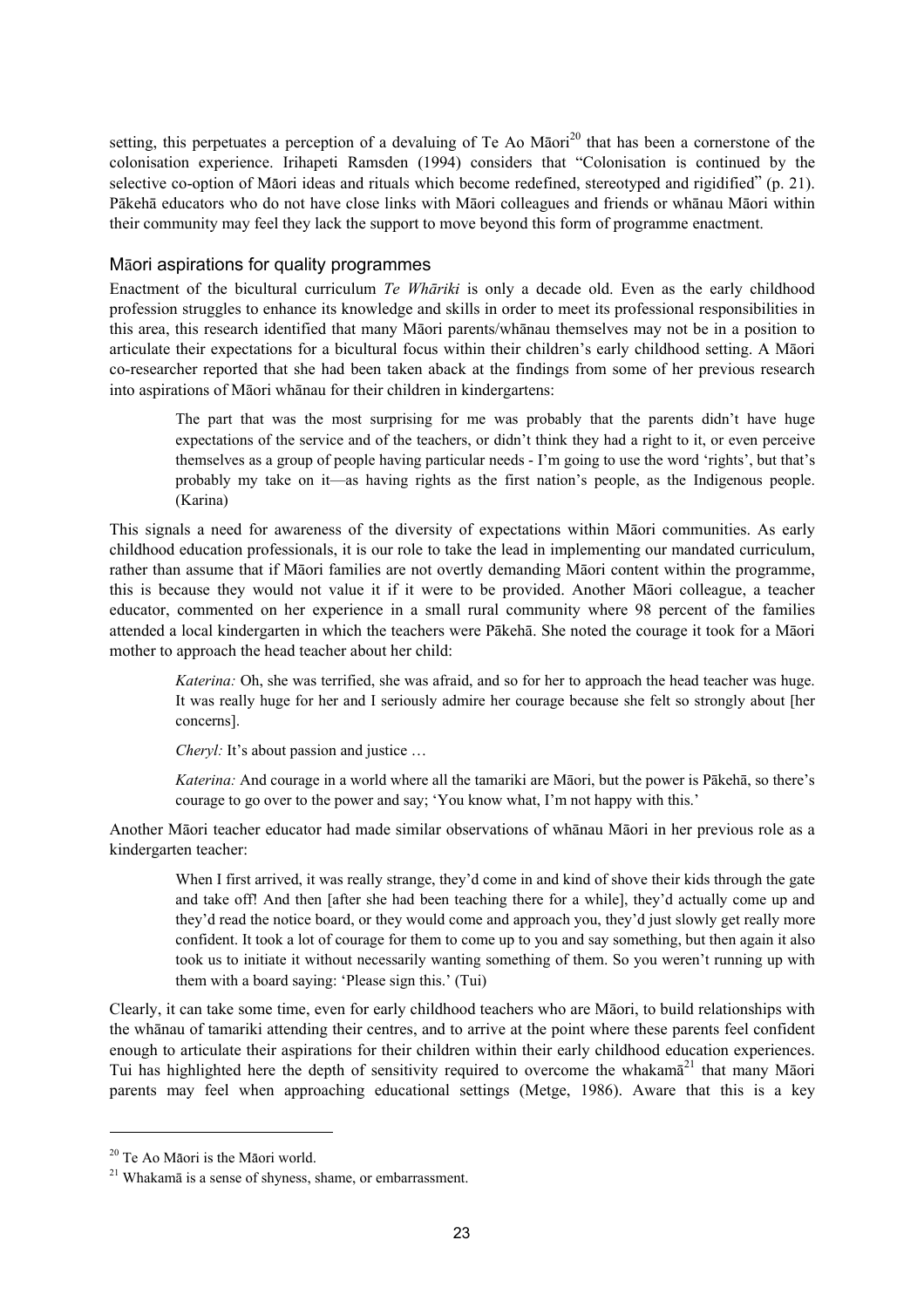setting, this perpetuates a perception of a devaluing of Te Ao Māori<sup>20</sup> that has been a cornerstone of the colonisation experience. Irihapeti Ramsden (1994) considers that "Colonisation is continued by the selective co-option of Mäori ideas and rituals which become redefined, stereotyped and rigidified" (p. 21). Pākehā educators who do not have close links with Māori colleagues and friends or whānau Māori within their community may feel they lack the support to move beyond this form of programme enactment.

#### Māori aspirations for quality programmes

Enactment of the bicultural curriculum *Te Whāriki* is only a decade old. Even as the early childhood profession struggles to enhance its knowledge and skills in order to meet its professional responsibilities in this area, this research identified that many Māori parents/whānau themselves may not be in a position to articulate their expectations for a bicultural focus within their children's early childhood setting. A Māori co-researcher reported that she had been taken aback at the findings from some of her previous research into aspirations of Māori whānau for their children in kindergartens:

The part that was the most surprising for me was probably that the parents didn't have huge expectations of the service and of the teachers, or didn't think they had a right to it, or even perceive themselves as a group of people having particular needs - I'm going to use the word 'rights', but that's probably my take on it—as having rights as the first nation's people, as the Indigenous people. (Karina)

This signals a need for awareness of the diversity of expectations within Māori communities. As early childhood education professionals, it is our role to take the lead in implementing our mandated curriculum, rather than assume that if Māori families are not overtly demanding Māori content within the programme, this is because they would not value it if it were to be provided. Another Māori colleague, a teacher educator, commented on her experience in a small rural community where 98 percent of the families attended a local kindergarten in which the teachers were Pākehā. She noted the courage it took for a Māori mother to approach the head teacher about her child:

*Katerina:* Oh, she was terrified, she was afraid, and so for her to approach the head teacher was huge. It was really huge for her and I seriously admire her courage because she felt so strongly about [her concerns].

*Cheryl:* It's about passion and justice ...

*Katerina:* And courage in a world where all the tamariki are Māori, but the power is Pākehā, so there's courage to go over to the power and say; 'You know what, I'm not happy with this.'

Another Māori teacher educator had made similar observations of whānau Māori in her previous role as a kindergarten teacher:

When I first arrived, it was really strange, they'd come in and kind of shove their kids through the gate and take off! And then [after she had been teaching there for a while], they'd actually come up and they'd read the notice board, or they would come and approach you, they'd just slowly get really more confident. It took a lot of courage for them to come up to you and say something, but then again it also took us to initiate it without necessarily wanting something of them. So you weren't running up with them with a board saying: 'Please sign this.' (Tui)

Clearly, it can take some time, even for early childhood teachers who are Māori, to build relationships with the whānau of tamariki attending their centres, and to arrive at the point where these parents feel confident enough to articulate their aspirations for their children within their early childhood education experiences. Tui has highlighted here the depth of sensitivity required to overcome the whakama<sup>21</sup> that many Matori parents may feel when approaching educational settings (Metge, 1986). Aware that this is a key

 $20$  Te Ao Māori is the Māori world.

<sup>&</sup>lt;sup>21</sup> Whakamā is a sense of shyness, shame, or embarrassment.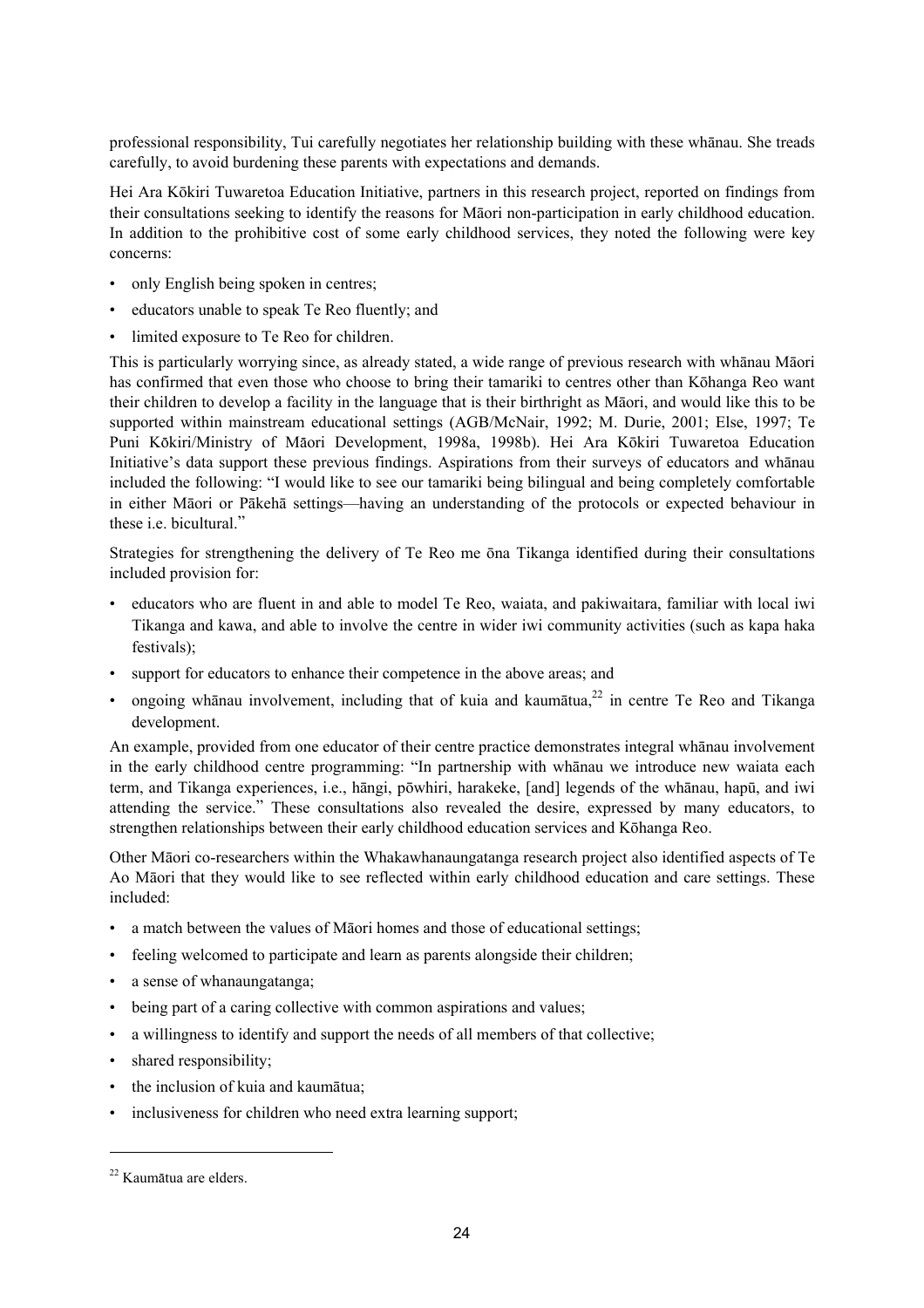professional responsibility, Tui carefully negotiates her relationship building with these whānau. She treads carefully, to avoid burdening these parents with expectations and demands.

Hei Ara Kōkiri Tuwaretoa Education Initiative, partners in this research project, reported on findings from their consultations seeking to identify the reasons for Māori non-participation in early childhood education. In addition to the prohibitive cost of some early childhood services, they noted the following were key concerns:

- only English being spoken in centres;
- educators unable to speak Te Reo fluently; and
- limited exposure to Te Reo for children.

This is particularly worrying since, as already stated, a wide range of previous research with whānau Māori has confirmed that even those who choose to bring their tamariki to centres other than Kōhanga Reo want their children to develop a facility in the language that is their birthright as Māori, and would like this to be supported within mainstream educational settings (AGB/McNair, 1992; M. Durie, 2001; Else, 1997; Te Puni Kökiri/Ministry of Mäori Development, 1998a, 1998b). Hei Ara Kōkiri Tuwaretoa Education Initiative's data support these previous findings. Aspirations from their surveys of educators and whānau included the following: "I would like to see our tamariki being bilingual and being completely comfortable in either Māori or Pākehā settings—having an understanding of the protocols or expected behaviour in these i.e. bicultural."

Strategies for strengthening the delivery of Te Reo me ōna Tikanga identified during their consultations included provision for:

- educators who are fluent in and able to model Te Reo, waiata, and pakiwaitara, familiar with local iwi Tikanga and kawa, and able to involve the centre in wider iwi community activities (such as kapa haka festivals);
- support for educators to enhance their competence in the above areas; and
- ongoing whānau involvement, including that of kuia and kaumātua, $22$  in centre Te Reo and Tikanga development.

An example, provided from one educator of their centre practice demonstrates integral whānau involvement in the early childhood centre programming: "In partnership with whānau we introduce new waiata each term, and Tikanga experiences, i.e., hāngi, pōwhiri, harakeke, [and] legends of the whānau, hapū, and iwi attending the service." These consultations also revealed the desire, expressed by many educators, to strengthen relationships between their early childhood education services and Kōhanga Reo.

Other Māori co-researchers within the Whakawhanaungatanga research project also identified aspects of Te Ao Māori that they would like to see reflected within early childhood education and care settings. These included:

- a match between the values of Māori homes and those of educational settings;
- feeling welcomed to participate and learn as parents alongside their children;
- a sense of whanaungatanga;
- being part of a caring collective with common aspirations and values;
- a willingness to identify and support the needs of all members of that collective;
- shared responsibility;
- the inclusion of kuia and kaumātua;
- inclusiveness for children who need extra learning support;

<sup>22</sup> Kaumätua are elders.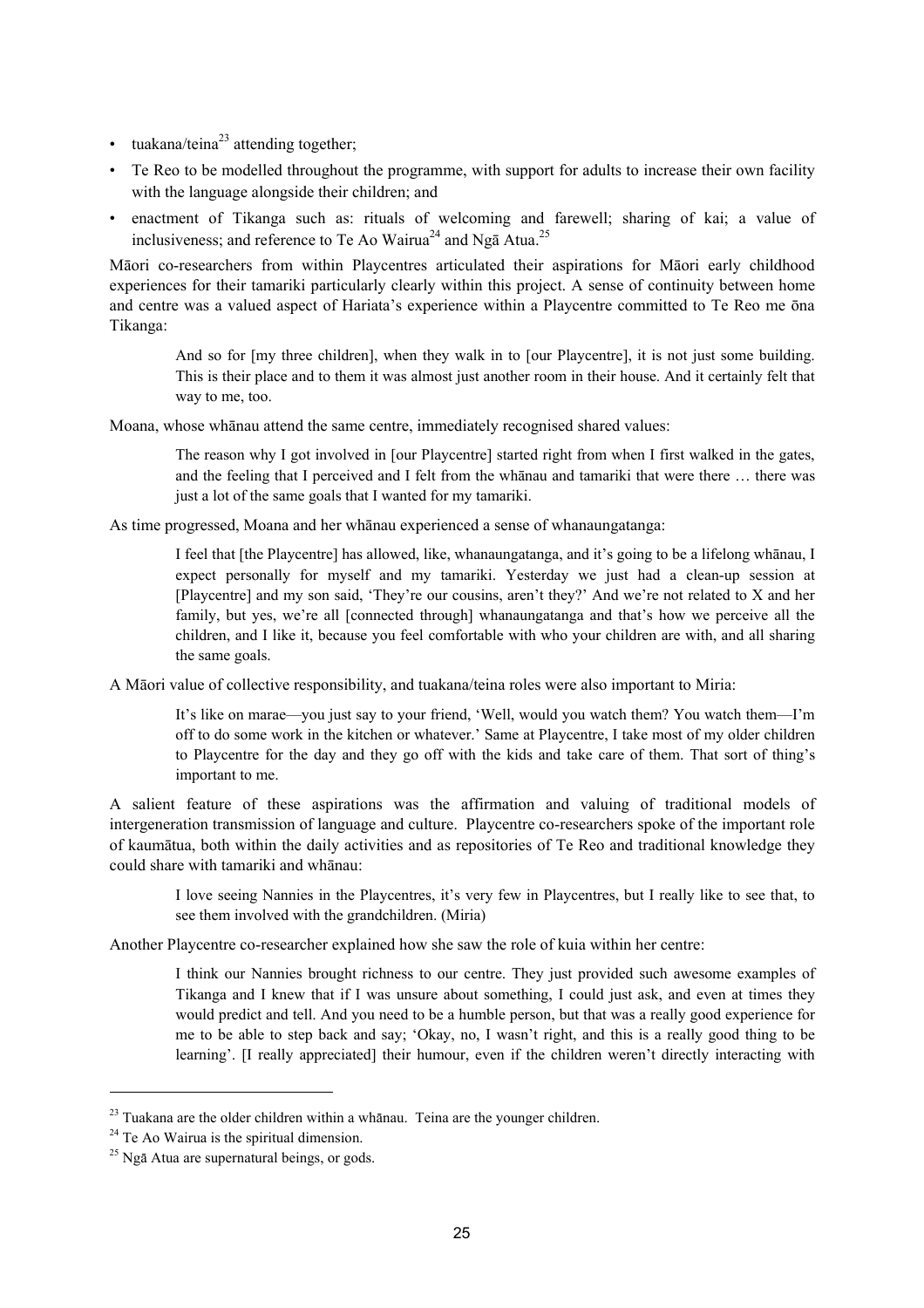- tuakana/teina $^{23}$  attending together;
- Te Reo to be modelled throughout the programme, with support for adults to increase their own facility with the language alongside their children; and
- enactment of Tikanga such as: rituals of welcoming and farewell; sharing of kai; a value of inclusiveness; and reference to Te Ao Wairua<sup>24</sup> and Nga Atua.<sup>25</sup>

Māori co-researchers from within Playcentres articulated their aspirations for Māori early childhood experiences for their tamariki particularly clearly within this project. A sense of continuity between home and centre was a valued aspect of Hariata's experience within a Playcentre committed to Te Reo me ōna Tikanga:

And so for [my three children], when they walk in to [our Playcentre], it is not just some building. This is their place and to them it was almost just another room in their house. And it certainly felt that way to me, too.

Moana, whose whānau attend the same centre, immediately recognised shared values:

The reason why I got involved in [our Playcentre] started right from when I first walked in the gates, and the feeling that I perceived and I felt from the whānau and tamariki that were there … there was just a lot of the same goals that I wanted for my tamariki.

As time progressed, Moana and her whānau experienced a sense of whanaungatanga:

I feel that [the Playcentre] has allowed, like, whanaungatanga, and it's going to be a lifelong whānau, I expect personally for myself and my tamariki. Yesterday we just had a clean-up session at [Playcentre] and my son said, 'They're our cousins, aren't they?' And we're not related to X and her family, but yes, we're all [connected through] whanaungatanga and that's how we perceive all the children, and I like it, because you feel comfortable with who your children are with, and all sharing the same goals.

A Māori value of collective responsibility, and tuakana/teina roles were also important to Miria:

It's like on marae—you just say to your friend, 'Well, would you watch them? You watch them—I'm off to do some work in the kitchen or whatever.' Same at Playcentre, I take most of my older children to Playcentre for the day and they go off with the kids and take care of them. That sort of thing's important to me.

A salient feature of these aspirations was the affirmation and valuing of traditional models of intergeneration transmission of language and culture. Playcentre co-researchers spoke of the important role of kaumātua, both within the daily activities and as repositories of Te Reo and traditional knowledge they could share with tamariki and whānau:

I love seeing Nannies in the Playcentres, it's very few in Playcentres, but I really like to see that, to see them involved with the grandchildren. (Miria)

Another Playcentre co-researcher explained how she saw the role of kuia within her centre:

I think our Nannies brought richness to our centre. They just provided such awesome examples of Tikanga and I knew that if I was unsure about something, I could just ask, and even at times they would predict and tell. And you need to be a humble person, but that was a really good experience for me to be able to step back and say; 'Okay, no, I wasn't right, and this is a really good thing to be learning'. [I really appreciated] their humour, even if the children weren't directly interacting with

<sup>&</sup>lt;sup>23</sup> Tuakana are the older children within a whānau. Teina are the younger children.<br><sup>24</sup> Te Ao Wairua is the spiritual dimension.<br><sup>25</sup> Ngã Atua are supernatural beings, or gods.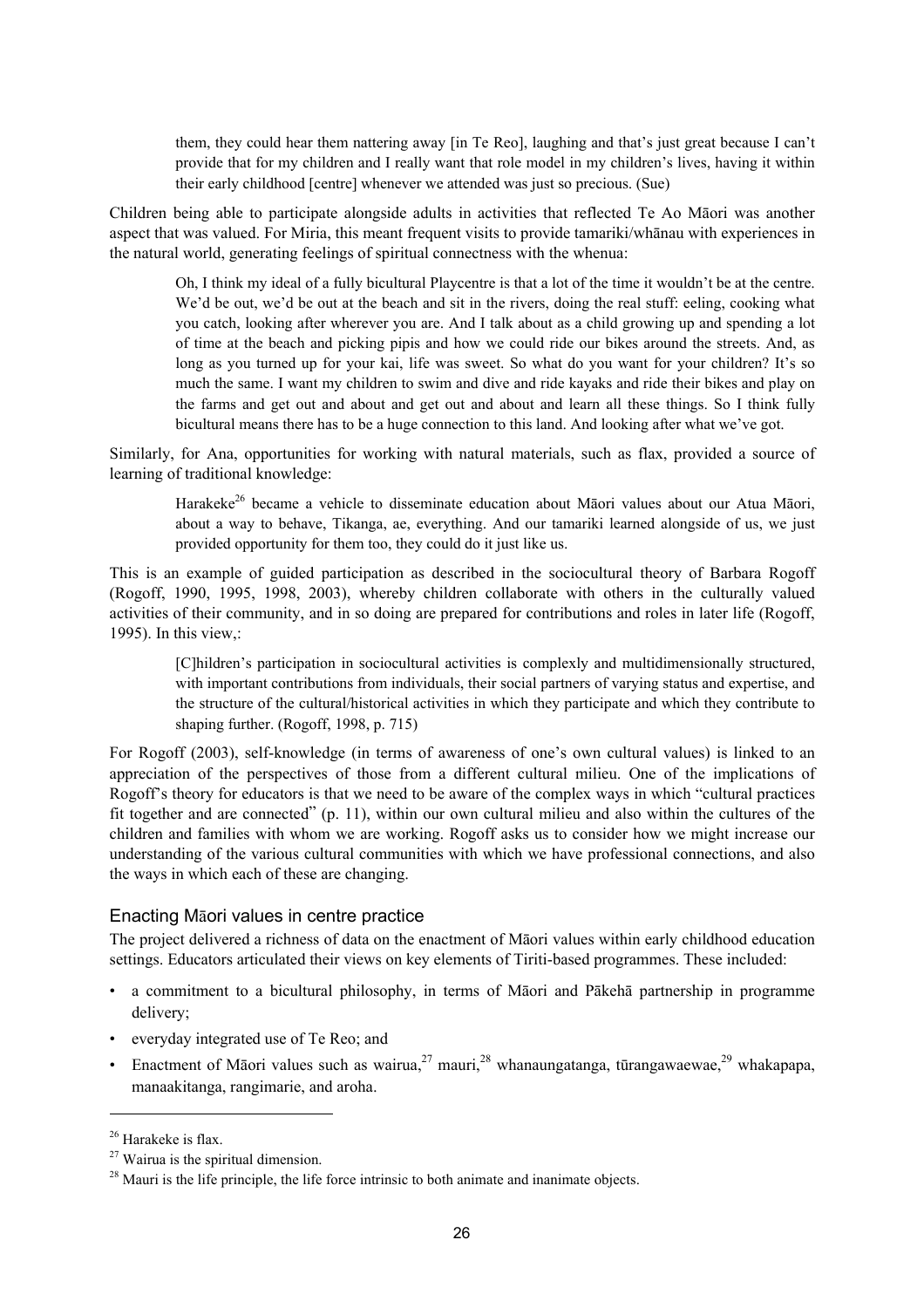them, they could hear them nattering away [in Te Reo], laughing and that's just great because I can't provide that for my children and I really want that role model in my children's lives, having it within their early childhood [centre] whenever we attended was just so precious. (Sue)

Children being able to participate alongside adults in activities that reflected Te Ao Māori was another aspect that was valued. For Miria, this meant frequent visits to provide tamariki/whānau with experiences in the natural world, generating feelings of spiritual connectness with the whenua:

Oh, I think my ideal of a fully bicultural Playcentre is that a lot of the time it wouldn't be at the centre. We'd be out, we'd be out at the beach and sit in the rivers, doing the real stuff: eeling, cooking what you catch, looking after wherever you are. And I talk about as a child growing up and spending a lot of time at the beach and picking pipis and how we could ride our bikes around the streets. And, as long as you turned up for your kai, life was sweet. So what do you want for your children? It's so much the same. I want my children to swim and dive and ride kayaks and ride their bikes and play on the farms and get out and about and get out and about and learn all these things. So I think fully bicultural means there has to be a huge connection to this land. And looking after what we've got.

Similarly, for Ana, opportunities for working with natural materials, such as flax, provided a source of learning of traditional knowledge:

Harakeke<sup>26</sup> became a vehicle to disseminate education about Māori values about our Atua Māori, about a way to behave, Tikanga, ae, everything. And our tamariki learned alongside of us, we just provided opportunity for them too, they could do it just like us.

This is an example of guided participation as described in the sociocultural theory of Barbara Rogoff (Rogoff, 1990, 1995, 1998, 2003), whereby children collaborate with others in the culturally valued activities of their community, and in so doing are prepared for contributions and roles in later life (Rogoff, 1995). In this view,:

[C]hildren's participation in sociocultural activities is complexly and multidimensionally structured, with important contributions from individuals, their social partners of varying status and expertise, and the structure of the cultural/historical activities in which they participate and which they contribute to shaping further. (Rogoff, 1998, p. 715)

For Rogoff (2003), self-knowledge (in terms of awareness of one's own cultural values) is linked to an appreciation of the perspectives of those from a different cultural milieu. One of the implications of Rogoff's theory for educators is that we need to be aware of the complex ways in which "cultural practices fit together and are connected" (p. 11), within our own cultural milieu and also within the cultures of the children and families with whom we are working. Rogoff asks us to consider how we might increase our understanding of the various cultural communities with which we have professional connections, and also the ways in which each of these are changing.

#### Enacting Māori values in centre practice

The project delivered a richness of data on the enactment of Māori values within early childhood education settings. Educators articulated their views on key elements of Tiriti-based programmes. These included:

- a commitment to a bicultural philosophy, in terms of Māori and Pākehā partnership in programme delivery;
- everyday integrated use of Te Reo; and
- Enactment of Māori values such as wairua,<sup>27</sup> mauri,<sup>28</sup> whanaungatanga, tūrangawaewae,<sup>29</sup> whakapapa, manaakitanga, rangimarie, and aroha.

<sup>&</sup>lt;sup>26</sup> Harakeke is flax.<br><sup>27</sup> Wairua is the spiritual dimension.<br><sup>28</sup> Mauri is the life principle, the life force intrinsic to both animate and inanimate objects.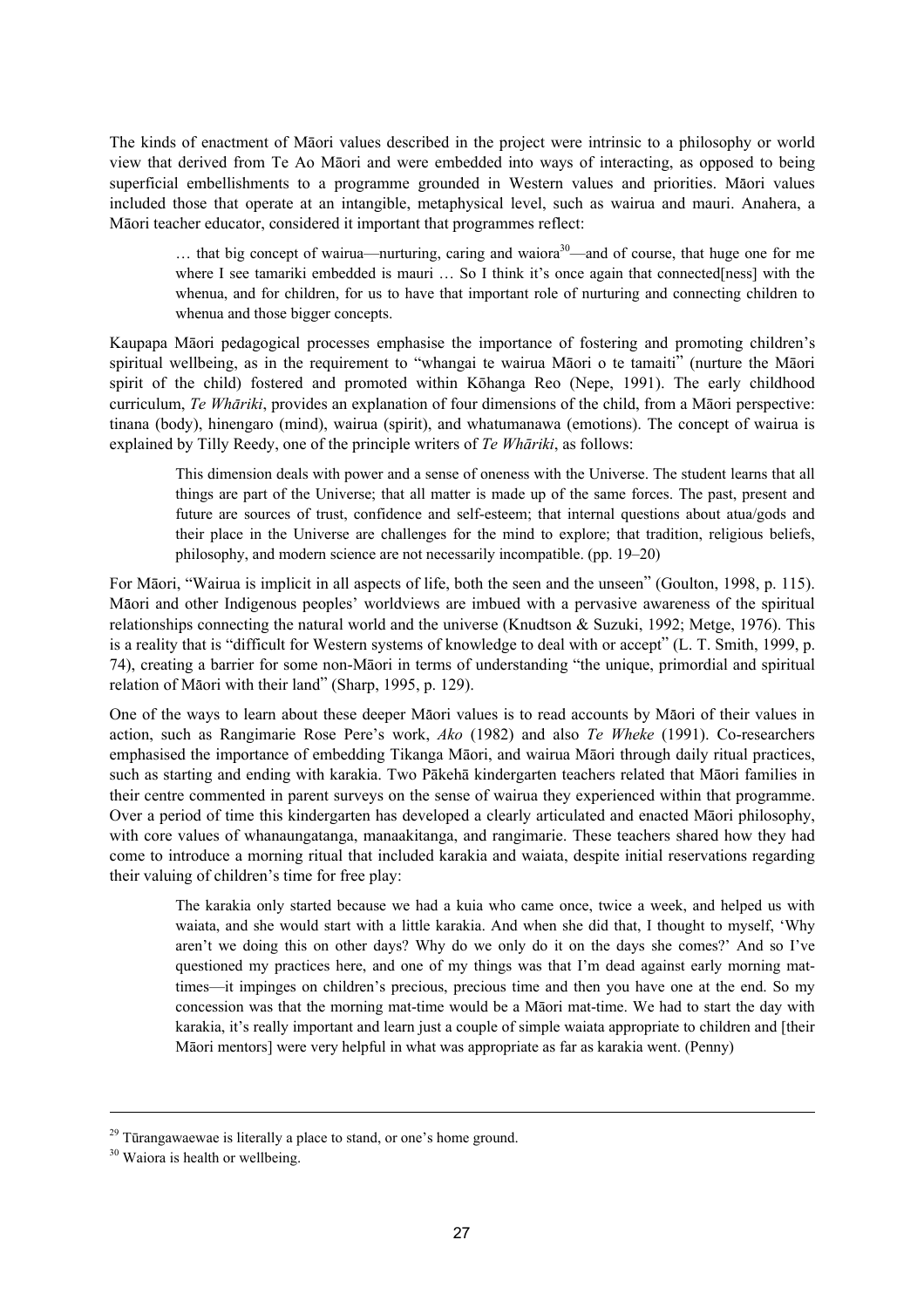The kinds of enactment of Māori values described in the project were intrinsic to a philosophy or world view that derived from Te Ao Māori and were embedded into ways of interacting, as opposed to being superficial embellishments to a programme grounded in Western values and priorities. Mäori values included those that operate at an intangible, metaphysical level, such as wairua and mauri. Anahera, a Māori teacher educator, considered it important that programmes reflect:

 $\ldots$  that big concept of wairua—nurturing, caring and waiora<sup>30</sup>—and of course, that huge one for me where I see tamariki embedded is mauri ... So I think it's once again that connected [ness] with the whenua, and for children, for us to have that important role of nurturing and connecting children to whenua and those bigger concepts.

Kaupapa Māori pedagogical processes emphasise the importance of fostering and promoting children's spiritual wellbeing, as in the requirement to "whangai te wairua Māori o te tamaiti" (nurture the Māori spirit of the child) fostered and promoted within Kōhanga Reo (Nepe, 1991). The early childhood curriculum, *Te Whäriki*, provides an explanation of four dimensions of the child, from a Māori perspective: tinana (body), hinengaro (mind), wairua (spirit), and whatumanawa (emotions). The concept of wairua is explained by Tilly Reedy, one of the principle writers of *Te Whāriki*, as follows:

This dimension deals with power and a sense of oneness with the Universe. The student learns that all things are part of the Universe; that all matter is made up of the same forces. The past, present and future are sources of trust, confidence and self-esteem; that internal questions about atua/gods and their place in the Universe are challenges for the mind to explore; that tradition, religious beliefs, philosophy, and modern science are not necessarily incompatible. (pp. 19–20)

For Māori, "Wairua is implicit in all aspects of life, both the seen and the unseen" (Goulton, 1998, p. 115). Mäori and other Indigenous peoples' worldviews are imbued with a pervasive awareness of the spiritual relationships connecting the natural world and the universe (Knudtson & Suzuki, 1992; Metge, 1976). This is a reality that is "difficult for Western systems of knowledge to deal with or accept" (L. T. Smith, 1999, p. 74), creating a barrier for some non-Māori in terms of understanding "the unique, primordial and spiritual relation of Mäori with their land" (Sharp, 1995, p. 129).

One of the ways to learn about these deeper Mäori values is to read accounts by Mäori of their values in action, such as Rangimarie Rose Pere's work, *Ako* (1982) and also *Te Wheke* (1991). Co-researchers emphasised the importance of embedding Tikanga Māori, and wairua Māori through daily ritual practices, such as starting and ending with karakia. Two Pākehā kindergarten teachers related that Māori families in their centre commented in parent surveys on the sense of wairua they experienced within that programme. Over a period of time this kindergarten has developed a clearly articulated and enacted Māori philosophy, with core values of whanaungatanga, manaakitanga, and rangimarie. These teachers shared how they had come to introduce a morning ritual that included karakia and waiata, despite initial reservations regarding their valuing of children's time for free play:

The karakia only started because we had a kuia who came once, twice a week, and helped us with waiata, and she would start with a little karakia. And when she did that, I thought to myself, 'Why aren't we doing this on other days? Why do we only do it on the days she comes?' And so I've questioned my practices here, and one of my things was that I'm dead against early morning mattimes—it impinges on children's precious, precious time and then you have one at the end. So my concession was that the morning mat-time would be a Māori mat-time. We had to start the day with karakia, it's really important and learn just a couple of simple waiata appropriate to children and [their Māori mentors] were very helpful in what was appropriate as far as karakia went. (Penny)

<sup>&</sup>lt;sup>29</sup> Tūrangawaewae is literally a place to stand, or one's home ground.<br><sup>30</sup> Waiora is health or wellbeing.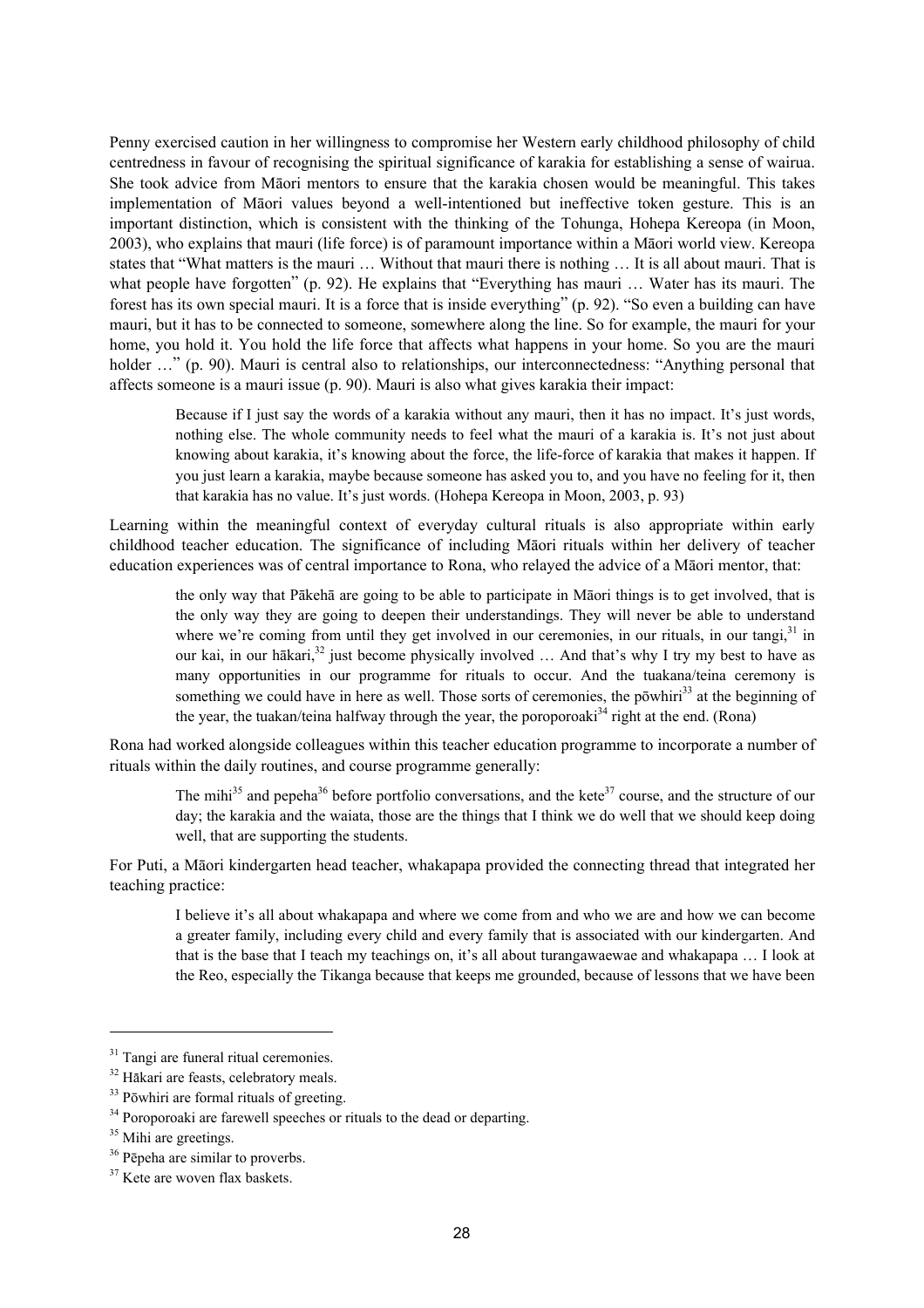Penny exercised caution in her willingness to compromise her Western early childhood philosophy of child centredness in favour of recognising the spiritual significance of karakia for establishing a sense of wairua. She took advice from Māori mentors to ensure that the karakia chosen would be meaningful. This takes implementation of Māori values beyond a well-intentioned but ineffective token gesture. This is an important distinction, which is consistent with the thinking of the Tohunga, Hohepa Kereopa (in Moon, 2003), who explains that mauri (life force) is of paramount importance within a Māori world view. Kereopa states that "What matters is the mauri … Without that mauri there is nothing … It is all about mauri. That is what people have forgotten" (p. 92). He explains that "Everything has mauri ... Water has its mauri. The forest has its own special mauri. It is a force that is inside everything" (p. 92). "So even a building can have mauri, but it has to be connected to someone, somewhere along the line. So for example, the mauri for your home, you hold it. You hold the life force that affects what happens in your home. So you are the mauri holder ..." (p. 90). Mauri is central also to relationships, our interconnectedness: "Anything personal that affects someone is a mauri issue (p. 90). Mauri is also what gives karakia their impact:

Because if I just say the words of a karakia without any mauri, then it has no impact. It's just words, nothing else. The whole community needs to feel what the mauri of a karakia is. It's not just about knowing about karakia, it's knowing about the force, the life-force of karakia that makes it happen. If you just learn a karakia, maybe because someone has asked you to, and you have no feeling for it, then that karakia has no value. It's just words. (Hohepa Kereopa in Moon, 2003, p. 93)

Learning within the meaningful context of everyday cultural rituals is also appropriate within early childhood teacher education. The significance of including Māori rituals within her delivery of teacher education experiences was of central importance to Rona, who relayed the advice of a Māori mentor, that:

the only way that Pākehā are going to be able to participate in Māori things is to get involved, that is the only way they are going to deepen their understandings. They will never be able to understand where we're coming from until they get involved in our ceremonies, in our rituals, in our tangi,  $31$  in our kai, in our hākari,<sup>32</sup> just become physically involved ... And that's why I try my best to have as many opportunities in our programme for rituals to occur. And the tuakana/teina ceremony is something we could have in here as well. Those sorts of ceremonies, the pōwhiri<sup>33</sup> at the beginning of the year, the tuakan/teina halfway through the year, the poroporoaki<sup>34</sup> right at the end. (Rona)

Rona had worked alongside colleagues within this teacher education programme to incorporate a number of rituals within the daily routines, and course programme generally:

The mihi<sup>35</sup> and pepeha<sup>36</sup> before portfolio conversations, and the kete<sup>37</sup> course, and the structure of our day; the karakia and the waiata, those are the things that I think we do well that we should keep doing well, that are supporting the students.

For Puti, a Māori kindergarten head teacher, whakapapa provided the connecting thread that integrated her teaching practice:

I believe it's all about whakapapa and where we come from and who we are and how we can become a greater family, including every child and every family that is associated with our kindergarten. And that is the base that I teach my teachings on, it's all about turangawaewae and whakapapa … I look at the Reo, especially the Tikanga because that keeps me grounded, because of lessons that we have been

<sup>&</sup>lt;sup>31</sup> Tangi are funeral ritual ceremonies.<br><sup>32</sup> Hākari are feasts, celebratory meals.<br><sup>33</sup> Pōwhiri are formal rituals of greeting.<br><sup>34</sup> Poroporoaki are farewell speeches or rituals to the dead or departing.<br><sup>35</sup> Mihi are g

 $3^{36}$  Pēpeha are similar to proverbs.<br> $37$  Kete are woven flax baskets.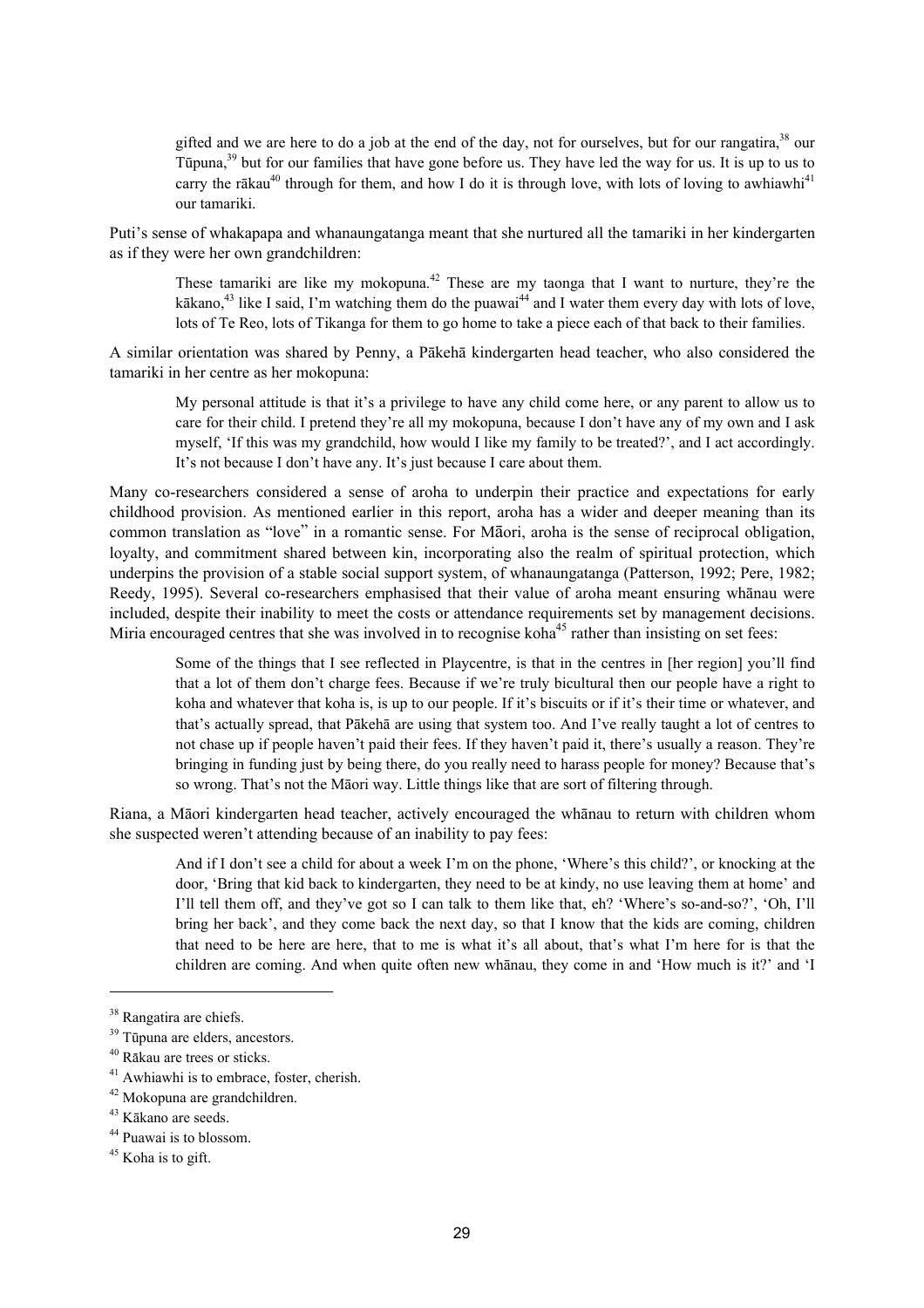gifted and we are here to do a job at the end of the day, not for ourselves, but for our rangatira,<sup>38</sup> our Tūpuna,39 but for our families that have gone before us. They have led the way for us. It is up to us to carry the rākau<sup>40</sup> through for them, and how I do it is through love, with lots of loving to awhiawhi<sup>41</sup> our tamariki.

Puti's sense of whakapapa and whanaungatanga meant that she nurtured all the tamariki in her kindergarten as if they were her own grandchildren:

These tamariki are like my mokopuna.<sup>42</sup> These are my taonga that I want to nurture, they're the kākano,<sup>43</sup> like I said, I'm watching them do the puawai<sup>44</sup> and I water them every day with lots of love, lots of Te Reo, lots of Tikanga for them to go home to take a piece each of that back to their families.

A similar orientation was shared by Penny, a Pākehā kindergarten head teacher, who also considered the tamariki in her centre as her mokopuna:

My personal attitude is that it's a privilege to have any child come here, or any parent to allow us to care for their child. I pretend they're all my mokopuna, because I don't have any of my own and I ask myself, 'If this was my grandchild, how would I like my family to be treated?', and I act accordingly. It's not because I don't have any. It's just because I care about them.

Many co-researchers considered a sense of aroha to underpin their practice and expectations for early childhood provision. As mentioned earlier in this report, aroha has a wider and deeper meaning than its common translation as "love" in a romantic sense. For Māori, aroha is the sense of reciprocal obligation, loyalty, and commitment shared between kin, incorporating also the realm of spiritual protection, which underpins the provision of a stable social support system, of whanaungatanga (Patterson, 1992; Pere, 1982; Reedy, 1995). Several co-researchers emphasised that their value of aroha meant ensuring whānau were included, despite their inability to meet the costs or attendance requirements set by management decisions. Miria encouraged centres that she was involved in to recognise koha<sup>45</sup> rather than insisting on set fees:

Some of the things that I see reflected in Playcentre, is that in the centres in [her region] you'll find that a lot of them don't charge fees. Because if we're truly bicultural then our people have a right to koha and whatever that koha is, is up to our people. If it's biscuits or if it's their time or whatever, and that's actually spread, that Pākehā are using that system too. And I've really taught a lot of centres to not chase up if people haven't paid their fees. If they haven't paid it, there's usually a reason. They're bringing in funding just by being there, do you really need to harass people for money? Because that's so wrong. That's not the Māori way. Little things like that are sort of filtering through.

Riana, a Māori kindergarten head teacher, actively encouraged the whānau to return with children whom she suspected weren't attending because of an inability to pay fees:

And if I don't see a child for about a week I'm on the phone, 'Where's this child?', or knocking at the door, 'Bring that kid back to kindergarten, they need to be at kindy, no use leaving them at home' and I'll tell them off, and they've got so I can talk to them like that, eh? 'Where's so-and-so?', 'Oh, I'll bring her back', and they come back the next day, so that I know that the kids are coming, children that need to be here are here, that to me is what it's all about, that's what I'm here for is that the children are coming. And when quite often new whānau, they come in and 'How much is it?' and 'I

<sup>&</sup>lt;sup>38</sup> Rangatira are chiefs.<br><sup>39</sup> Tūpuna are elders, ancestors.<br><sup>40</sup> Rākau are trees or sticks.

<sup>&</sup>lt;sup>41</sup> Awhiawhi is to embrace, foster, cherish.<br><sup>42</sup> Mokopuna are grandchildren.<br><sup>43</sup> Kākano are seeds.<br><sup>44</sup> Puawai is to blossom.

 $45$  Koha is to gift.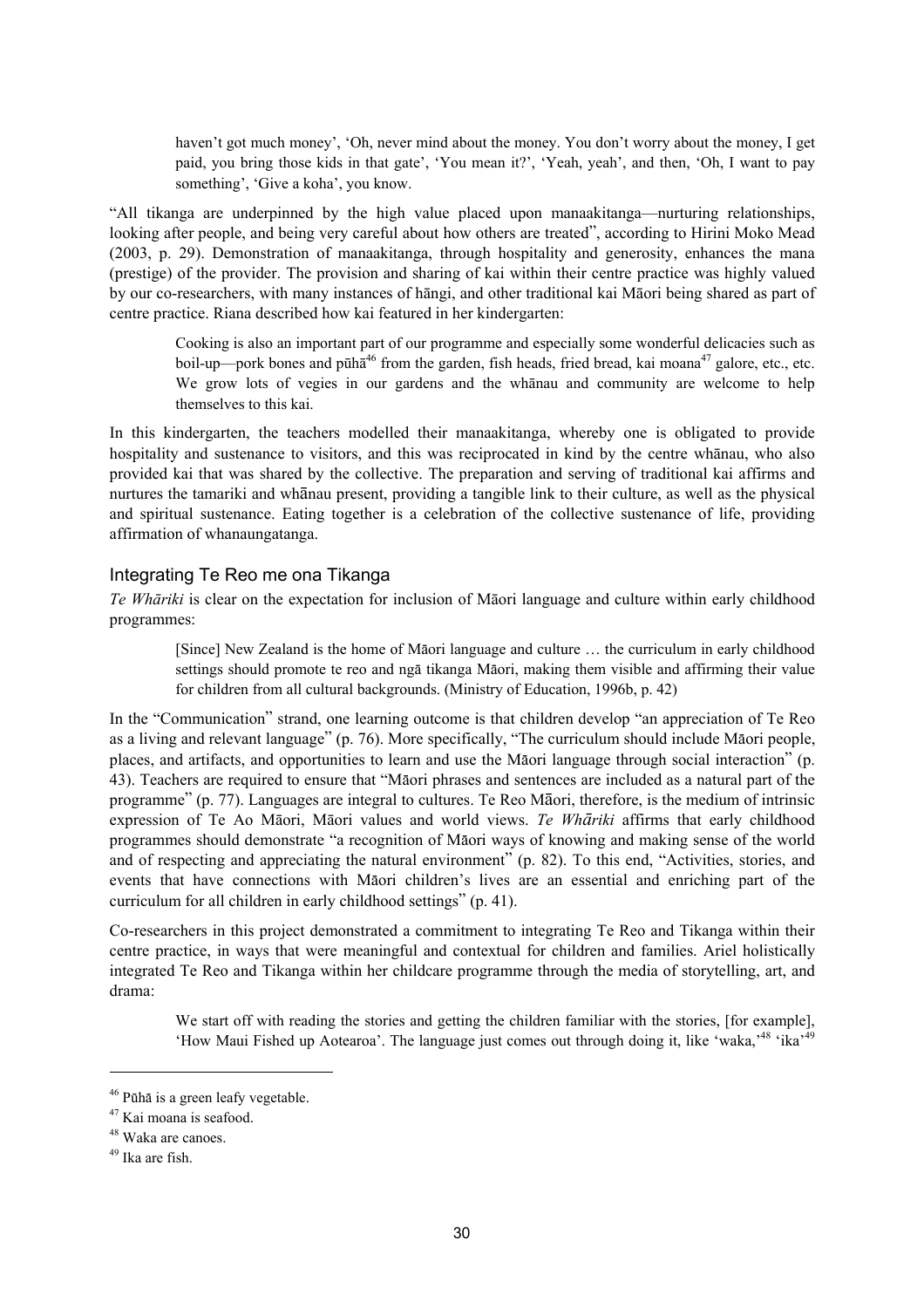haven't got much money', 'Oh, never mind about the money. You don't worry about the money, I get paid, you bring those kids in that gate', 'You mean it?', 'Yeah, yeah', and then, 'Oh, I want to pay something', 'Give a koha', you know.

"All tikanga are underpinned by the high value placed upon manaakitanga—nurturing relationships, looking after people, and being very careful about how others are treated", according to Hirini Moko Mead (2003, p. 29). Demonstration of manaakitanga, through hospitality and generosity, enhances the mana (prestige) of the provider. The provision and sharing of kai within their centre practice was highly valued by our co-researchers, with many instances of hāngi, and other traditional kai Māori being shared as part of centre practice. Riana described how kai featured in her kindergarten:

Cooking is also an important part of our programme and especially some wonderful delicacies such as boil-up—pork bones and pūhā<sup>46</sup> from the garden, fish heads, fried bread, kai moana<sup>47</sup> galore, etc., etc. We grow lots of vegies in our gardens and the whanau and community are welcome to help themselves to this kai.

In this kindergarten, the teachers modelled their manaakitanga, whereby one is obligated to provide hospitality and sustenance to visitors, and this was reciprocated in kind by the centre whānau, who also provided kai that was shared by the collective. The preparation and serving of traditional kai affirms and nurtures the tamariki and whānau present, providing a tangible link to their culture, as well as the physical and spiritual sustenance. Eating together is a celebration of the collective sustenance of life, providing affirmation of whanaungatanga.

#### Integrating Te Reo me ona Tikanga

*Te Whāriki* is clear on the expectation for inclusion of Māori language and culture within early childhood programmes:

[Since] New Zealand is the home of Mäori language and culture … the curriculum in early childhood settings should promote te reo and ngä tikanga Mäori, making them visible and affirming their value for children from all cultural backgrounds. (Ministry of Education, 1996b, p. 42)

In the "Communication" strand, one learning outcome is that children develop "an appreciation of Te Reo as a living and relevant language" (p. 76). More specifically, "The curriculum should include Mäori people, places, and artifacts, and opportunities to learn and use the Mäori language through social interaction" (p. 43). Teachers are required to ensure that "Mäori phrases and sentences are included as a natural part of the programme" (p. 77). Languages are integral to cultures. Te Reo Māori, therefore, is the medium of intrinsic expression of Te Ao Māori, Māori values and world views. *Te Whāriki* affirms that early childhood programmes should demonstrate "a recognition of Mäori ways of knowing and making sense of the world and of respecting and appreciating the natural environment" (p. 82). To this end, "Activities, stories, and events that have connections with Mäori children's lives are an essential and enriching part of the curriculum for all children in early childhood settings" (p. 41).

Co-researchers in this project demonstrated a commitment to integrating Te Reo and Tikanga within their centre practice, in ways that were meaningful and contextual for children and families. Ariel holistically integrated Te Reo and Tikanga within her childcare programme through the media of storytelling, art, and drama:

We start off with reading the stories and getting the children familiar with the stories, [for example], 'How Maui Fished up Aotearoa'. The language just comes out through doing it, like 'waka,'<sup>48</sup> 'ika'<sup>49</sup>

<sup>46</sup> Pühä is a green leafy vegetable.

<sup>&</sup>lt;sup>47</sup> Kai moana is seafood.<br><sup>48</sup> Waka are canoes.<br><sup>49</sup> Ika are fish.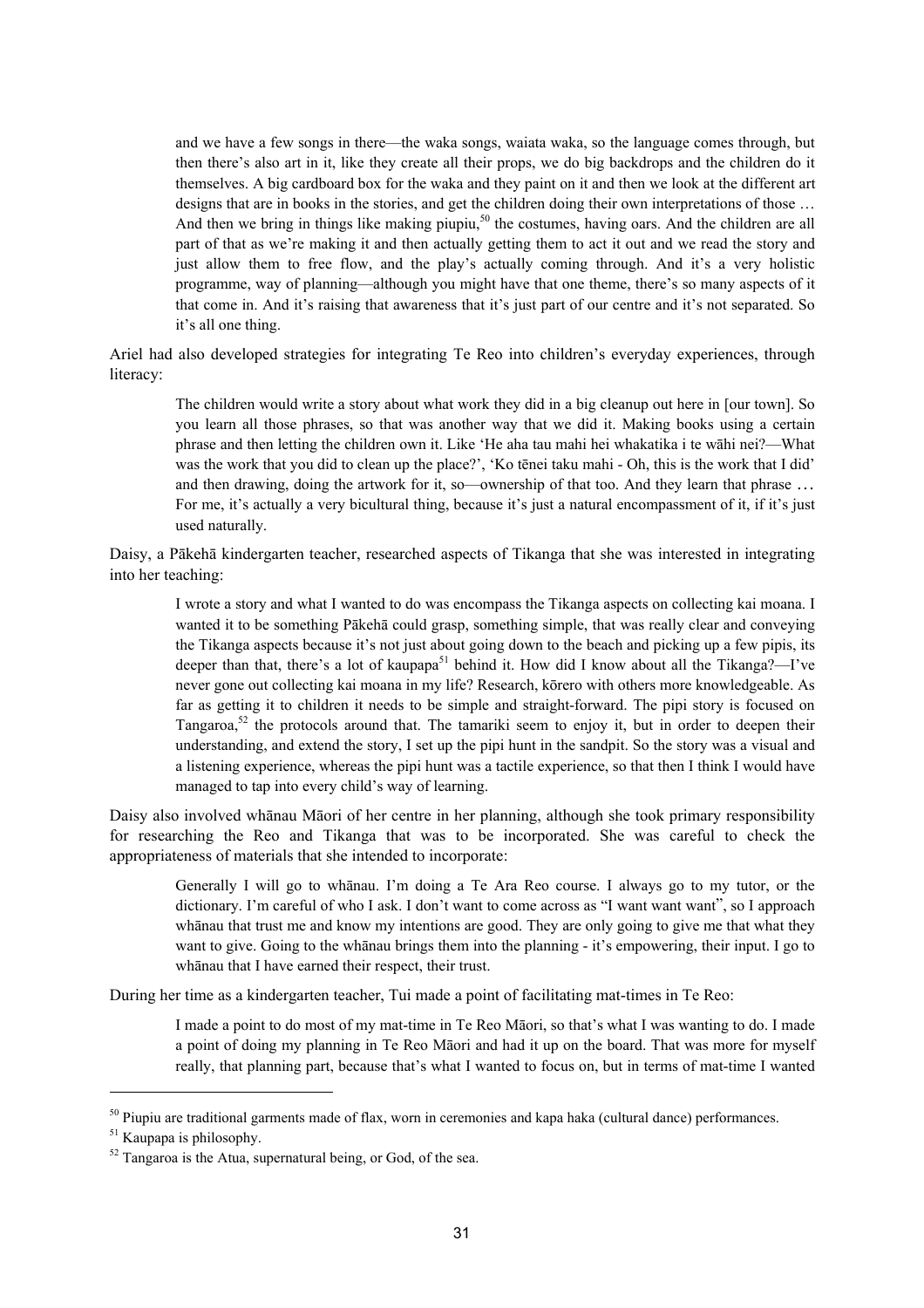and we have a few songs in there—the waka songs, waiata waka, so the language comes through, but then there's also art in it, like they create all their props, we do big backdrops and the children do it themselves. A big cardboard box for the waka and they paint on it and then we look at the different art designs that are in books in the stories, and get the children doing their own interpretations of those … And then we bring in things like making piupiu,<sup>50</sup> the costumes, having oars. And the children are all part of that as we're making it and then actually getting them to act it out and we read the story and just allow them to free flow, and the play's actually coming through. And it's a very holistic programme, way of planning—although you might have that one theme, there's so many aspects of it that come in. And it's raising that awareness that it's just part of our centre and it's not separated. So it's all one thing.

Ariel had also developed strategies for integrating Te Reo into children's everyday experiences, through literacy:

The children would write a story about what work they did in a big cleanup out here in [our town]. So you learn all those phrases, so that was another way that we did it. Making books using a certain phrase and then letting the children own it. Like 'He aha tau mahi hei whakatika i te wāhi nei?—What was the work that you did to clean up the place?', 'Ko tēnei taku mahi - Oh, this is the work that I did' and then drawing, doing the artwork for it, so—ownership of that too. And they learn that phrase ... For me, it's actually a very bicultural thing, because it's just a natural encompassment of it, if it's just used naturally.

Daisy, a Pākehā kindergarten teacher, researched aspects of Tikanga that she was interested in integrating into her teaching:

I wrote a story and what I wanted to do was encompass the Tikanga aspects on collecting kai moana. I wanted it to be something Pākehā could grasp, something simple, that was really clear and conveying the Tikanga aspects because it's not just about going down to the beach and picking up a few pipis, its deeper than that, there's a lot of kaupapa<sup>51</sup> behind it. How did I know about all the Tikanga?—I've never gone out collecting kai moana in my life? Research, kōrero with others more knowledgeable. As far as getting it to children it needs to be simple and straight-forward. The pipi story is focused on Tangaroa, $52$  the protocols around that. The tamariki seem to enjoy it, but in order to deepen their understanding, and extend the story, I set up the pipi hunt in the sandpit. So the story was a visual and a listening experience, whereas the pipi hunt was a tactile experience, so that then I think I would have managed to tap into every child's way of learning.

Daisy also involved whānau Māori of her centre in her planning, although she took primary responsibility for researching the Reo and Tikanga that was to be incorporated. She was careful to check the appropriateness of materials that she intended to incorporate:

Generally I will go to whānau. I'm doing a Te Ara Reo course. I always go to my tutor, or the dictionary. I'm careful of who I ask. I don't want to come across as "I want want want", so I approach whānau that trust me and know my intentions are good. They are only going to give me that what they want to give. Going to the whānau brings them into the planning - it's empowering, their input. I go to whānau that I have earned their respect, their trust.

During her time as a kindergarten teacher, Tui made a point of facilitating mat-times in Te Reo:

I made a point to do most of my mat-time in Te Reo Māori, so that's what I was wanting to do. I made a point of doing my planning in Te Reo Māori and had it up on the board. That was more for myself really, that planning part, because that's what I wanted to focus on, but in terms of mat-time I wanted

<sup>&</sup>lt;sup>50</sup> Piupiu are traditional garments made of flax, worn in ceremonies and kapa haka (cultural dance) performances.<br><sup>51</sup> Kaupapa is philosophy.<br><sup>52</sup> Tangaroa is the Atua, supernatural being, or God, of the sea.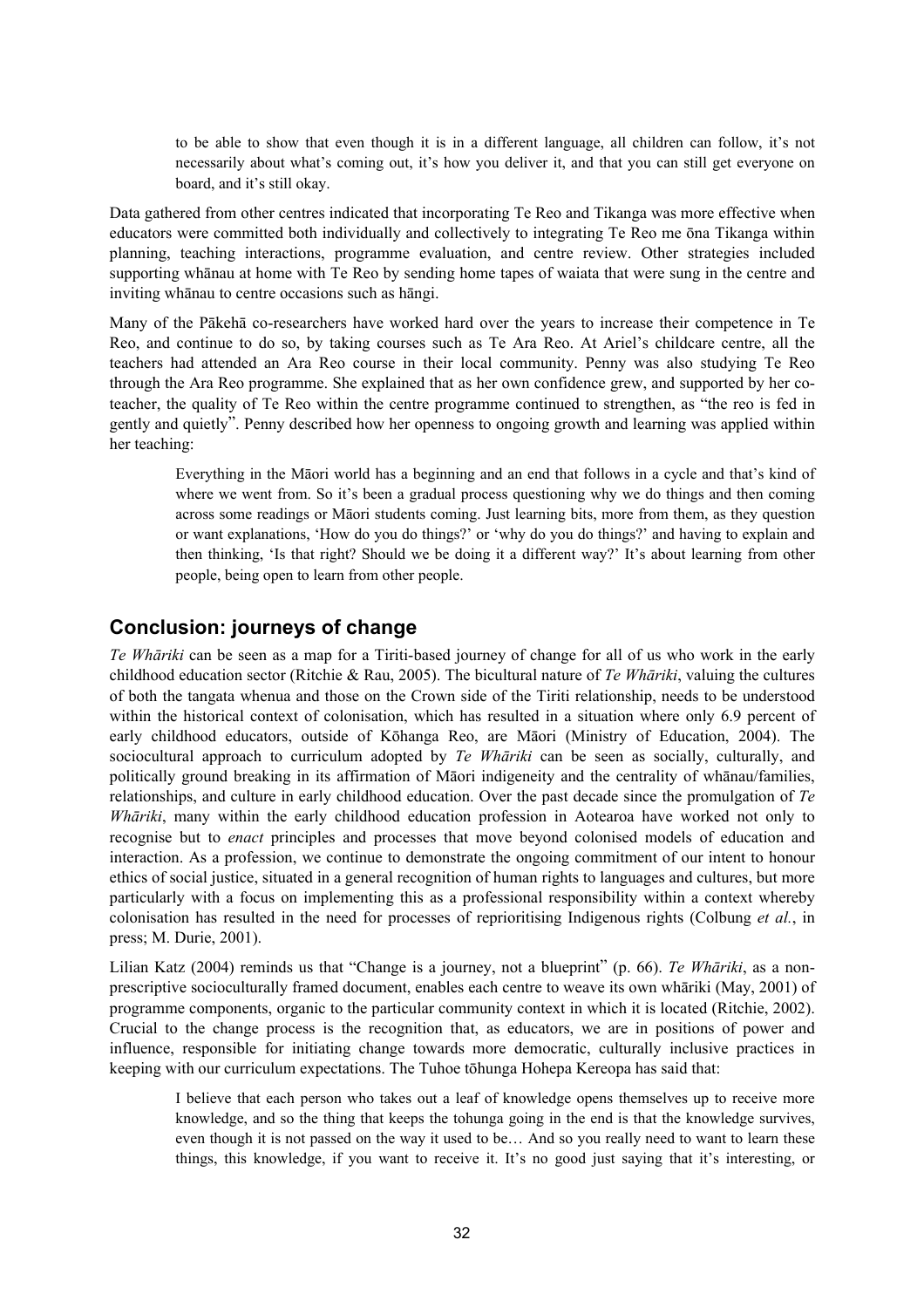to be able to show that even though it is in a different language, all children can follow, it's not necessarily about what's coming out, it's how you deliver it, and that you can still get everyone on board, and it's still okay.

Data gathered from other centres indicated that incorporating Te Reo and Tikanga was more effective when educators were committed both individually and collectively to integrating Te Reo me ōna Tikanga within planning, teaching interactions, programme evaluation, and centre review. Other strategies included supporting whānau at home with Te Reo by sending home tapes of waiata that were sung in the centre and inviting whānau to centre occasions such as hāngi.

Many of the Pākehā co-researchers have worked hard over the years to increase their competence in Te Reo, and continue to do so, by taking courses such as Te Ara Reo. At Ariel's childcare centre, all the teachers had attended an Ara Reo course in their local community. Penny was also studying Te Reo through the Ara Reo programme. She explained that as her own confidence grew, and supported by her coteacher, the quality of Te Reo within the centre programme continued to strengthen, as "the reo is fed in gently and quietly". Penny described how her openness to ongoing growth and learning was applied within her teaching:

Everything in the Māori world has a beginning and an end that follows in a cycle and that's kind of where we went from. So it's been a gradual process questioning why we do things and then coming across some readings or Māori students coming. Just learning bits, more from them, as they question or want explanations, 'How do you do things?' or 'why do you do things?' and having to explain and then thinking, 'Is that right? Should we be doing it a different way?' It's about learning from other people, being open to learn from other people.

### **Conclusion: journeys of change**

*Te Whāriki* can be seen as a map for a Tiriti-based journey of change for all of us who work in the early childhood education sector (Ritchie & Rau, 2005). The bicultural nature of *Te Whāriki*, valuing the cultures of both the tangata whenua and those on the Crown side of the Tiriti relationship, needs to be understood within the historical context of colonisation, which has resulted in a situation where only 6.9 percent of early childhood educators, outside of Kōhanga Reo, are Māori (Ministry of Education, 2004). The sociocultural approach to curriculum adopted by *Te Whāriki* can be seen as socially, culturally, and politically ground breaking in its affirmation of Māori indigeneity and the centrality of whānau/families, relationships, and culture in early childhood education. Over the past decade since the promulgation of *Te Whāriki*, many within the early childhood education profession in Aotearoa have worked not only to recognise but to *enact* principles and processes that move beyond colonised models of education and interaction. As a profession, we continue to demonstrate the ongoing commitment of our intent to honour ethics of social justice, situated in a general recognition of human rights to languages and cultures, but more particularly with a focus on implementing this as a professional responsibility within a context whereby colonisation has resulted in the need for processes of reprioritising Indigenous rights (Colbung *et al.*, in press; M. Durie, 2001).

Lilian Katz (2004) reminds us that "Change is a journey, not a blueprint" (p. 66). *Te Whāriki*, as a nonprescriptive socioculturally framed document, enables each centre to weave its own whāriki (May, 2001) of programme components, organic to the particular community context in which it is located (Ritchie, 2002). Crucial to the change process is the recognition that, as educators, we are in positions of power and influence, responsible for initiating change towards more democratic, culturally inclusive practices in keeping with our curriculum expectations. The Tuhoe tōhunga Hohepa Kereopa has said that:

I believe that each person who takes out a leaf of knowledge opens themselves up to receive more knowledge, and so the thing that keeps the tohunga going in the end is that the knowledge survives, even though it is not passed on the way it used to be… And so you really need to want to learn these things, this knowledge, if you want to receive it. It's no good just saying that it's interesting, or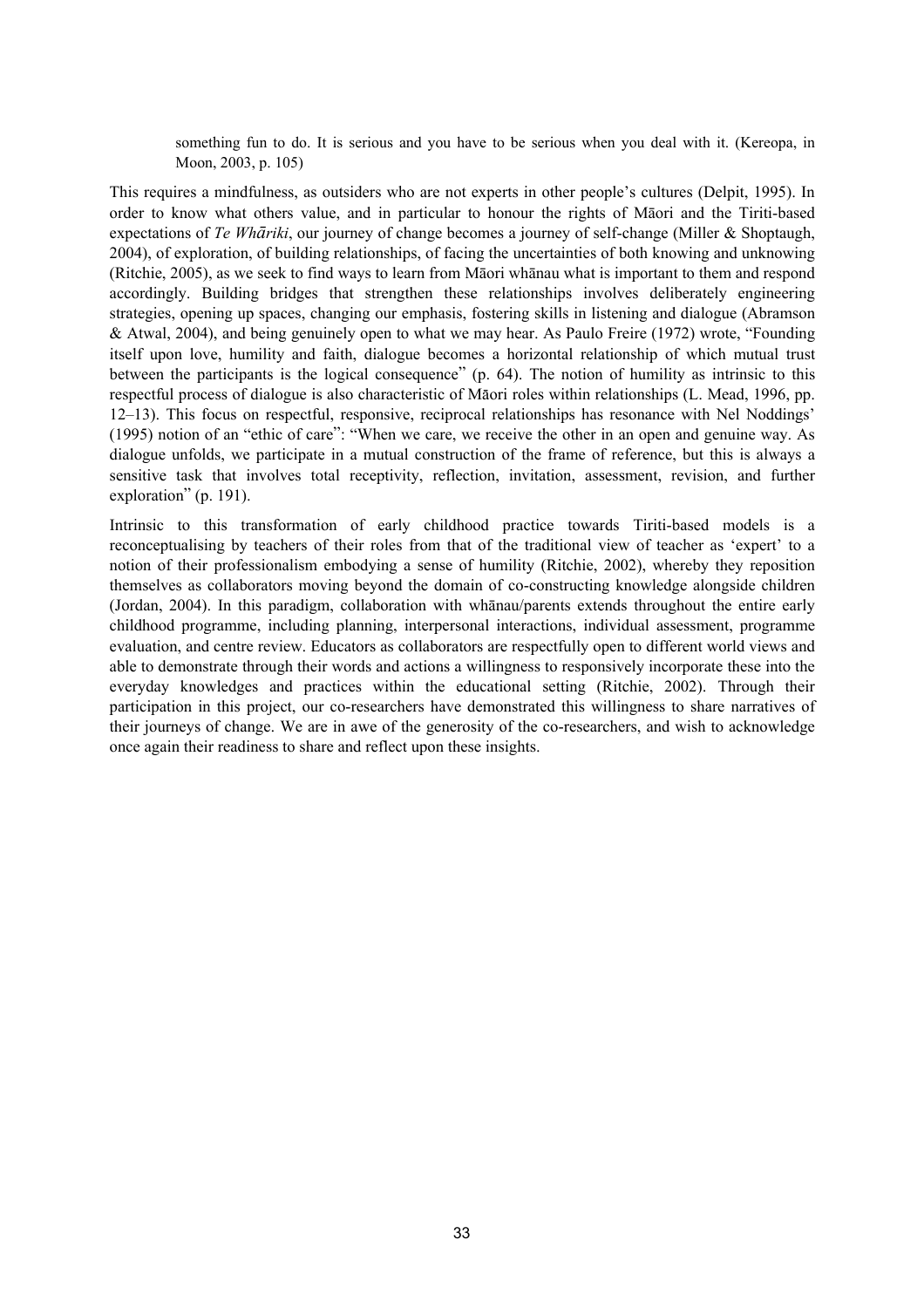something fun to do. It is serious and you have to be serious when you deal with it. (Kereopa, in Moon, 2003, p. 105)

This requires a mindfulness, as outsiders who are not experts in other people's cultures (Delpit, 1995). In order to know what others value, and in particular to honour the rights of Māori and the Tiriti-based expectations of *Te Whāriki*, our journey of change becomes a journey of self-change (Miller & Shoptaugh, 2004), of exploration, of building relationships, of facing the uncertainties of both knowing and unknowing (Ritchie, 2005), as we seek to find ways to learn from Māori whānau what is important to them and respond accordingly. Building bridges that strengthen these relationships involves deliberately engineering strategies, opening up spaces, changing our emphasis, fostering skills in listening and dialogue (Abramson & Atwal, 2004), and being genuinely open to what we may hear. As Paulo Freire (1972) wrote, "Founding itself upon love, humility and faith, dialogue becomes a horizontal relationship of which mutual trust between the participants is the logical consequence" (p. 64). The notion of humility as intrinsic to this respectful process of dialogue is also characteristic of Mäori roles within relationships (L. Mead, 1996, pp. 12–13). This focus on respectful, responsive, reciprocal relationships has resonance with Nel Noddings' (1995) notion of an "ethic of care": "When we care, we receive the other in an open and genuine way. As dialogue unfolds, we participate in a mutual construction of the frame of reference, but this is always a sensitive task that involves total receptivity, reflection, invitation, assessment, revision, and further exploration" (p. 191).

Intrinsic to this transformation of early childhood practice towards Tiriti-based models is a reconceptualising by teachers of their roles from that of the traditional view of teacher as 'expert' to a notion of their professionalism embodying a sense of humility (Ritchie, 2002), whereby they reposition themselves as collaborators moving beyond the domain of co-constructing knowledge alongside children (Jordan, 2004). In this paradigm, collaboration with whānau/parents extends throughout the entire early childhood programme, including planning, interpersonal interactions, individual assessment, programme evaluation, and centre review. Educators as collaborators are respectfully open to different world views and able to demonstrate through their words and actions a willingness to responsively incorporate these into the everyday knowledges and practices within the educational setting (Ritchie, 2002). Through their participation in this project, our co-researchers have demonstrated this willingness to share narratives of their journeys of change. We are in awe of the generosity of the co-researchers, and wish to acknowledge once again their readiness to share and reflect upon these insights.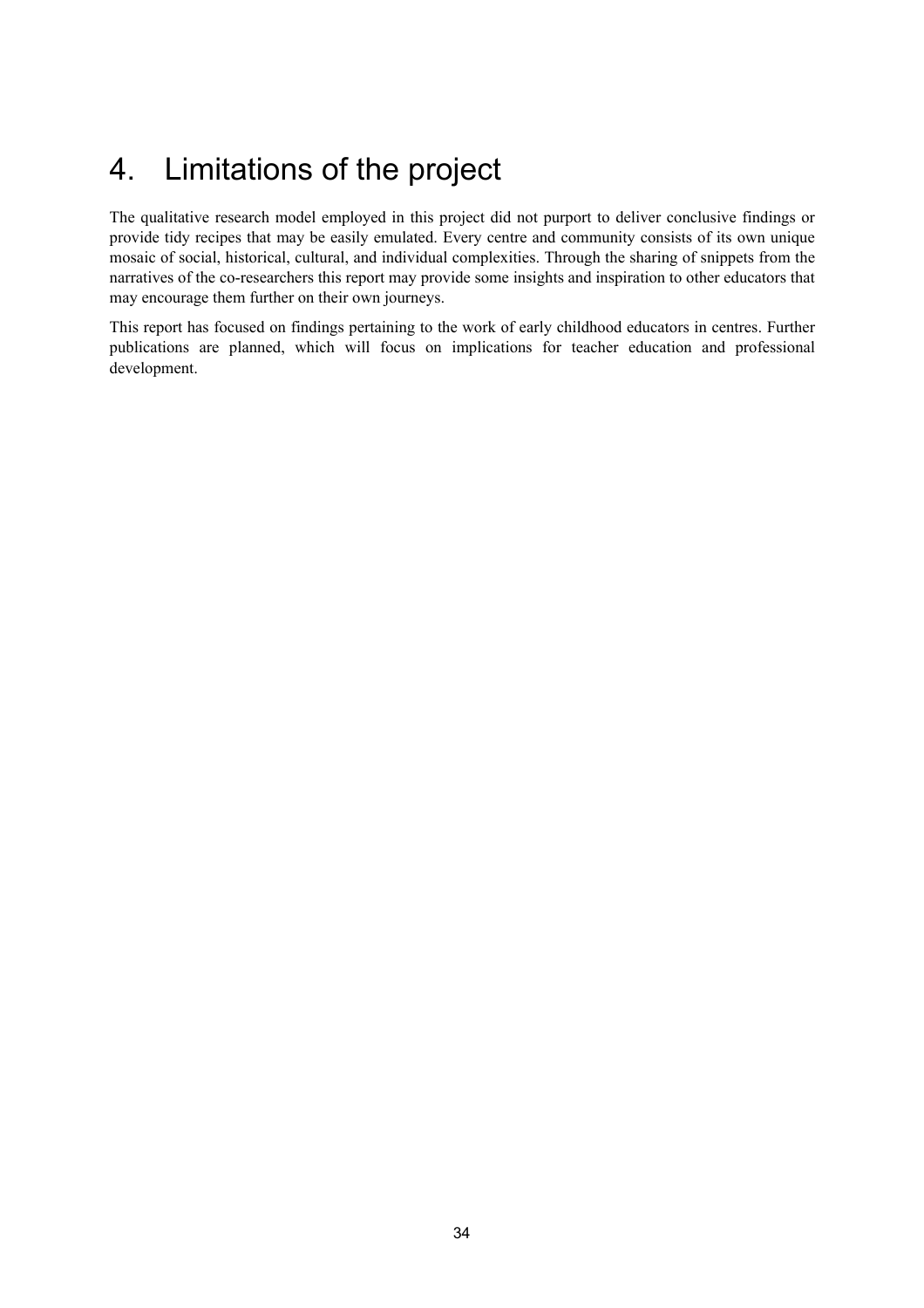# 4. Limitations of the project

The qualitative research model employed in this project did not purport to deliver conclusive findings or provide tidy recipes that may be easily emulated. Every centre and community consists of its own unique mosaic of social, historical, cultural, and individual complexities. Through the sharing of snippets from the narratives of the co-researchers this report may provide some insights and inspiration to other educators that may encourage them further on their own journeys.

This report has focused on findings pertaining to the work of early childhood educators in centres. Further publications are planned, which will focus on implications for teacher education and professional development.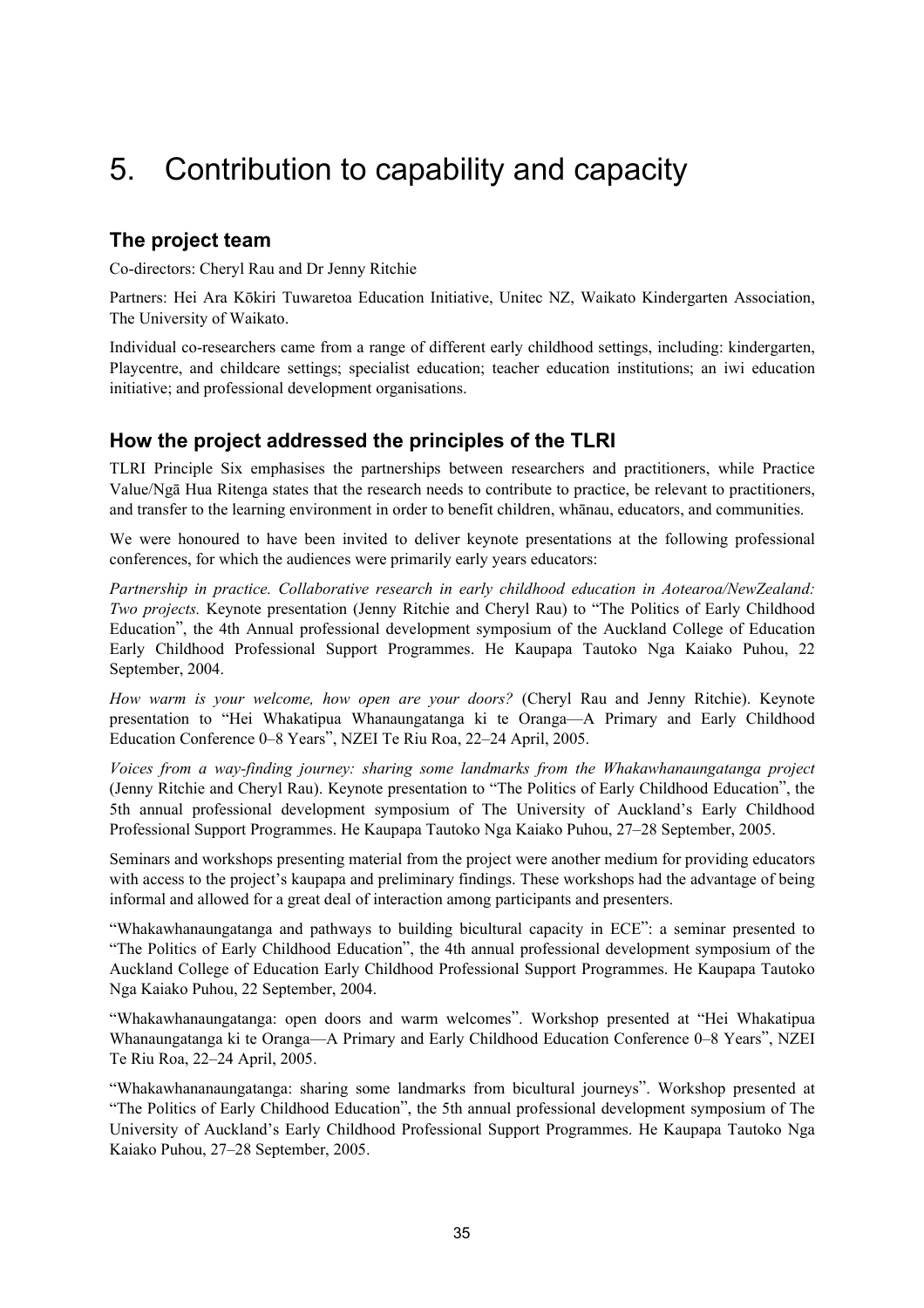# 5. Contribution to capability and capacity

### **The project team**

Co-directors: Cheryl Rau and Dr Jenny Ritchie

Partners: Hei Ara Kōkiri Tuwaretoa Education Initiative, Unitec NZ, Waikato Kindergarten Association, The University of Waikato.

Individual co-researchers came from a range of different early childhood settings, including: kindergarten, Playcentre, and childcare settings; specialist education; teacher education institutions; an iwi education initiative; and professional development organisations.

### **How the project addressed the principles of the TLRI**

TLRI Principle Six emphasises the partnerships between researchers and practitioners, while Practice Value/Ngā Hua Ritenga states that the research needs to contribute to practice, be relevant to practitioners, and transfer to the learning environment in order to benefit children, whānau, educators, and communities.

We were honoured to have been invited to deliver keynote presentations at the following professional conferences, for which the audiences were primarily early years educators:

*Partnership in practice. Collaborative research in early childhood education in Aotearoa/NewZealand: Two projects.* Keynote presentation (Jenny Ritchie and Cheryl Rau) to "The Politics of Early Childhood Education", the 4th Annual professional development symposium of the Auckland College of Education Early Childhood Professional Support Programmes. He Kaupapa Tautoko Nga Kaiako Puhou, 22 September, 2004.

*How warm is your welcome, how open are your doors?* (Cheryl Rau and Jenny Ritchie). Keynote presentation to "Hei Whakatipua Whanaungatanga ki te Oranga—A Primary and Early Childhood Education Conference 0–8 Years", NZEI Te Riu Roa, 22–24 April, 2005.

*Voices from a way-finding journey: sharing some landmarks from the Whakawhanaungatanga project* (Jenny Ritchie and Cheryl Rau). Keynote presentation to "The Politics of Early Childhood Education", the 5th annual professional development symposium of The University of Auckland's Early Childhood Professional Support Programmes. He Kaupapa Tautoko Nga Kaiako Puhou, 27–28 September, 2005.

Seminars and workshops presenting material from the project were another medium for providing educators with access to the project's kaupapa and preliminary findings. These workshops had the advantage of being informal and allowed for a great deal of interaction among participants and presenters.

"Whakawhanaungatanga and pathways to building bicultural capacity in ECE": a seminar presented to "The Politics of Early Childhood Education", the 4th annual professional development symposium of the Auckland College of Education Early Childhood Professional Support Programmes. He Kaupapa Tautoko Nga Kaiako Puhou, 22 September, 2004.

"Whakawhanaungatanga: open doors and warm welcomes". Workshop presented at "Hei Whakatipua Whanaungatanga ki te Oranga—A Primary and Early Childhood Education Conference 0–8 Years", NZEI Te Riu Roa, 22–24 April, 2005.

"Whakawhananaungatanga: sharing some landmarks from bicultural journeys". Workshop presented at "The Politics of Early Childhood Education", the 5th annual professional development symposium of The University of Auckland's Early Childhood Professional Support Programmes. He Kaupapa Tautoko Nga Kaiako Puhou, 27–28 September, 2005.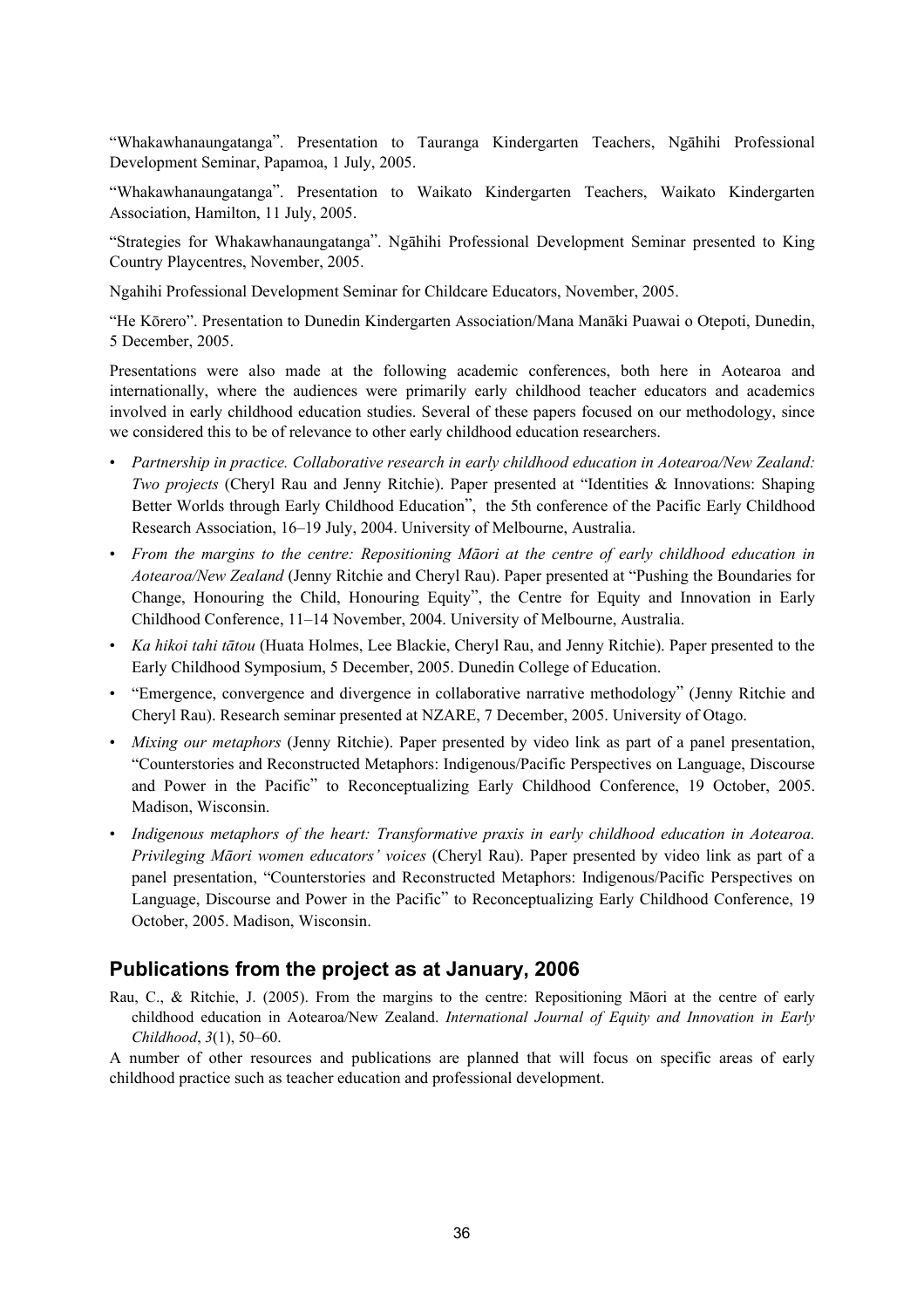"Whakawhanaungatanga". Presentation to Tauranga Kindergarten Teachers, Ngāhihi Professional Development Seminar, Papamoa, 1 July, 2005.

"Whakawhanaungatanga". Presentation to Waikato Kindergarten Teachers, Waikato Kindergarten Association, Hamilton, 11 July, 2005.

"Strategies for Whakawhanaungatanga". Ngāhihi Professional Development Seminar presented to King Country Playcentres, November, 2005.

Ngahihi Professional Development Seminar for Childcare Educators, November, 2005.

"He Kōrero". Presentation to Dunedin Kindergarten Association/Mana Manāki Puawai o Otepoti, Dunedin, 5 December, 2005.

Presentations were also made at the following academic conferences, both here in Aotearoa and internationally, where the audiences were primarily early childhood teacher educators and academics involved in early childhood education studies. Several of these papers focused on our methodology, since we considered this to be of relevance to other early childhood education researchers.

- *Partnership in practice. Collaborative research in early childhood education in Aotearoa/New Zealand: Two projects* (Cheryl Rau and Jenny Ritchie). Paper presented at "Identities & Innovations: Shaping Better Worlds through Early Childhood Education", the 5th conference of the Pacific Early Childhood Research Association, 16–19 July, 2004. University of Melbourne, Australia.
- *From the margins to the centre: Repositioning Māori at the centre of early childhood education in Aotearoa/New Zealand* (Jenny Ritchie and Cheryl Rau). Paper presented at "Pushing the Boundaries for Change, Honouring the Child, Honouring Equity", the Centre for Equity and Innovation in Early Childhood Conference, 11–14 November, 2004. University of Melbourne, Australia.
- *Ka hikoi tahi tātou* (Huata Holmes, Lee Blackie, Cheryl Rau, and Jenny Ritchie). Paper presented to the Early Childhood Symposium, 5 December, 2005. Dunedin College of Education.
- "Emergence, convergence and divergence in collaborative narrative methodology" (Jenny Ritchie and Cheryl Rau). Research seminar presented at NZARE, 7 December, 2005. University of Otago.
- *Mixing our metaphors* (Jenny Ritchie). Paper presented by video link as part of a panel presentation, "Counterstories and Reconstructed Metaphors: Indigenous/Pacific Perspectives on Language, Discourse and Power in the Pacific" to Reconceptualizing Early Childhood Conference, 19 October, 2005. Madison, Wisconsin.
- *Indigenous metaphors of the heart: Transformative praxis in early childhood education in Aotearoa. Privileging Māori women educators' voices* (Cheryl Rau). Paper presented by video link as part of a panel presentation, "Counterstories and Reconstructed Metaphors: Indigenous/Pacific Perspectives on Language, Discourse and Power in the Pacific" to Reconceptualizing Early Childhood Conference, 19 October, 2005. Madison, Wisconsin.

#### **Publications from the project as at January, 2006**

Rau, C., & Ritchie, J. (2005). From the margins to the centre: Repositioning Māori at the centre of early childhood education in Aotearoa/New Zealand. *International Journal of Equity and Innovation in Early Childhood*, *3*(1), 50–60.

A number of other resources and publications are planned that will focus on specific areas of early childhood practice such as teacher education and professional development.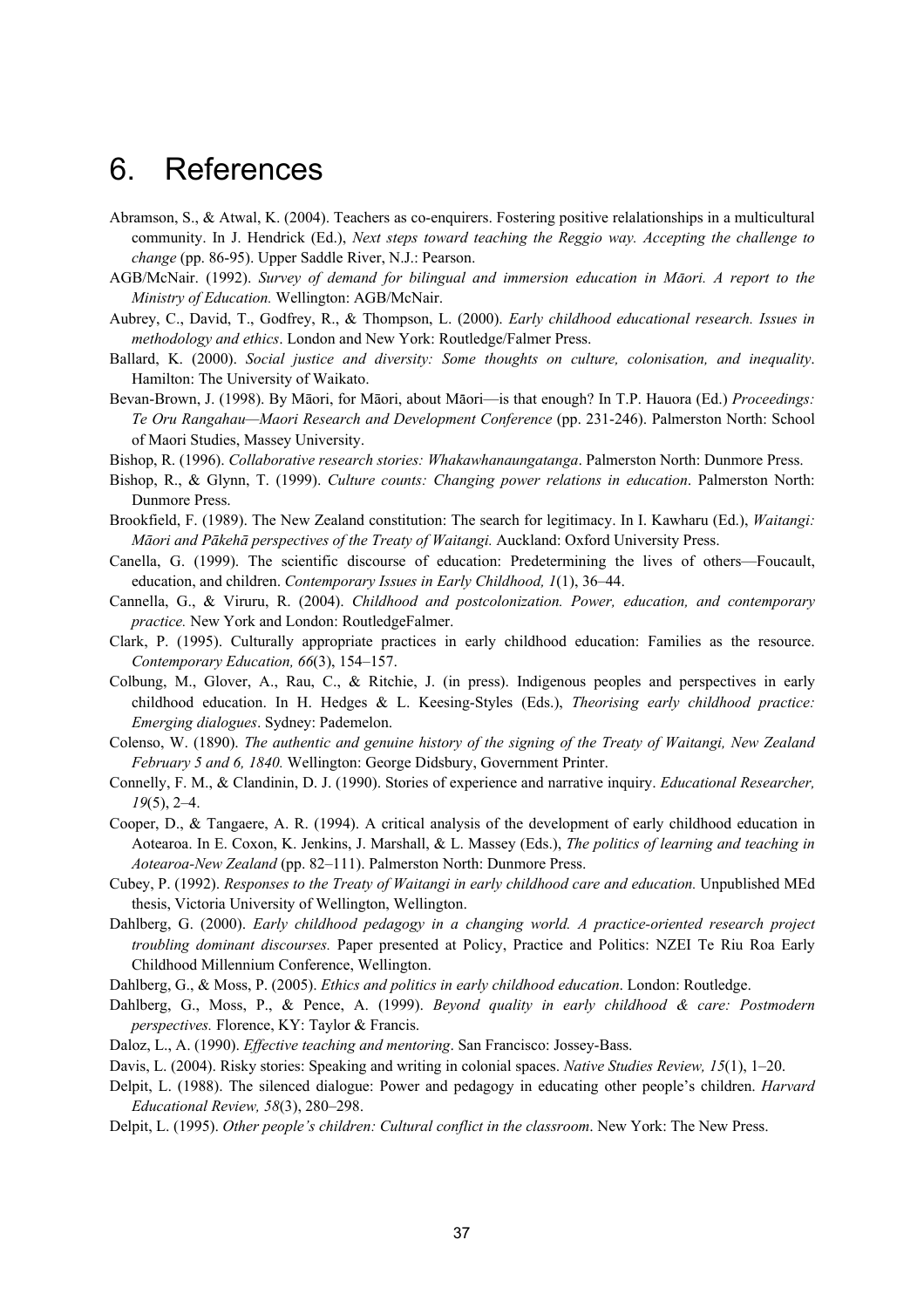# 6. References

- Abramson, S., & Atwal, K. (2004). Teachers as co-enquirers. Fostering positive relalationships in a multicultural community. In J. Hendrick (Ed.), *Next steps toward teaching the Reggio way. Accepting the challenge to change* (pp. 86-95). Upper Saddle River, N.J.: Pearson.
- AGB/McNair. (1992). *Survey of demand for bilingual and immersion education in Mäori. A report to the Ministry of Education.* Wellington: AGB/McNair.
- Aubrey, C., David, T., Godfrey, R., & Thompson, L. (2000). *Early childhood educational research. Issues in methodology and ethics*. London and New York: Routledge/Falmer Press.
- Ballard, K. (2000). *Social justice and diversity: Some thoughts on culture, colonisation, and inequality*. Hamilton: The University of Waikato.
- Bevan-Brown, J. (1998). By Māori, for Māori, about Mäori—is that enough? In T.P. Hauora (Ed.) *Proceedings: Te Oru Rangahau—Maori Research and Development Conference* (pp. 231-246). Palmerston North: School of Maori Studies, Massey University.
- Bishop, R. (1996). *Collaborative research stories: Whakawhanaungatanga*. Palmerston North: Dunmore Press.
- Bishop, R., & Glynn, T. (1999). *Culture counts: Changing power relations in education*. Palmerston North: Dunmore Press.
- Brookfield, F. (1989). The New Zealand constitution: The search for legitimacy. In I. Kawharu (Ed.), *Waitangi: Māori and Pākehā perspectives of the Treaty of Waitangi.* Auckland: Oxford University Press.
- Canella, G. (1999). The scientific discourse of education: Predetermining the lives of others—Foucault, education, and children. *Contemporary Issues in Early Childhood, 1*(1), 36–44.
- Cannella, G., & Viruru, R. (2004). *Childhood and postcolonization. Power, education, and contemporary practice.* New York and London: RoutledgeFalmer.
- Clark, P. (1995). Culturally appropriate practices in early childhood education: Families as the resource. *Contemporary Education, 66*(3), 154–157.
- Colbung, M., Glover, A., Rau, C., & Ritchie, J. (in press). Indigenous peoples and perspectives in early childhood education. In H. Hedges & L. Keesing-Styles (Eds.), *Theorising early childhood practice: Emerging dialogues*. Sydney: Pademelon.
- Colenso, W. (1890). *The authentic and genuine history of the signing of the Treaty of Waitangi, New Zealand February 5 and 6, 1840.* Wellington: George Didsbury, Government Printer.
- Connelly, F. M., & Clandinin, D. J. (1990). Stories of experience and narrative inquiry. *Educational Researcher, 19*(5), 2–4.
- Cooper, D., & Tangaere, A. R. (1994). A critical analysis of the development of early childhood education in Aotearoa. In E. Coxon, K. Jenkins, J. Marshall, & L. Massey (Eds.), *The politics of learning and teaching in Aotearoa-New Zealand* (pp. 82–111). Palmerston North: Dunmore Press.
- Cubey, P. (1992). *Responses to the Treaty of Waitangi in early childhood care and education.* Unpublished MEd thesis, Victoria University of Wellington, Wellington.
- Dahlberg, G. (2000). *Early childhood pedagogy in a changing world. A practice-oriented research project troubling dominant discourses.* Paper presented at Policy, Practice and Politics: NZEI Te Riu Roa Early Childhood Millennium Conference, Wellington.
- Dahlberg, G., & Moss, P. (2005). *Ethics and politics in early childhood education*. London: Routledge.
- Dahlberg, G., Moss, P., & Pence, A. (1999). *Beyond quality in early childhood & care: Postmodern perspectives.* Florence, KY: Taylor & Francis.
- Daloz, L., A. (1990). *Effective teaching and mentoring*. San Francisco: Jossey-Bass.
- Davis, L. (2004). Risky stories: Speaking and writing in colonial spaces. *Native Studies Review, 15*(1), 1–20.
- Delpit, L. (1988). The silenced dialogue: Power and pedagogy in educating other people's children. *Harvard Educational Review, 58*(3), 280–298.
- Delpit, L. (1995). *Other people's children: Cultural conflict in the classroom*. New York: The New Press.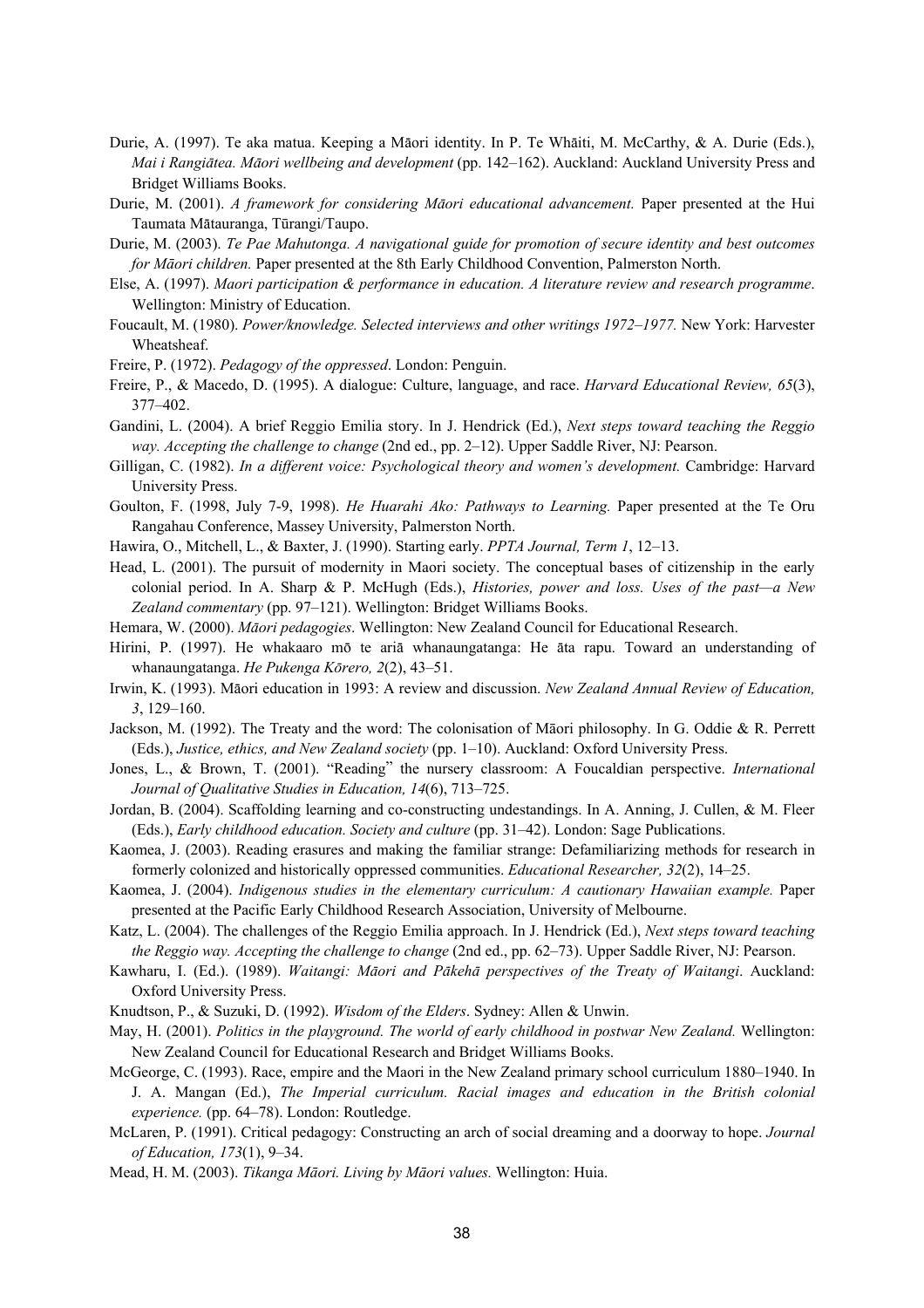- Durie, A. (1997). Te aka matua. Keeping a Mäori identity. In P. Te Whäiti, M. McCarthy, & A. Durie (Eds.), *Mai i Rangiätea. Mäori wellbeing and development* (pp. 142–162). Auckland: Auckland University Press and Bridget Williams Books.
- Durie, M. (2001). *A framework for considering Mäori educational advancement.* Paper presented at the Hui Taumata Mätauranga, Tūrangi/Taupo.
- Durie, M. (2003). *Te Pae Mahutonga. A navigational guide for promotion of secure identity and best outcomes for Māori children.* Paper presented at the 8th Early Childhood Convention, Palmerston North.
- Else, A. (1997). *Maori participation & performance in education. A literature review and research programme*. Wellington: Ministry of Education.
- Foucault, M. (1980). *Power/knowledge. Selected interviews and other writings 1972–1977.* New York: Harvester Wheatsheaf.
- Freire, P. (1972). *Pedagogy of the oppressed*. London: Penguin.
- Freire, P., & Macedo, D. (1995). A dialogue: Culture, language, and race. *Harvard Educational Review, 65*(3), 377–402.
- Gandini, L. (2004). A brief Reggio Emilia story. In J. Hendrick (Ed.), *Next steps toward teaching the Reggio way. Accepting the challenge to change* (2nd ed., pp. 2–12). Upper Saddle River, NJ: Pearson.
- Gilligan, C. (1982). *In a different voice: Psychological theory and women's development.* Cambridge: Harvard University Press.
- Goulton, F. (1998, July 7-9, 1998). *He Huarahi Ako: Pathways to Learning.* Paper presented at the Te Oru Rangahau Conference, Massey University, Palmerston North.
- Hawira, O., Mitchell, L., & Baxter, J. (1990). Starting early. *PPTA Journal, Term 1*, 12–13.
- Head, L. (2001). The pursuit of modernity in Maori society. The conceptual bases of citizenship in the early colonial period. In A. Sharp & P. McHugh (Eds.), *Histories, power and loss. Uses of the past—a New Zealand commentary* (pp. 97–121). Wellington: Bridget Williams Books.
- Hemara, W. (2000). *Mäori pedagogies*. Wellington: New Zealand Council for Educational Research.
- Hirini, P. (1997). He whakaaro mö te ariä whanaungatanga: He äta rapu. Toward an understanding of whanaungatanga. *He Pukenga Körero, 2*(2), 43–51.
- Irwin, K. (1993). Mäori education in 1993: A review and discussion. *New Zealand Annual Review of Education, 3*, 129–160.
- Jackson, M. (1992). The Treaty and the word: The colonisation of Māori philosophy. In G. Oddie & R. Perrett (Eds.), *Justice, ethics, and New Zealand society* (pp. 1–10). Auckland: Oxford University Press.
- Jones, L., & Brown, T. (2001). "Reading" the nursery classroom: A Foucaldian perspective. *International Journal of Qualitative Studies in Education, 14*(6), 713–725.
- Jordan, B. (2004). Scaffolding learning and co-constructing undestandings. In A. Anning, J. Cullen, & M. Fleer (Eds.), *Early childhood education. Society and culture* (pp. 31–42). London: Sage Publications.
- Kaomea, J. (2003). Reading erasures and making the familiar strange: Defamiliarizing methods for research in formerly colonized and historically oppressed communities. *Educational Researcher, 32*(2), 14–25.
- Kaomea, J. (2004). *Indigenous studies in the elementary curriculum: A cautionary Hawaiian example.* Paper presented at the Pacific Early Childhood Research Association, University of Melbourne.
- Katz, L. (2004). The challenges of the Reggio Emilia approach. In J. Hendrick (Ed.), *Next steps toward teaching the Reggio way. Accepting the challenge to change* (2nd ed., pp. 62–73). Upper Saddle River, NJ: Pearson.
- Kawharu, I. (Ed.). (1989). *Waitangi: Mäori and Päkehä perspectives of the Treaty of Waitangi*. Auckland: Oxford University Press.
- Knudtson, P., & Suzuki, D. (1992). *Wisdom of the Elders*. Sydney: Allen & Unwin.
- May, H. (2001). *Politics in the playground. The world of early childhood in postwar New Zealand.* Wellington: New Zealand Council for Educational Research and Bridget Williams Books.
- McGeorge, C. (1993). Race, empire and the Maori in the New Zealand primary school curriculum 1880–1940. In J. A. Mangan (Ed.), *The Imperial curriculum. Racial images and education in the British colonial experience.* (pp. 64–78). London: Routledge.
- McLaren, P. (1991). Critical pedagogy: Constructing an arch of social dreaming and a doorway to hope. *Journal of Education, 173*(1), 9–34.
- Mead, H. M. (2003). *Tikanga Māori. Living by Māori values.* Wellington: Huia.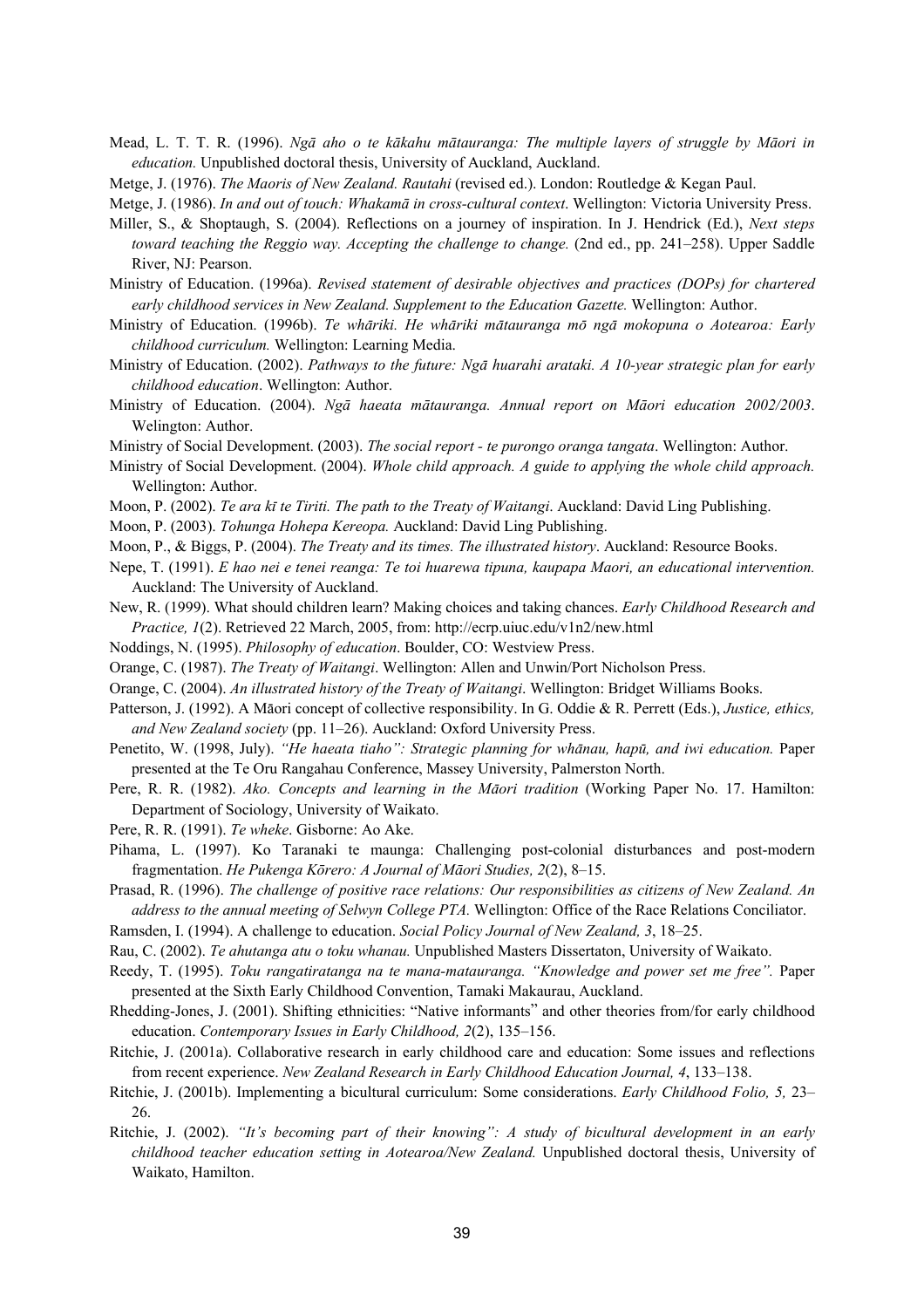- Mead, L. T. T. R. (1996). *Ngā aho o te kākahu mātauranga: The multiple layers of struggle by Māori in education.* Unpublished doctoral thesis, University of Auckland, Auckland.
- Metge, J. (1976). *The Maoris of New Zealand. Rautahi* (revised ed.). London: Routledge & Kegan Paul.
- Metge, J. (1986). *In and out of touch: Whakamā in cross-cultural context*. Wellington: Victoria University Press.
- Miller, S., & Shoptaugh, S. (2004). Reflections on a journey of inspiration. In J. Hendrick (Ed.), *Next steps toward teaching the Reggio way. Accepting the challenge to change.* (2nd ed., pp. 241–258). Upper Saddle River, NJ: Pearson.
- Ministry of Education. (1996a). *Revised statement of desirable objectives and practices (DOPs) for chartered early childhood services in New Zealand. Supplement to the Education Gazette.* Wellington: Author.
- Ministry of Education. (1996b). *Te whäriki. He whäriki mätauranga mö ngä mokopuna o Aotearoa: Early childhood curriculum.* Wellington: Learning Media.
- Ministry of Education. (2002). *Pathways to the future: Ngä huarahi arataki. A 10-year strategic plan for early childhood education*. Wellington: Author.
- Ministry of Education. (2004). *Ngā haeata mātauranga. Annual report on Māori education 2002/2003*. Welington: Author.

Ministry of Social Development. (2003). *The social report - te purongo oranga tangata*. Wellington: Author.

- Ministry of Social Development. (2004). *Whole child approach. A guide to applying the whole child approach.* Wellington: Author.
- Moon, P. (2002). *Te ara kï te Tiriti. The path to the Treaty of Waitangi*. Auckland: David Ling Publishing.
- Moon, P. (2003). *Tohunga Hohepa Kereopa.* Auckland: David Ling Publishing.
- Moon, P., & Biggs, P. (2004). *The Treaty and its times. The illustrated history*. Auckland: Resource Books.
- Nepe, T. (1991). *E hao nei e tenei reanga: Te toi huarewa tipuna, kaupapa Maori, an educational intervention.* Auckland: The University of Auckland.
- New, R. (1999). What should children learn? Making choices and taking chances. *Early Childhood Research and Practice, 1*(2). Retrieved 22 March, 2005, from: http://ecrp.uiuc.edu/v1n2/new.html
- Noddings, N. (1995). *Philosophy of education*. Boulder, CO: Westview Press.
- Orange, C. (1987). *The Treaty of Waitangi*. Wellington: Allen and Unwin/Port Nicholson Press.
- Orange, C. (2004). *An illustrated history of the Treaty of Waitangi*. Wellington: Bridget Williams Books.
- Patterson, J. (1992). A Mäori concept of collective responsibility. In G. Oddie & R. Perrett (Eds.), *Justice, ethics, and New Zealand society* (pp. 11–26). Auckland: Oxford University Press.
- Penetito, W. (1998, July). *"He haeata tiaho": Strategic planning for whänau, hapü, and iwi education.* Paper presented at the Te Oru Rangahau Conference, Massey University, Palmerston North.
- Pere, R. R. (1982). *Ako. Concepts and learning in the Mäori tradition* (Working Paper No. 17. Hamilton: Department of Sociology, University of Waikato.
- Pere, R. R. (1991). *Te wheke*. Gisborne: Ao Ake.
- Pihama, L. (1997). Ko Taranaki te maunga: Challenging post-colonial disturbances and post-modern fragmentation. *He Pukenga Kōrero: A Journal of Māori Studies, 2*(2), 8–15.
- Prasad, R. (1996). *The challenge of positive race relations: Our responsibilities as citizens of New Zealand. An address to the annual meeting of Selwyn College PTA.* Wellington: Office of the Race Relations Conciliator.
- Ramsden, I. (1994). A challenge to education. *Social Policy Journal of New Zealand, 3*, 18–25.
- Rau, C. (2002). *Te ahutanga atu o toku whanau.* Unpublished Masters Dissertaton, University of Waikato.
- Reedy, T. (1995). *Toku rangatiratanga na te mana-matauranga. "Knowledge and power set me free".* Paper presented at the Sixth Early Childhood Convention, Tamaki Makaurau, Auckland.
- Rhedding-Jones, J. (2001). Shifting ethnicities: "Native informants" and other theories from/for early childhood education. *Contemporary Issues in Early Childhood, 2*(2), 135–156.
- Ritchie, J. (2001a). Collaborative research in early childhood care and education: Some issues and reflections from recent experience. *New Zealand Research in Early Childhood Education Journal, 4*, 133–138.
- Ritchie, J. (2001b). Implementing a bicultural curriculum: Some considerations. *Early Childhood Folio, 5,* 23– 26.
- Ritchie, J. (2002). *"It's becoming part of their knowing": A study of bicultural development in an early childhood teacher education setting in Aotearoa/New Zealand.* Unpublished doctoral thesis, University of Waikato, Hamilton.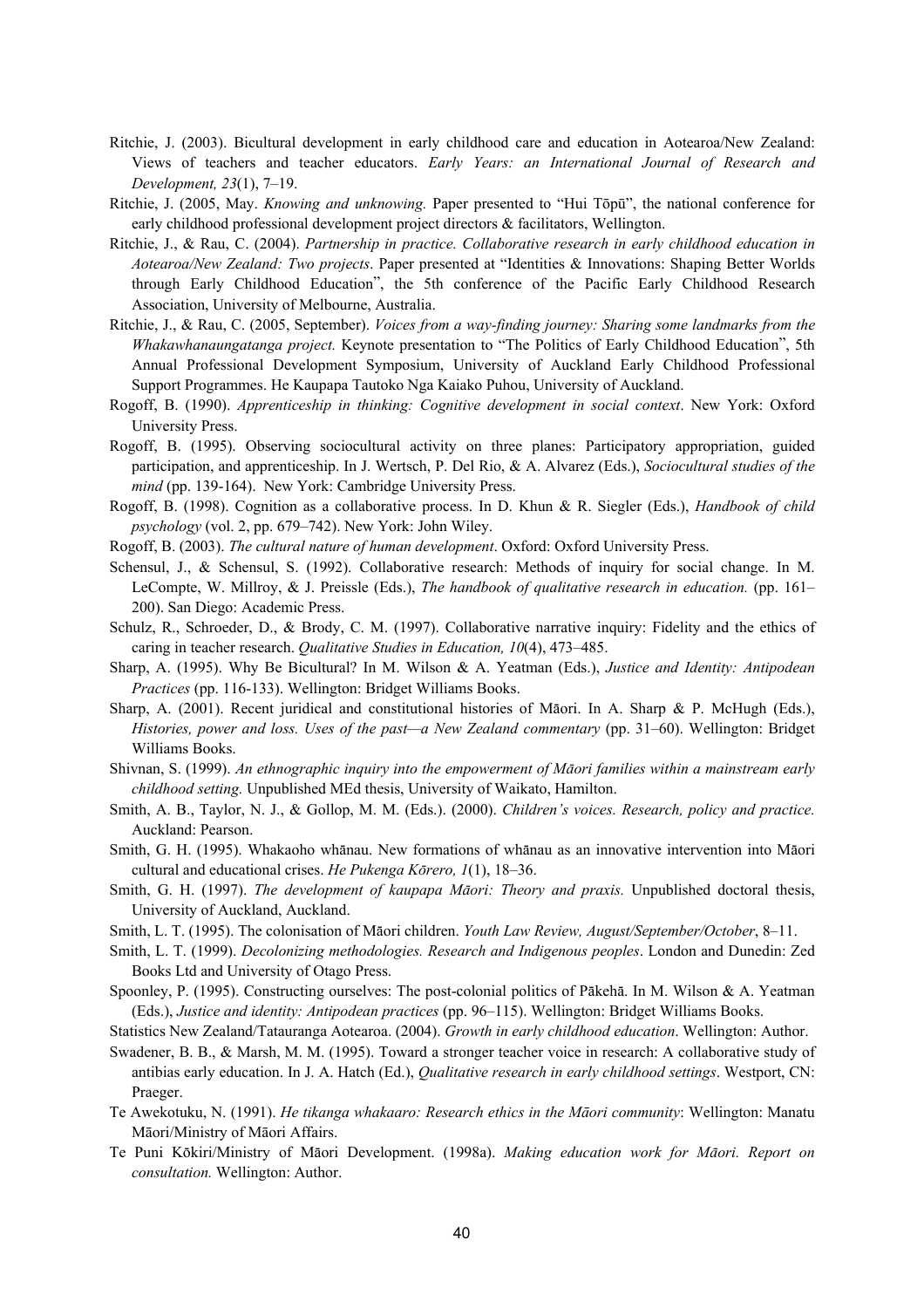- Ritchie, J. (2003). Bicultural development in early childhood care and education in Aotearoa/New Zealand: Views of teachers and teacher educators. *Early Years: an International Journal of Research and Development, 23*(1), 7–19.
- Ritchie, J. (2005, May. *Knowing and unknowing.* Paper presented to "Hui Tōpū", the national conference for early childhood professional development project directors & facilitators, Wellington.
- Ritchie, J., & Rau, C. (2004). *Partnership in practice. Collaborative research in early childhood education in Aotearoa/New Zealand: Two projects*. Paper presented at "Identities & Innovations: Shaping Better Worlds through Early Childhood Education", the 5th conference of the Pacific Early Childhood Research Association, University of Melbourne, Australia.
- Ritchie, J., & Rau, C. (2005, September). *Voices from a way-finding journey: Sharing some landmarks from the Whakawhanaungatanga project.* Keynote presentation to "The Politics of Early Childhood Education", 5th Annual Professional Development Symposium, University of Auckland Early Childhood Professional Support Programmes. He Kaupapa Tautoko Nga Kaiako Puhou, University of Auckland.
- Rogoff, B. (1990). *Apprenticeship in thinking: Cognitive development in social context*. New York: Oxford University Press.
- Rogoff, B. (1995). Observing sociocultural activity on three planes: Participatory appropriation, guided participation, and apprenticeship. In J. Wertsch, P. Del Rio, & A. Alvarez (Eds.), *Sociocultural studies of the mind* (pp. 139-164). New York: Cambridge University Press.
- Rogoff, B. (1998). Cognition as a collaborative process. In D. Khun & R. Siegler (Eds.), *Handbook of child psychology* (vol. 2, pp. 679–742). New York: John Wiley.
- Rogoff, B. (2003). *The cultural nature of human development*. Oxford: Oxford University Press.
- Schensul, J., & Schensul, S. (1992). Collaborative research: Methods of inquiry for social change. In M. LeCompte, W. Millroy, & J. Preissle (Eds.), *The handbook of qualitative research in education.* (pp. 161– 200). San Diego: Academic Press.
- Schulz, R., Schroeder, D., & Brody, C. M. (1997). Collaborative narrative inquiry: Fidelity and the ethics of caring in teacher research. *Qualitative Studies in Education, 10*(4), 473–485.
- Sharp, A. (1995). Why Be Bicultural? In M. Wilson & A. Yeatman (Eds.), *Justice and Identity: Antipodean Practices* (pp. 116-133). Wellington: Bridget Williams Books.
- Sharp, A. (2001). Recent juridical and constitutional histories of Mäori. In A. Sharp & P. McHugh (Eds.), *Histories, power and loss. Uses of the past—a New Zealand commentary* (pp. 31–60). Wellington: Bridget Williams Books.
- Shivnan, S. (1999). *An ethnographic inquiry into the empowerment of Mäori families within a mainstream early childhood setting.* Unpublished MEd thesis, University of Waikato, Hamilton.
- Smith, A. B., Taylor, N. J., & Gollop, M. M. (Eds.). (2000). *Children's voices. Research, policy and practice.* Auckland: Pearson.
- Smith, G. H. (1995). Whakaoho whänau. New formations of whänau as an innovative intervention into Mäori cultural and educational crises. *He Pukenga Körero, 1*(1), 18–36.
- Smith, G. H. (1997). *The development of kaupapa Mäori: Theory and praxis.* Unpublished doctoral thesis, University of Auckland, Auckland.
- Smith, L. T. (1995). The colonisation of Mäori children. *Youth Law Review, August/September/October*, 8–11.
- Smith, L. T. (1999). *Decolonizing methodologies. Research and Indigenous peoples*. London and Dunedin: Zed Books Ltd and University of Otago Press.
- Spoonley, P. (1995). Constructing ourselves: The post-colonial politics of Päkehä. In M. Wilson & A. Yeatman (Eds.), *Justice and identity: Antipodean practices* (pp. 96–115). Wellington: Bridget Williams Books.
- Statistics New Zealand/Tatauranga Aotearoa. (2004). *Growth in early childhood education*. Wellington: Author.
- Swadener, B. B., & Marsh, M. M. (1995). Toward a stronger teacher voice in research: A collaborative study of antibias early education. In J. A. Hatch (Ed.), *Qualitative research in early childhood settings*. Westport, CN: Praeger.
- Te Awekotuku, N. (1991). *He tikanga whakaaro: Research ethics in the Māori community*: Wellington: Manatu Māori/Ministry of Māori Affairs.
- Te Puni Kökiri/Ministry of Mäori Development. (1998a). *Making education work for Mäori. Report on consultation.* Wellington: Author.